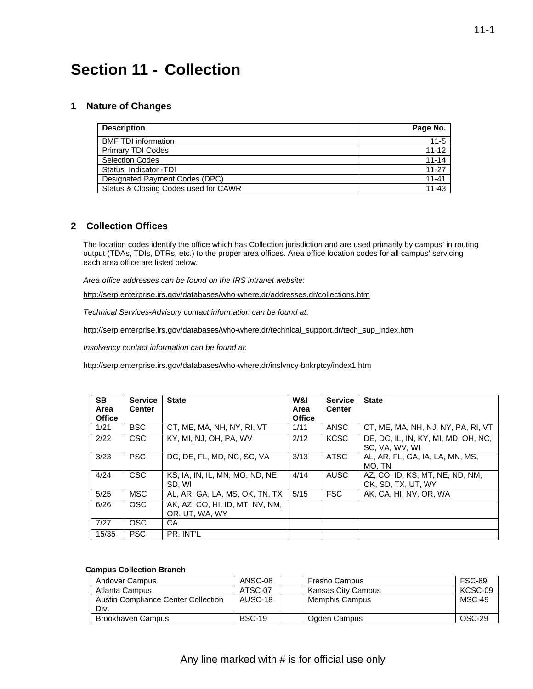# **Section 11 - Collection**

### **1 Nature of Changes**

| <b>Description</b>                   | Page No.  |
|--------------------------------------|-----------|
| <b>BMF TDI information</b>           | $11 - 5$  |
| <b>Primary TDI Codes</b>             | $11 - 12$ |
| <b>Selection Codes</b>               | $11 - 14$ |
| Status Indicator -TDI                | $11 - 27$ |
| Designated Payment Codes (DPC)       | $11 - 41$ |
| Status & Closing Codes used for CAWR | $11 - 43$ |

### **2 Collection Offices**

 each area office are listed below. The location codes identify the office which has Collection jurisdiction and are used primarily by campus' in routing output (TDAs, TDIs, DTRs, etc.) to the proper area offices. Area office location codes for all campus' servicing

*Area office addresses can be found on the IRS intranet website*:

<http://serp.enterprise.irs.gov/databases/who-where.dr/addresses.dr/collections.htm>

*Technical Services-Advisory contact information can be found at*:

[http://serp.enterprise.irs.gov/databases/who-where.dr/technical\\_support.dr/tech\\_sup\\_index.htm](http://serp.enterprise.irs.gov/databases/who-where.dr/technical_support.dr/tech_sup_index.htm)

*Insolvency contact information can be found at*:

<http://serp.enterprise.irs.gov/databases/who-where.dr/inslvncy-bnkrptcy/index1.htm>

| SB.<br>Area<br><b>Office</b> | <b>Service</b><br><b>Center</b> | <b>State</b>                                      | W&I<br>Area<br><b>Office</b> | <b>Service</b><br><b>Center</b> | <b>State</b>                                          |
|------------------------------|---------------------------------|---------------------------------------------------|------------------------------|---------------------------------|-------------------------------------------------------|
| 1/21                         | <b>BSC</b>                      | CT, ME, MA, NH, NY, RI, VT                        | 1/11                         | ANSC                            | CT, ME, MA, NH, NJ, NY, PA, RI, VT                    |
| 2/22                         | <b>CSC</b>                      | KY, MI, NJ, OH, PA, WV                            | 2/12                         | <b>KCSC</b>                     | DE, DC, IL, IN, KY, MI, MD, OH, NC,<br>SC. VA. WV. WI |
| 3/23                         | <b>PSC</b>                      | DC, DE, FL, MD, NC, SC, VA                        | 3/13                         | <b>ATSC</b>                     | AL, AR, FL, GA, IA, LA, MN, MS,<br>MO. TN             |
| 4/24                         | <b>CSC</b>                      | KS, IA, IN, IL, MN, MO, ND, NE,<br>SD. WI         | 4/14                         | AUSC                            | AZ, CO, ID, KS, MT, NE, ND, NM,<br>OK, SD, TX, UT, WY |
| 5/25                         | <b>MSC</b>                      | AL. AR. GA. LA. MS. OK. TN. TX                    | 5/15                         | <b>FSC</b>                      | AK, CA, HI, NV, OR, WA                                |
| 6/26                         | <b>OSC</b>                      | AK, AZ, CO, HI, ID, MT, NV, NM,<br>OR. UT. WA. WY |                              |                                 |                                                       |
| 7/27                         | <b>OSC</b>                      | CA                                                |                              |                                 |                                                       |
| 15/35                        | <b>PSC</b>                      | PR. INT'L                                         |                              |                                 |                                                       |

#### **Campus Collection Branch**

| Andover Campus                      | ANSC-08       | Fresno Campus      | <b>FSC-89</b> |
|-------------------------------------|---------------|--------------------|---------------|
| Atlanta Campus                      | ATSC-07       | Kansas City Campus | KCSC-09       |
| Austin Compliance Center Collection | AUSC-18       | Memphis Campus     | MSC-49        |
| Div.                                |               |                    |               |
| Brookhaven Campus                   | <b>BSC-19</b> | Ogden Campus       | OSC-29        |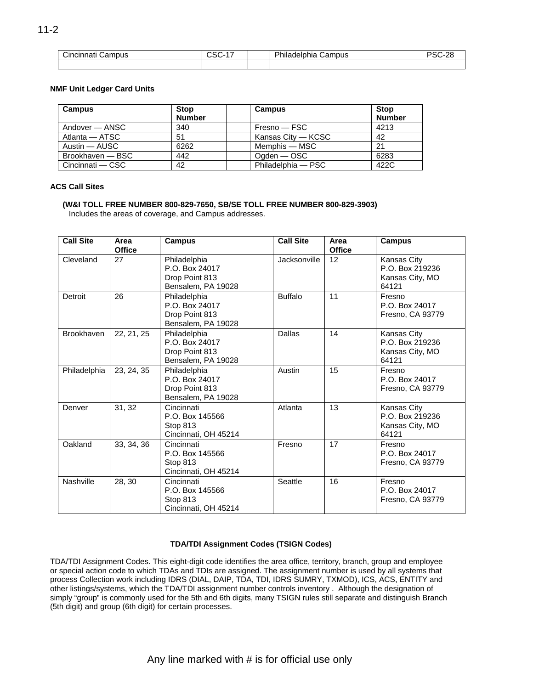| È.<br>Campus<br>Cincinnati | $\sim$<br>uəu | Dh<br>miladelphir .<br>Campus | $\Omega$<br>۰٦١<br>້ |
|----------------------------|---------------|-------------------------------|----------------------|
|                            |               |                               |                      |

#### **NMF Unit Ledger Card Units**

| <b>Campus</b>    | <b>Stop</b><br><b>Number</b> | <b>Campus</b>      | <b>Stop</b><br><b>Number</b> |
|------------------|------------------------------|--------------------|------------------------------|
| Andover — ANSC   | 340                          | Fresno — FSC       | 4213                         |
| Atlanta — ATSC   | 51                           | Kansas City — KCSC | 42                           |
| Austin — AUSC    | 6262                         | Memphis — MSC      | 21                           |
| Brookhaven - BSC | 442                          | Ogden — OSC        | 6283                         |
| Cincinnati — CSC | 42                           | Philadelphia - PSC | 422C                         |

#### **ACS Call Sites**

**(W&I TOLL FREE NUMBER 800-829-7650, SB/SE TOLL FREE NUMBER 800-829-3903)**  Includes the areas of coverage, and Campus addresses.

| <b>Call Site</b>  | Area<br><b>Office</b> | <b>Campus</b>                                                          | <b>Call Site</b> | Area<br><b>Office</b> | <b>Campus</b>                                              |
|-------------------|-----------------------|------------------------------------------------------------------------|------------------|-----------------------|------------------------------------------------------------|
| Cleveland         | 27                    | Philadelphia<br>P.O. Box 24017<br>Drop Point 813<br>Bensalem, PA 19028 | Jacksonville     | 12                    | Kansas City<br>P.O. Box 219236<br>Kansas City, MO<br>64121 |
| Detroit           | 26                    | Philadelphia<br>P.O. Box 24017<br>Drop Point 813<br>Bensalem, PA 19028 | <b>Buffalo</b>   | 11                    | Fresno<br>P.O. Box 24017<br>Fresno, CA 93779               |
| <b>Brookhaven</b> | 22, 21, 25            | Philadelphia<br>P.O. Box 24017<br>Drop Point 813<br>Bensalem, PA 19028 | Dallas           | 14                    | Kansas City<br>P.O. Box 219236<br>Kansas City, MO<br>64121 |
| Philadelphia      | 23, 24, 35            | Philadelphia<br>P.O. Box 24017<br>Drop Point 813<br>Bensalem, PA 19028 | Austin           | 15                    | Fresno<br>P.O. Box 24017<br>Fresno, CA 93779               |
| Denver            | 31, 32                | Cincinnati<br>P.O. Box 145566<br>Stop 813<br>Cincinnati, OH 45214      | Atlanta          | 13                    | Kansas City<br>P.O. Box 219236<br>Kansas City, MO<br>64121 |
| Oakland           | 33, 34, 36            | Cincinnati<br>P.O. Box 145566<br>Stop 813<br>Cincinnati, OH 45214      | Fresno           | 17                    | Fresno<br>P.O. Box 24017<br>Fresno, CA 93779               |
| Nashville         | 28, 30                | Cincinnati<br>P.O. Box 145566<br>Stop 813<br>Cincinnati, OH 45214      | Seattle          | 16                    | Fresno<br>P.O. Box 24017<br>Fresno, CA 93779               |

### **TDA/TDI Assignment Codes (TSIGN Codes)**

TDA/TDI Assignment Codes. This eight-digit code identifies the area office, territory, branch, group and employee or special action code to which TDAs and TDIs are assigned. The assignment number is used by all systems that process Collection work including IDRS (DIAL, DAIP, TDA, TDI, IDRS SUMRY, TXMOD), ICS, ACS, ENTITY and other listings/systems, which the TDA/TDI assignment number controls inventory . Although the designation of simply "group" is commonly used for the 5th and 6th digits, many TSIGN rules still separate and distinguish Branch (5th digit) and group (6th digit) for certain processes.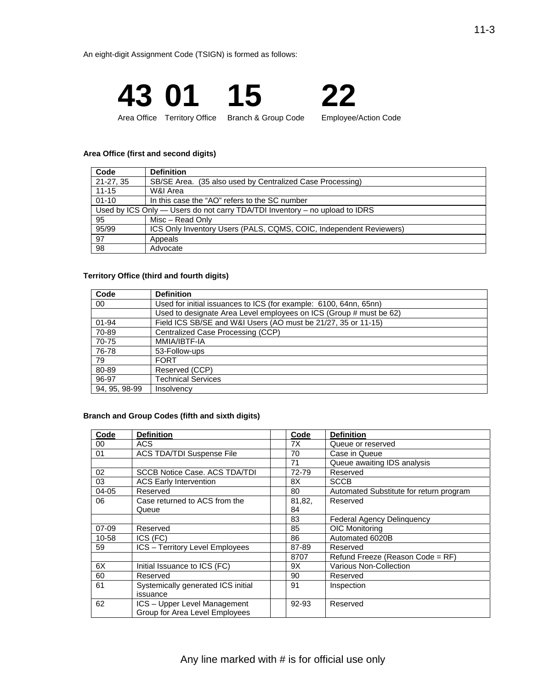An eight-digit Assignment Code (TSIGN) is formed as follows:



#### **Area Office (first and second digits)**

| Code        | <b>Definition</b>                                                               |
|-------------|---------------------------------------------------------------------------------|
| $21-27, 35$ | SB/SE Area. (35 also used by Centralized Case Processing)                       |
| $11 - 15$   | W&I Area                                                                        |
| $01 - 10$   | In this case the "AO" refers to the SC number                                   |
|             | Used by ICS Only $-$ Users do not carry TDA/TDI Inventory $-$ no upload to IDRS |
| 95          | Misc - Read Only                                                                |
| 95/99       | ICS Only Inventory Users (PALS, CQMS, COIC, Independent Reviewers)              |
| 97          | Appeals                                                                         |
| 98          | Advocate                                                                        |

#### **Territory Office (third and fourth digits)**

| Code          | <b>Definition</b>                                                  |
|---------------|--------------------------------------------------------------------|
| 00            | Used for initial issuances to ICS (for example: 6100, 64nn, 65nn)  |
|               | Used to designate Area Level employees on ICS (Group # must be 62) |
| $01 - 94$     | Field ICS SB/SE and W&I Users (AO must be 21/27, 35 or 11-15)      |
| 70-89         | Centralized Case Processing (CCP)                                  |
| 70-75         | MMIA/IBTF-IA                                                       |
| 76-78         | 53-Follow-ups                                                      |
| 79            | <b>FORT</b>                                                        |
| 80-89         | Reserved (CCP)                                                     |
| 96-97         | <b>Technical Services</b>                                          |
| 94, 95, 98-99 | Insolvency                                                         |

#### **Branch and Group Codes (fifth and sixth digits)**

| Code  | <b>Definition</b>                    | Code   | <b>Definition</b>                       |
|-------|--------------------------------------|--------|-----------------------------------------|
| 00    | <b>ACS</b>                           | 7X     | Queue or reserved                       |
| 01    | ACS TDA/TDI Suspense File            | 70     | Case in Queue                           |
|       |                                      | 71     | Queue awaiting IDS analysis             |
| 02    | <b>SCCB Notice Case. ACS TDA/TDI</b> | 72-79  | Reserved                                |
| 03    | <b>ACS Early Intervention</b>        | 8Χ     | <b>SCCB</b>                             |
| 04-05 | Reserved                             | 80     | Automated Substitute for return program |
| 06    | Case returned to ACS from the        | 81,82, | Reserved                                |
|       | Queue                                | 84     |                                         |
|       |                                      | 83     | <b>Federal Agency Delinquency</b>       |
| 07-09 | Reserved                             | 85     | OIC Monitoring                          |
| 10-58 | ICS (FC)                             | 86     | Automated 6020B                         |
| 59    | ICS - Territory Level Employees      | 87-89  | Reserved                                |
|       |                                      | 8707   | Refund Freeze (Reason Code = RF)        |
| 6X    | Initial Issuance to ICS (FC)         | 9Χ     | Various Non-Collection                  |
| 60    | Reserved                             | 90     | Reserved                                |
| 61    | Systemically generated ICS initial   | 91     | Inspection                              |
|       | issuance                             |        |                                         |
| 62    | ICS - Upper Level Management         | 92-93  | Reserved                                |
|       | Group for Area Level Employees       |        |                                         |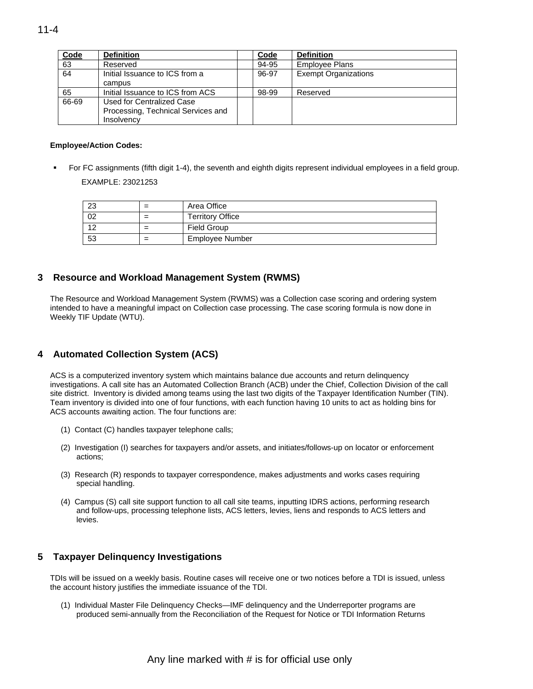| Code  | <b>Definition</b>                  | Code  | <b>Definition</b>           |
|-------|------------------------------------|-------|-----------------------------|
| 63    | Reserved                           | 94-95 | <b>Employee Plans</b>       |
| 64    | Initial Issuance to ICS from a     | 96-97 | <b>Exempt Organizations</b> |
|       | campus                             |       |                             |
| 65    | Initial Issuance to ICS from ACS   | 98-99 | Reserved                    |
| 66-69 | Used for Centralized Case          |       |                             |
|       | Processing, Technical Services and |       |                             |
|       | Insolvency                         |       |                             |

#### **Employee/Action Codes:**

 For FC assignments (fifth digit 1-4), the seventh and eighth digits represent individual employees in a field group. EXAMPLE: 23021253

| -23 | $=$    | Area Office             |
|-----|--------|-------------------------|
| 02  | =      | <b>Territory Office</b> |
| 12  | -<br>= | <b>Field Group</b>      |
| 53  | -<br>= | <b>Employee Number</b>  |

### **3 Resource and Workload Management System (RWMS)**

The Resource and Workload Management System (RWMS) was a Collection case scoring and ordering system intended to have a meaningful impact on Collection case processing. The case scoring formula is now done in Weekly TIF Update (WTU).

### **4 Automated Collection System (ACS)**

ACS is a computerized inventory system which maintains balance due accounts and return delinquency investigations. A call site has an Automated Collection Branch (ACB) under the Chief, Collection Division of the call site district. Inventory is divided among teams using the last two digits of the Taxpayer Identification Number (TIN). Team inventory is divided into one of four functions, with each function having 10 units to act as holding bins for ACS accounts awaiting action. The four functions are:

- (1) Contact (C) handles taxpayer telephone calls;
- (2) Investigation (I) searches for taxpayers and/or assets, and initiates/follows-up on locator or enforcement actions;
- (3) Research (R) responds to taxpayer correspondence, makes adjustments and works cases requiring special handling.
- (4) Campus (S) call site support function to all call site teams, inputting IDRS actions, performing research and follow-ups, processing telephone lists, ACS letters, levies, liens and responds to ACS letters and levies.

### **5 Taxpayer Delinquency Investigations**

TDIs will be issued on a weekly basis. Routine cases will receive one or two notices before a TDI is issued, unless the account history justifies the immediate issuance of the TDI.

(1) Individual Master File Delinquency Checks—IMF delinquency and the Underreporter programs are produced semi-annually from the Reconciliation of the Request for Notice or TDI Information Returns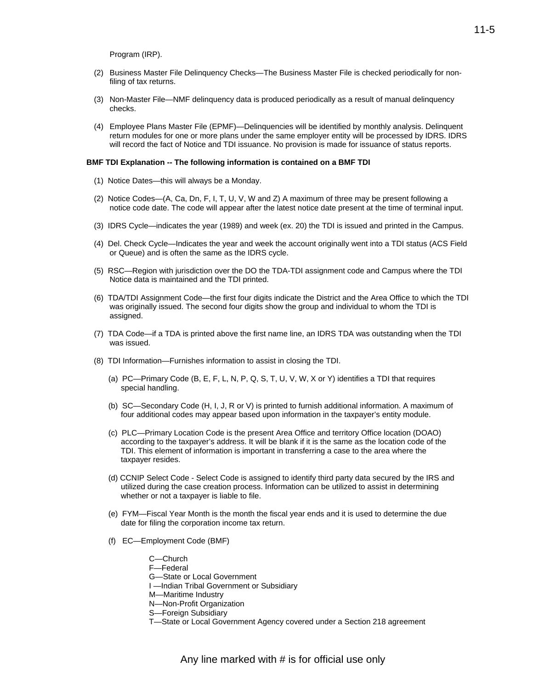Program (IRP).

- (2) Business Master File Delinquency Checks—The Business Master File is checked periodically for nonfiling of tax returns.
- (3) Non-Master File—NMF delinquency data is produced periodically as a result of manual delinquency checks.
- (4) Employee Plans Master File (EPMF)—Delinquencies will be identified by monthly analysis. Delinquent return modules for one or more plans under the same employer entity will be processed by IDRS. IDRS will record the fact of Notice and TDI issuance. No provision is made for issuance of status reports.

#### **BMF TDI Explanation -- The following information is contained on a BMF TDI**

- (1) Notice Dates—this will always be a Monday.
- (2) Notice Codes—(A, Ca, Dn, F, I, T, U, V, W and Z) A maximum of three may be present following a notice code date. The code will appear after the latest notice date present at the time of terminal input.
- (3) IDRS Cycle—indicates the year (1989) and week (ex. 20) the TDI is issued and printed in the Campus.
- (4) Del. Check Cycle—Indicates the year and week the account originally went into a TDI status (ACS Field or Queue) and is often the same as the IDRS cycle.
- (5) RSC—Region with jurisdiction over the DO the TDA-TDI assignment code and Campus where the TDI Notice data is maintained and the TDI printed.
- (6) TDA/TDI Assignment Code—the first four digits indicate the District and the Area Office to which the TDI was originally issued. The second four digits show the group and individual to whom the TDI is assigned.
- (7) TDA Code—if a TDA is printed above the first name line, an IDRS TDA was outstanding when the TDI was issued.
- (8) TDI Information—Furnishes information to assist in closing the TDI.
	- (a) PC—Primary Code (B, E, F, L, N, P, Q, S, T, U, V, W, X or Y) identifies a TDI that requires special handling.
	- (b) SC—Secondary Code (H, I, J, R or V) is printed to furnish additional information. A maximum of four additional codes may appear based upon information in the taxpayer's entity module.
	- (c) PLC—Primary Location Code is the present Area Office and territory Office location (DOAO) according to the taxpayer's address. It will be blank if it is the same as the location code of the TDI. This element of information is important in transferring a case to the area where the taxpayer resides.
	- (d) CCNIP Select Code Select Code is assigned to identify third party data secured by the IRS and utilized during the case creation process. Information can be utilized to assist in determining whether or not a taxpayer is liable to file.
	- (e) FYM—Fiscal Year Month is the month the fiscal year ends and it is used to determine the due date for filing the corporation income tax return.
	- (f) EC—Employment Code (BMF)
		- C—Church F—Federal G—State or Local Government I —Indian Tribal Government or Subsidiary M—Maritime Industry N—Non-Profit Organization S—Foreign Subsidiary
			- T—State or Local Government Agency covered under a Section 218 agreement

11-5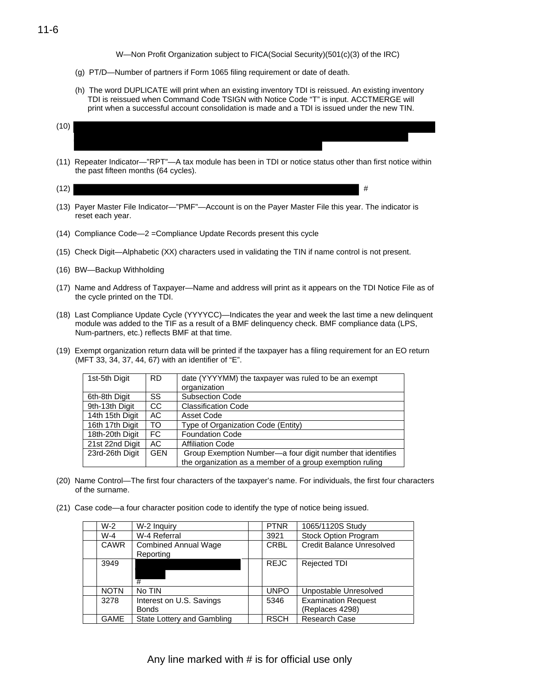W—Non Profit Organization subject to FICA(Social Security)(501(c)(3) of the IRC)

- (g) PT/D—Number of partners if Form 1065 filing requirement or date of death.
- (h) The word DUPLICATE will print when an existing inventory TDI is reissued. An existing inventory TDI is reissued when Command Code TSIGN with Notice Code "T" is input. ACCTMERGE will print when a successful account consolidation is made and a TDI is issued under the new TIN.

| (10) |  |
|------|--|
|      |  |
|      |  |

(11) Repeater Indicator—"RPT"—A tax module has been in TDI or notice status other than first notice within the past fifteen months (64 cycles).

- (13) Payer Master File Indicator—"PMF"—Account is on the Payer Master File this year. The indicator is reset each year.
- (14) Compliance Code—2 =Compliance Update Records present this cycle
- (15) Check Digit—Alphabetic (XX) characters used in validating the TIN if name control is not present.
- (16) BW—Backup Withholding
- (17) Name and Address of Taxpayer—Name and address will print as it appears on the TDI Notice File as of the cycle printed on the TDI.
- (18) Last Compliance Update Cycle (YYYYCC)—Indicates the year and week the last time a new delinquent module was added to the TIF as a result of a BMF delinquency check. BMF compliance data (LPS, Num-partners, etc.) reflects BMF at that time.
- (19) Exempt organization return data will be printed if the taxpayer has a filing requirement for an EO return (MFT 33, 34, 37, 44, 67) with an identifier of "E".

| 1st-5th Digit   | <b>RD</b>  | date (YYYYMM) the taxpayer was ruled to be an exempt       |
|-----------------|------------|------------------------------------------------------------|
|                 |            | organization                                               |
| 6th-8th Digit   | SS.        | <b>Subsection Code</b>                                     |
| 9th-13th Digit  | CC.        | <b>Classification Code</b>                                 |
| 14th 15th Digit | AC         | Asset Code                                                 |
| 16th 17th Digit | <b>TO</b>  | Type of Organization Code (Entity)                         |
| 18th-20th Digit | FC.        | <b>Foundation Code</b>                                     |
| 21st 22nd Digit | AC.        | <b>Affiliation Code</b>                                    |
| 23rd-26th Digit | <b>GEN</b> | Group Exemption Number-a four digit number that identifies |
|                 |            | the organization as a member of a group exemption ruling   |

- (20) Name Control—The first four characters of the taxpayer's name. For individuals, the first four characters of the surname.
- (21) Case code—a four character position code to identify the type of notice being issued.

| $W-2$       | W-2 Inquiry                              | <b>PTNR</b> | 1065/1120S Study                              |
|-------------|------------------------------------------|-------------|-----------------------------------------------|
| $W-4$       | W-4 Referral                             | 3921        | <b>Stock Option Program</b>                   |
| <b>CAWR</b> | <b>Combined Annual Wage</b><br>Reporting | <b>CRBL</b> | <b>Credit Balance Unresolved</b>              |
| 3949        | #                                        | <b>REJC</b> | <b>Rejected TDI</b>                           |
| <b>NOTN</b> | No TIN                                   | <b>UNPO</b> | Unpostable Unresolved                         |
| 3278        | Interest on U.S. Savings<br><b>Bonds</b> | 5346        | <b>Examination Request</b><br>(Replaces 4298) |
| <b>GAME</b> | State Lottery and Gambling               | <b>RSCH</b> | Research Case                                 |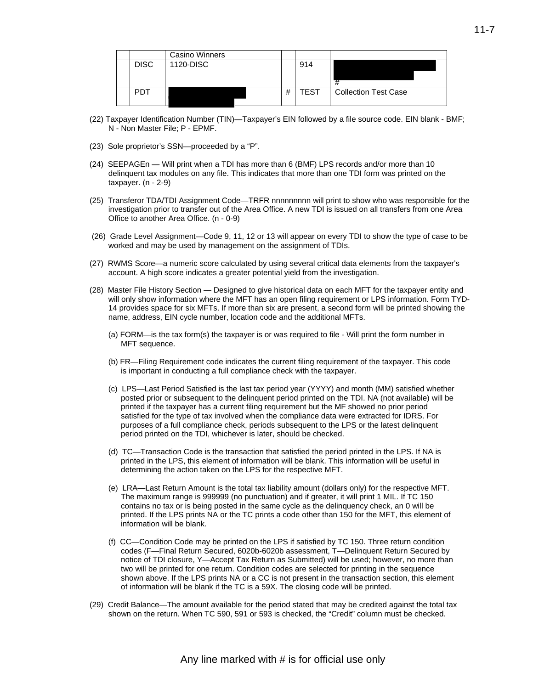|             | <b>Casino Winners</b> |   |             |                             |
|-------------|-----------------------|---|-------------|-----------------------------|
| <b>DISC</b> | 1120-DISC             |   | 914         | #                           |
| <b>PDT</b>  |                       | # | <b>TEST</b> | <b>Collection Test Case</b> |

- (22) Taxpayer Identification Number (TIN)—Taxpayer's EIN followed by a file source code. EIN blank BMF; N - Non Master File; P - EPMF.
- (23) Sole proprietor's SSN—proceeded by a "P".
- (24) SEEPAGEn Will print when a TDI has more than 6 (BMF) LPS records and/or more than 10 delinquent tax modules on any file. This indicates that more than one TDI form was printed on the  $t$ axpayer.  $(n - 2-9)$
- (25) Transferor TDA/TDI Assignment Code—TRFR nnnnnnnnn will print to show who was responsible for the investigation prior to transfer out of the Area Office. A new TDI is issued on all transfers from one Area Office to another Area Office. (n - 0-9)
- worked and may be used by management on the assignment of TDIs. (26) Grade Level Assignment—Code 9, 11, 12 or 13 will appear on every TDI to show the type of case to be
- (27) RWMS Score—a numeric score calculated by using several critical data elements from the taxpayer's account. A high score indicates a greater potential yield from the investigation.
- (28) Master File History Section Designed to give historical data on each MFT for the taxpayer entity and will only show information where the MFT has an open filing requirement or LPS information. Form TYD-14 provides space for six MFTs. If more than six are present, a second form will be printed showing the name, address, EIN cycle number, location code and the additional MFTs.
	- (a) FORM—is the tax form(s) the taxpayer is or was required to file Will print the form number in MFT sequence.
	- (b) FR—Filing Requirement code indicates the current filing requirement of the taxpayer. This code is important in conducting a full compliance check with the taxpayer.
	- (c) LPS—Last Period Satisfied is the last tax period year (YYYY) and month (MM) satisfied whether posted prior or subsequent to the delinquent period printed on the TDI. NA (not available) will be printed if the taxpayer has a current filing requirement but the MF showed no prior period satisfied for the type of tax involved when the compliance data were extracted for IDRS. For purposes of a full compliance check, periods subsequent to the LPS or the latest delinquent period printed on the TDI, whichever is later, should be checked.
	- (d) TC—Transaction Code is the transaction that satisfied the period printed in the LPS. If NA is printed in the LPS, this element of information will be blank. This information will be useful in determining the action taken on the LPS for the respective MFT.
	- (e) LRA—Last Return Amount is the total tax liability amount (dollars only) for the respective MFT. The maximum range is 999999 (no punctuation) and if greater, it will print 1 MIL. If TC 150 contains no tax or is being posted in the same cycle as the delinquency check, an 0 will be printed. If the LPS prints NA or the TC prints a code other than 150 for the MFT, this element of information will be blank.
	- (f) CC—Condition Code may be printed on the LPS if satisfied by TC 150. Three return condition codes (F—Final Return Secured, 6020b-6020b assessment, T—Delinquent Return Secured by notice of TDI closure, Y—Accept Tax Return as Submitted) will be used; however, no more than two will be printed for one return. Condition codes are selected for printing in the sequence shown above. If the LPS prints NA or a CC is not present in the transaction section, this element of information will be blank if the TC is a 59X. The closing code will be printed.
- (29) Credit Balance—The amount available for the period stated that may be credited against the total tax shown on the return. When TC 590, 591 or 593 is checked, the "Credit" column must be checked.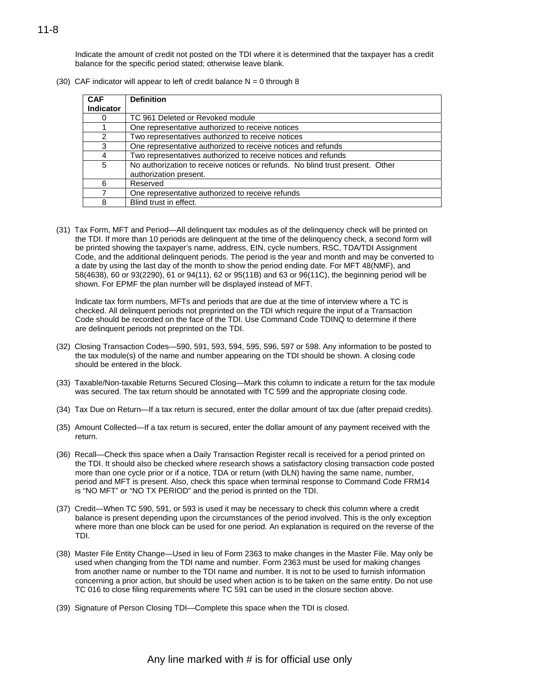Indicate the amount of credit not posted on the TDI where it is determined that the taxpayer has a credit balance for the specific period stated; otherwise leave blank.

(30) CAF indicator will appear to left of credit balance  $N = 0$  through 8

| <b>CAF</b>       | <b>Definition</b>                                                                                       |
|------------------|---------------------------------------------------------------------------------------------------------|
| <b>Indicator</b> |                                                                                                         |
|                  | TC 961 Deleted or Revoked module                                                                        |
|                  | One representative authorized to receive notices                                                        |
| $\mathcal{P}$    | Two representatives authorized to receive notices                                                       |
| 3                | One representative authorized to receive notices and refunds                                            |
| 4                | Two representatives authorized to receive notices and refunds                                           |
| 5                | No authorization to receive notices or refunds. No blind trust present. Other<br>authorization present. |
| 6                | Reserved                                                                                                |
|                  | One representative authorized to receive refunds                                                        |
| 8                | Blind trust in effect.                                                                                  |

(31) Tax Form, MFT and Period—All delinquent tax modules as of the delinquency check will be printed on the TDI. If more than 10 periods are delinquent at the time of the delinquency check, a second form will be printed showing the taxpayer's name, address, EIN, cycle numbers, RSC, TDA/TDI Assignment Code, and the additional delinquent periods. The period is the year and month and may be converted to a date by using the last day of the month to show the period ending date. For MFT 48(NMF), and 58(4638), 60 or 93(2290), 61 or 94(11), 62 or 95(11B) and 63 or 96(11C), the beginning period will be shown. For EPMF the plan number will be displayed instead of MFT.

Indicate tax form numbers, MFTs and periods that are due at the time of interview where a TC is checked. All delinquent periods not preprinted on the TDI which require the input of a Transaction Code should be recorded on the face of the TDI. Use Command Code TDINQ to determine if there are delinquent periods not preprinted on the TDI.

- (32) Closing Transaction Codes—590, 591, 593, 594, 595, 596, 597 or 598. Any information to be posted to the tax module(s) of the name and number appearing on the TDI should be shown. A closing code should be entered in the block.
- (33) Taxable/Non-taxable Returns Secured Closing—Mark this column to indicate a return for the tax module was secured. The tax return should be annotated with TC 599 and the appropriate closing code.
- (34) Tax Due on Return—If a tax return is secured, enter the dollar amount of tax due (after prepaid credits).
- (35) Amount Collected—If a tax return is secured, enter the dollar amount of any payment received with the return.
- (36) Recall—Check this space when a Daily Transaction Register recall is received for a period printed on the TDI. It should also be checked where research shows a satisfactory closing transaction code posted more than one cycle prior or if a notice, TDA or return (with DLN) having the same name, number, period and MFT is present. Also, check this space when terminal response to Command Code FRM14 is "NO MFT" or "NO TX PERIOD" and the period is printed on the TDI.
- (37) Credit—When TC 590, 591, or 593 is used it may be necessary to check this column where a credit balance is present depending upon the circumstances of the period involved. This is the only exception where more than one block can be used for one period. An explanation is required on the reverse of the TDI.
- (38) Master File Entity Change—Used in lieu of Form 2363 to make changes in the Master File. May only be used when changing from the TDI name and number. Form 2363 must be used for making changes from another name or number to the TDI name and number. It is not to be used to furnish information concerning a prior action, but should be used when action is to be taken on the same entity. Do not use TC 016 to close filing requirements where TC 591 can be used in the closure section above.
- (39) Signature of Person Closing TDI—Complete this space when the TDI is closed.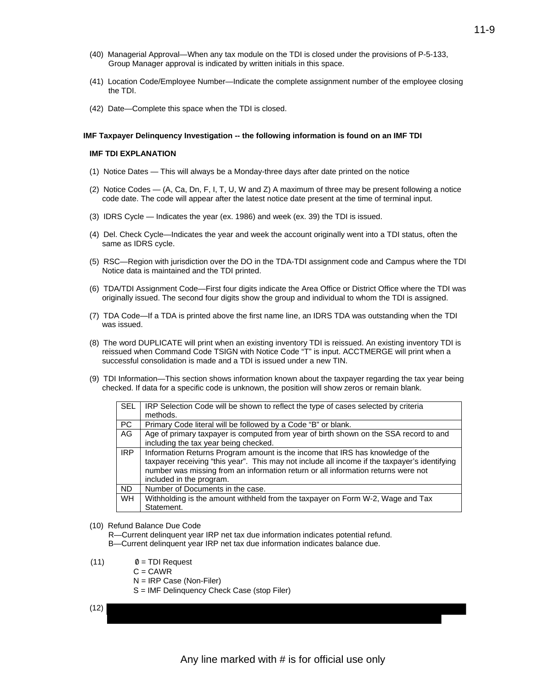- (40) Managerial Approval—When any tax module on the TDI is closed under the provisions of P-5-133, Group Manager approval is indicated by written initials in this space.
- (41) Location Code/Employee Number—Indicate the complete assignment number of the employee closing the TDI.
- (42) Date—Complete this space when the TDI is closed.

#### **IMF Taxpayer Delinquency Investigation -- the following information is found on an IMF TDI**

#### **IMF TDI EXPLANATION**

- (1) Notice Dates This will always be a Monday-three days after date printed on the notice
- (2) Notice Codes (A, Ca, Dn, F, I, T, U, W and Z) A maximum of three may be present following a notice code date. The code will appear after the latest notice date present at the time of terminal input.
- (3) IDRS Cycle Indicates the year (ex. 1986) and week (ex. 39) the TDI is issued.
- (4) Del. Check Cycle—Indicates the year and week the account originally went into a TDI status, often the same as IDRS cycle.
- (5) RSC—Region with jurisdiction over the DO in the TDA-TDI assignment code and Campus where the TDI Notice data is maintained and the TDI printed.
- (6) TDA/TDI Assignment Code—First four digits indicate the Area Office or District Office where the TDI was originally issued. The second four digits show the group and individual to whom the TDI is assigned.
- (7) TDA Code—If a TDA is printed above the first name line, an IDRS TDA was outstanding when the TDI was issued.
- reissued when Command Code TSIGN with Notice Code "T" is input. ACCTMERGE will print when a (8) The word DUPLICATE will print when an existing inventory TDI is reissued. An existing inventory TDI is successful consolidation is made and a TDI is issued under a new TIN.
- (9) TDI Information—This section shows information known about the taxpayer regarding the tax year being checked. If data for a specific code is unknown, the position will show zeros or remain blank.

| <b>SEL</b> | IRP Selection Code will be shown to reflect the type of cases selected by criteria            |
|------------|-----------------------------------------------------------------------------------------------|
|            | methods.                                                                                      |
| <b>PC</b>  | Primary Code literal will be followed by a Code "B" or blank.                                 |
| AG         | Age of primary taxpayer is computed from year of birth shown on the SSA record to and         |
|            | including the tax year being checked.                                                         |
| <b>IRP</b> | Information Returns Program amount is the income that IRS has knowledge of the                |
|            | taxpayer receiving "this year". This may not include all income if the taxpayer's identifying |
|            | number was missing from an information return or all information returns were not             |
|            | included in the program.                                                                      |
| <b>ND</b>  | Number of Documents in the case.                                                              |
| <b>WH</b>  | Withholding is the amount withheld from the taxpayer on Form W-2, Wage and Tax                |
|            | Statement.                                                                                    |

(10) Refund Balance Due Code

R—Current delinquent year IRP net tax due information indicates potential refund. B—Current delinquent year IRP net tax due information indicates balance due.

- $(11)$   $\emptyset$  = TDI Request
	- $C = CAWR$
	- N = IRP Case (Non-Filer)
	- S = IMF Delinquency Check Case (stop Filer)

$$
(12)
$$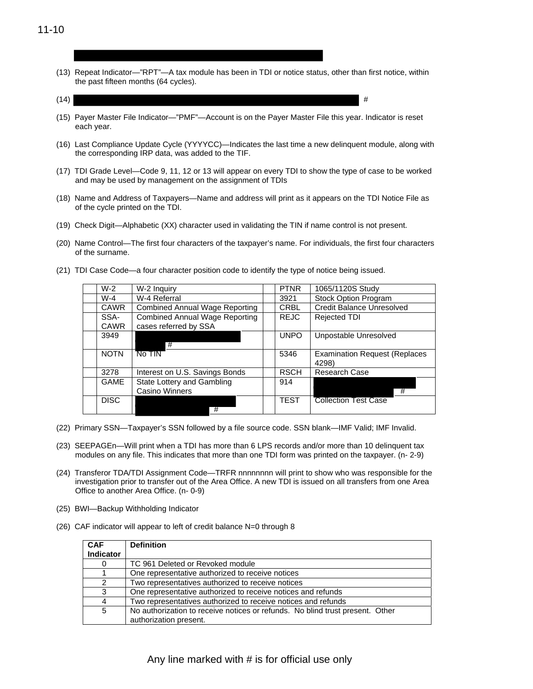(13) Repeat Indicator—"RPT"—A tax module has been in TDI or notice status, other than first notice, within the past fifteen months (64 cycles).

 $(14)$ 

- (15) Payer Master File Indicator—"PMF"—Account is on the Payer Master File this year. Indicator is reset each year.
- (16) Last Compliance Update Cycle (YYYYCC)—Indicates the last time a new delinquent module, along with the corresponding IRP data, was added to the TIF.
- (17) TDI Grade Level—Code 9, 11, 12 or 13 will appear on every TDI to show the type of case to be worked and may be used by management on the assignment of TDIs
- (18) Name and Address of Taxpayers—Name and address will print as it appears on the TDI Notice File as of the cycle printed on the TDI.
- (19) Check Digit—Alphabetic (XX) character used in validating the TIN if name control is not present.
- (20) Name Control—The first four characters of the taxpayer's name. For individuals, the first four characters of the surname.
- (21) TDI Case Code—a four character position code to identify the type of notice being issued.

| W-2         | W-2 Inquiry                           | <b>PTNR</b> | 1065/1120S Study                              |
|-------------|---------------------------------------|-------------|-----------------------------------------------|
| W-4         | W-4 Referral                          | 3921        | Stock Option Program                          |
| <b>CAWR</b> | <b>Combined Annual Wage Reporting</b> | <b>CRBL</b> | <b>Credit Balance Unresolved</b>              |
| SSA-        | <b>Combined Annual Wage Reporting</b> | <b>REJC</b> | <b>Rejected TDI</b>                           |
| <b>CAWR</b> | cases referred by SSA                 |             |                                               |
| 3949        | #                                     | <b>UNPO</b> | Unpostable Unresolved                         |
| <b>NOTN</b> | No TIN                                | 5346        | <b>Examination Request (Replaces</b><br>4298) |
| 3278        | Interest on U.S. Savings Bonds        | <b>RSCH</b> | <b>Research Case</b>                          |
| <b>GAME</b> | State Lottery and Gambling            | 914         |                                               |
|             | Casino Winners                        |             | #                                             |
| <b>DISC</b> | #                                     | <b>TEST</b> | <b>Collection Test Case</b>                   |
|             |                                       |             |                                               |

- (22) Primary SSN—Taxpayer's SSN followed by a file source code. SSN blank—IMF Valid; IMF Invalid.
- (23) SEEPAGEn—Will print when a TDI has more than 6 LPS records and/or more than 10 delinquent tax modules on any file. This indicates that more than one TDI form was printed on the taxpayer. (n- 2-9)
- (24) Transferor TDA/TDI Assignment Code—TRFR nnnnnnnn will print to show who was responsible for the investigation prior to transfer out of the Area Office. A new TDI is issued on all transfers from one Area Office to another Area Office. (n- 0-9)
- (25) BWI—Backup Withholding Indicator
- (26) CAF indicator will appear to left of credit balance N=0 through 8

| <b>CAF</b><br>Indicator | <b>Definition</b>                                                             |
|-------------------------|-------------------------------------------------------------------------------|
| 0                       | TC 961 Deleted or Revoked module                                              |
|                         | One representative authorized to receive notices                              |
| 2                       | Two representatives authorized to receive notices                             |
| 3                       | One representative authorized to receive notices and refunds                  |
| 4                       | Two representatives authorized to receive notices and refunds                 |
| 5                       | No authorization to receive notices or refunds. No blind trust present. Other |
|                         | authorization present.                                                        |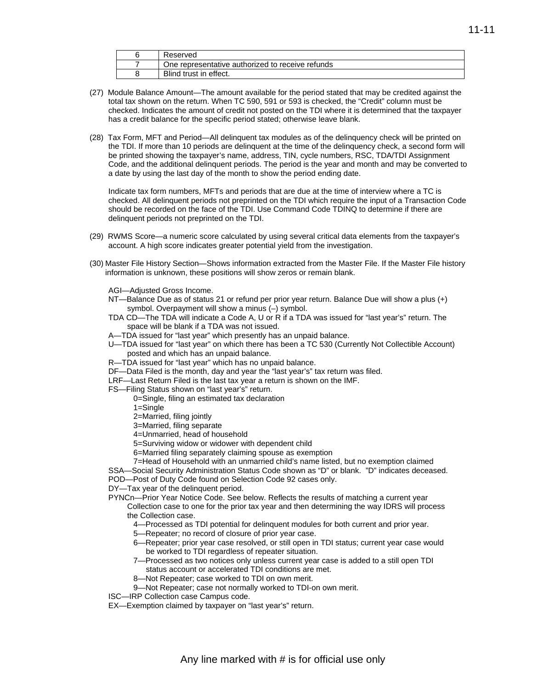| ⊀eserved                                         |
|--------------------------------------------------|
| One representative authorized to receive refunds |
| Blind trust in effect.                           |

- (27) Module Balance Amount—The amount available for the period stated that may be credited against the total tax shown on the return. When TC 590, 591 or 593 is checked, the "Credit" column must be checked. Indicates the amount of credit not posted on the TDI where it is determined that the taxpayer has a credit balance for the specific period stated; otherwise leave blank.
- (28) Tax Form, MFT and Period—All delinquent tax modules as of the delinquency check will be printed on the TDI. If more than 10 periods are delinquent at the time of the delinquency check, a second form will be printed showing the taxpayer's name, address, TIN, cycle numbers, RSC, TDA/TDI Assignment Code, and the additional delinquent periods. The period is the year and month and may be converted to a date by using the last day of the month to show the period ending date.

Indicate tax form numbers, MFTs and periods that are due at the time of interview where a TC is checked. All delinquent periods not preprinted on the TDI which require the input of a Transaction Code should be recorded on the face of the TDI. Use Command Code TDINQ to determine if there are delinquent periods not preprinted on the TDI.

- (29) RWMS Score—a numeric score calculated by using several critical data elements from the taxpayer's account. A high score indicates greater potential yield from the investigation.
- (30) Master File History Section—Shows information extracted from the Master File. If the Master File history information is unknown, these positions will show zeros or remain blank.
	- AGI—Adjusted Gross Income.
	- NT—Balance Due as of status 21 or refund per prior year return. Balance Due will show a plus (+) symbol. Overpayment will show a minus (–) symbol.
	- TDA CD—The TDA will indicate a Code A, U or R if a TDA was issued for "last year's" return. The space will be blank if a TDA was not issued.
	- A—TDA issued for "last year" which presently has an unpaid balance.
	- U—TDA issued for "last year" on which there has been a TC 530 (Currently Not Collectible Account) posted and which has an unpaid balance.
	- R—TDA issued for "last year" which has no unpaid balance.
	- DF—Data Filed is the month, day and year the "last year's" tax return was filed.
	- LRF—Last Return Filed is the last tax year a return is shown on the IMF.
	- FS—Filing Status shown on "last year's" return.
		- 0=Single, filing an estimated tax declaration
		- 1=Single
		- 2=Married, filing jointly
		- 3=Married, filing separate
		- 4=Unmarried, head of household
		- 5=Surviving widow or widower with dependent child
		- 6=Married filing separately claiming spouse as exemption
		- 7=Head of Household with an unmarried child's name listed, but no exemption claimed
	- SSA—Social Security Administration Status Code shown as "D" or blank. "D" indicates deceased.
	- POD—Post of Duty Code found on Selection Code 92 cases only.

DY—Tax year of the delinquent period.

- PYNCn—Prior Year Notice Code. See below. Reflects the results of matching a current year Collection case to one for the prior tax year and then determining the way IDRS will process the Collection case.
	- 4—Processed as TDI potential for delinquent modules for both current and prior year.
	- 5—Repeater; no record of closure of prior year case.
	- 6—Repeater; prior year case resolved, or still open in TDI status; current year case would be worked to TDI regardless of repeater situation.
	- 7—Processed as two notices only unless current year case is added to a still open TDI status account or accelerated TDI conditions are met.
	- 8—Not Repeater; case worked to TDI on own merit.
	- 9—Not Repeater; case not normally worked to TDI-on own merit.
- ISC—IRP Collection case Campus code.
- EX—Exemption claimed by taxpayer on "last year's" return.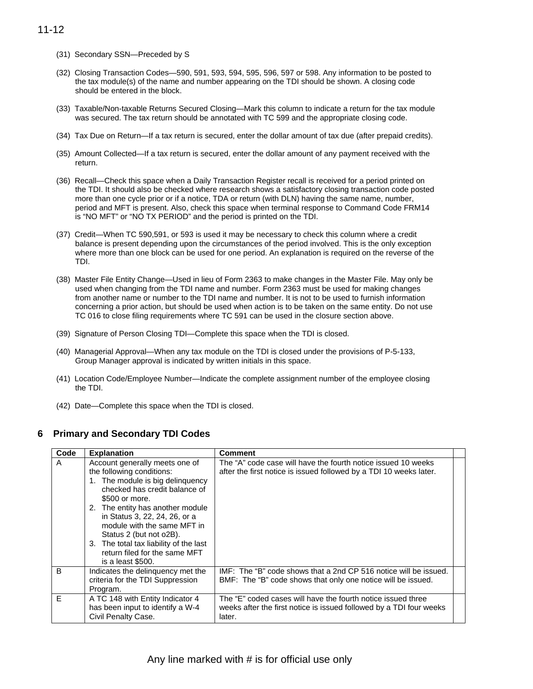- (31) Secondary SSN—Preceded by S
- (32) Closing Transaction Codes—590, 591, 593, 594, 595, 596, 597 or 598. Any information to be posted to the tax module(s) of the name and number appearing on the TDI should be shown. A closing code should be entered in the block.
- (33) Taxable/Non-taxable Returns Secured Closing—Mark this column to indicate a return for the tax module was secured. The tax return should be annotated with TC 599 and the appropriate closing code.
- (34) Tax Due on Return—If a tax return is secured, enter the dollar amount of tax due (after prepaid credits).
- (35) Amount Collected—If a tax return is secured, enter the dollar amount of any payment received with the return.
- (36) Recall—Check this space when a Daily Transaction Register recall is received for a period printed on the TDI. It should also be checked where research shows a satisfactory closing transaction code posted more than one cycle prior or if a notice, TDA or return (with DLN) having the same name, number, period and MFT is present. Also, check this space when terminal response to Command Code FRM14 is "NO MFT" or "NO TX PERIOD" and the period is printed on the TDI.
- (37) Credit—When TC 590,591, or 593 is used it may be necessary to check this column where a credit balance is present depending upon the circumstances of the period involved. This is the only exception where more than one block can be used for one period. An explanation is required on the reverse of the TDI.
- (38) Master File Entity Change—Used in lieu of Form 2363 to make changes in the Master File. May only be used when changing from the TDI name and number. Form 2363 must be used for making changes from another name or number to the TDI name and number. It is not to be used to furnish information concerning a prior action, but should be used when action is to be taken on the same entity. Do not use TC 016 to close filing requirements where TC 591 can be used in the closure section above.
- (39) Signature of Person Closing TDI—Complete this space when the TDI is closed.
- (40) Managerial Approval—When any tax module on the TDI is closed under the provisions of P-5-133, Group Manager approval is indicated by written initials in this space.
- (41) Location Code/Employee Number—Indicate the complete assignment number of the employee closing the TDI.
- (42) Date—Complete this space when the TDI is closed.

### **6 Primary and Secondary TDI Codes**

| Code | <b>Explanation</b>                                                                                                                                                                                                                                                                                                                                                                | <b>Comment</b>                                                                                                                                |  |
|------|-----------------------------------------------------------------------------------------------------------------------------------------------------------------------------------------------------------------------------------------------------------------------------------------------------------------------------------------------------------------------------------|-----------------------------------------------------------------------------------------------------------------------------------------------|--|
| A    | Account generally meets one of<br>the following conditions:<br>1. The module is big delinquency<br>checked has credit balance of<br>\$500 or more.<br>2. The entity has another module<br>in Status 3, 22, 24, 26, or a<br>module with the same MFT in<br>Status 2 (but not o2B).<br>3. The total tax liability of the last<br>return filed for the same MFT<br>is a least \$500. | The "A" code case will have the fourth notice issued 10 weeks<br>after the first notice is issued followed by a TDI 10 weeks later.           |  |
| B    | Indicates the delinguency met the<br>criteria for the TDI Suppression<br>Program.                                                                                                                                                                                                                                                                                                 | IMF: The "B" code shows that a 2nd CP 516 notice will be issued.<br>BMF: The "B" code shows that only one notice will be issued.              |  |
| E    | A TC 148 with Entity Indicator 4<br>has been input to identify a W-4<br>Civil Penalty Case.                                                                                                                                                                                                                                                                                       | The "E" coded cases will have the fourth notice issued three<br>weeks after the first notice is issued followed by a TDI four weeks<br>later. |  |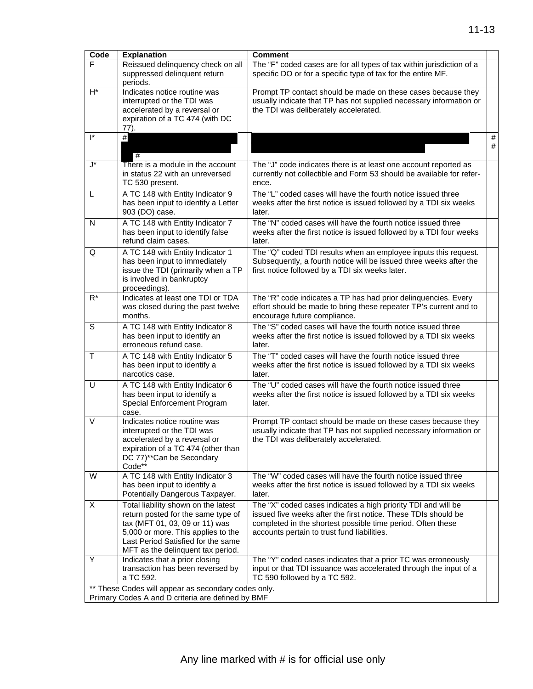| Code                 | <b>Explanation</b>                                                                                                                                                                                                           | <b>Comment</b>                                                                                                                                                                                                                                |        |
|----------------------|------------------------------------------------------------------------------------------------------------------------------------------------------------------------------------------------------------------------------|-----------------------------------------------------------------------------------------------------------------------------------------------------------------------------------------------------------------------------------------------|--------|
| E                    | Reissued delinquency check on all<br>suppressed delinquent return                                                                                                                                                            | The "F" coded cases are for all types of tax within jurisdiction of a<br>specific DO or for a specific type of tax for the entire MF.                                                                                                         |        |
| $H^*$                | periods.<br>Indicates notice routine was                                                                                                                                                                                     | Prompt TP contact should be made on these cases because they                                                                                                                                                                                  |        |
|                      | interrupted or the TDI was<br>accelerated by a reversal or<br>expiration of a TC 474 (with DC                                                                                                                                | usually indicate that TP has not supplied necessary information or<br>the TDI was deliberately accelerated.                                                                                                                                   |        |
|                      | 77).                                                                                                                                                                                                                         |                                                                                                                                                                                                                                               |        |
| $\mathsf{I}^*$       | $#$<br>#                                                                                                                                                                                                                     |                                                                                                                                                                                                                                               | #<br># |
| $\mathsf{J}^{\star}$ | There is a module in the account<br>in status 22 with an unreversed<br>TC 530 present.                                                                                                                                       | The "J" code indicates there is at least one account reported as<br>currently not collectible and Form 53 should be available for refer-<br>ence.                                                                                             |        |
| L                    | A TC 148 with Entity Indicator 9<br>has been input to identify a Letter<br>903 (DO) case.                                                                                                                                    | The "L" coded cases will have the fourth notice issued three<br>weeks after the first notice is issued followed by a TDI six weeks<br>later.                                                                                                  |        |
| N                    | A TC 148 with Entity Indicator 7<br>has been input to identify false<br>refund claim cases.                                                                                                                                  | The "N" coded cases will have the fourth notice issued three<br>weeks after the first notice is issued followed by a TDI four weeks<br>later.                                                                                                 |        |
| Q                    | A TC 148 with Entity Indicator 1<br>has been input to immediately<br>issue the TDI (primarily when a TP<br>is involved in bankruptcy<br>proceedings).                                                                        | The "Q" coded TDI results when an employee inputs this request.<br>Subsequently, a fourth notice will be issued three weeks after the<br>first notice followed by a TDI six weeks later.                                                      |        |
| $R^*$                | Indicates at least one TDI or TDA<br>was closed during the past twelve<br>months.                                                                                                                                            | The "R" code indicates a TP has had prior delinquencies. Every<br>effort should be made to bring these repeater TP's current and to<br>encourage future compliance.                                                                           |        |
| S                    | A TC 148 with Entity Indicator 8<br>has been input to identify an<br>erroneous refund case.                                                                                                                                  | The "S" coded cases will have the fourth notice issued three<br>weeks after the first notice is issued followed by a TDI six weeks<br>later.                                                                                                  |        |
| $\mathsf{T}$         | A TC 148 with Entity Indicator 5<br>has been input to identify a<br>narcotics case.                                                                                                                                          | The "T" coded cases will have the fourth notice issued three<br>weeks after the first notice is issued followed by a TDI six weeks<br>later.                                                                                                  |        |
| U                    | A TC 148 with Entity Indicator 6<br>has been input to identify a<br>Special Enforcement Program<br>case.                                                                                                                     | The "U" coded cases will have the fourth notice issued three<br>weeks after the first notice is issued followed by a TDI six weeks<br>later.                                                                                                  |        |
| V                    | Indicates notice routine was<br>interrupted or the TDI was<br>accelerated by a reversal or<br>expiration of a TC 474 (other than<br>DC 77)**Can be Secondary<br>Code**                                                       | Prompt TP contact should be made on these cases because they<br>usually indicate that TP has not supplied necessary information or<br>the TDI was deliberately accelerated.                                                                   |        |
| W                    | A TC 148 with Entity Indicator 3<br>has been input to identify a<br>Potentially Dangerous Taxpayer.                                                                                                                          | The "W" coded cases will have the fourth notice issued three<br>weeks after the first notice is issued followed by a TDI six weeks<br>later.                                                                                                  |        |
| X                    | Total liability shown on the latest<br>return posted for the same type of<br>tax (MFT 01, 03, 09 or 11) was<br>5,000 or more. This applies to the<br>Last Period Satisfied for the same<br>MFT as the delinquent tax period. | The "X" coded cases indicates a high priority TDI and will be<br>issued five weeks after the first notice. These TDIs should be<br>completed in the shortest possible time period. Often these<br>accounts pertain to trust fund liabilities. |        |
| Υ                    | Indicates that a prior closing<br>transaction has been reversed by<br>a TC 592.                                                                                                                                              | The "Y" coded cases indicates that a prior TC was erroneously<br>input or that TDI issuance was accelerated through the input of a<br>TC 590 followed by a TC 592.                                                                            |        |
|                      | ** These Codes will appear as secondary codes only.<br>Primary Codes A and D criteria are defined by BMF                                                                                                                     |                                                                                                                                                                                                                                               |        |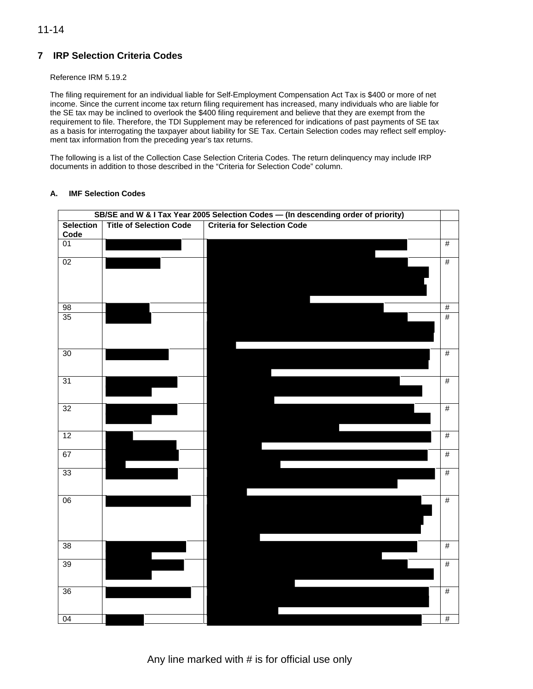# **7 IRP Selection Criteria Codes**

### Reference IRM 5.19.2

The filing requirement for an individual liable for Self-Employment Compensation Act Tax is \$400 or more of net income. Since the current income tax return filing requirement has increased, many individuals who are liable for the SE tax may be inclined to overlook the \$400 filing requirement and believe that they are exempt from the requirement to file. Therefore, the TDI Supplement may be referenced for indications of past payments of SE tax as a basis for interrogating the taxpayer about liability for SE Tax. Certain Selection codes may reflect self employment tax information from the preceding year's tax returns.

The following is a list of the Collection Case Selection Criteria Codes. The return delinquency may include IRP documents in addition to those described in the "Criteria for Selection Code" column.

### **A. IMF Selection Codes**

|                  |                                | SB/SE and W & I Tax Year 2005 Selection Codes - (In descending order of priority) |                 |
|------------------|--------------------------------|-----------------------------------------------------------------------------------|-----------------|
| <b>Selection</b> | <b>Title of Selection Code</b> | <b>Criteria for Selection Code</b>                                                |                 |
| Code             |                                |                                                                                   |                 |
| 01               |                                |                                                                                   | #               |
|                  |                                |                                                                                   |                 |
| 02               |                                |                                                                                   | #               |
|                  |                                |                                                                                   |                 |
|                  |                                |                                                                                   |                 |
|                  |                                |                                                                                   |                 |
| 98               |                                |                                                                                   | $\overline{\#}$ |
| 35               |                                |                                                                                   | #               |
|                  |                                |                                                                                   |                 |
|                  |                                |                                                                                   |                 |
|                  |                                |                                                                                   |                 |
| 30               |                                |                                                                                   | #               |
|                  |                                |                                                                                   |                 |
|                  |                                |                                                                                   |                 |
| 31               |                                |                                                                                   | #               |
|                  |                                |                                                                                   |                 |
|                  |                                |                                                                                   |                 |
| 32               |                                |                                                                                   | $\#$            |
|                  |                                |                                                                                   |                 |
| 12               |                                |                                                                                   | $\overline{\#}$ |
|                  |                                |                                                                                   |                 |
| 67               |                                |                                                                                   | #               |
|                  |                                |                                                                                   |                 |
| 33               |                                |                                                                                   | $\overline{\#}$ |
|                  |                                |                                                                                   |                 |
|                  |                                |                                                                                   |                 |
| 06               |                                |                                                                                   | $\overline{\#}$ |
|                  |                                |                                                                                   |                 |
|                  |                                |                                                                                   |                 |
|                  |                                |                                                                                   |                 |
| 38               |                                |                                                                                   | #               |
|                  |                                |                                                                                   |                 |
| 39               |                                |                                                                                   | $\overline{\#}$ |
|                  |                                |                                                                                   |                 |
|                  |                                |                                                                                   |                 |
| 36               |                                |                                                                                   | #               |
|                  |                                |                                                                                   |                 |
|                  |                                |                                                                                   |                 |
| 04               |                                |                                                                                   | #               |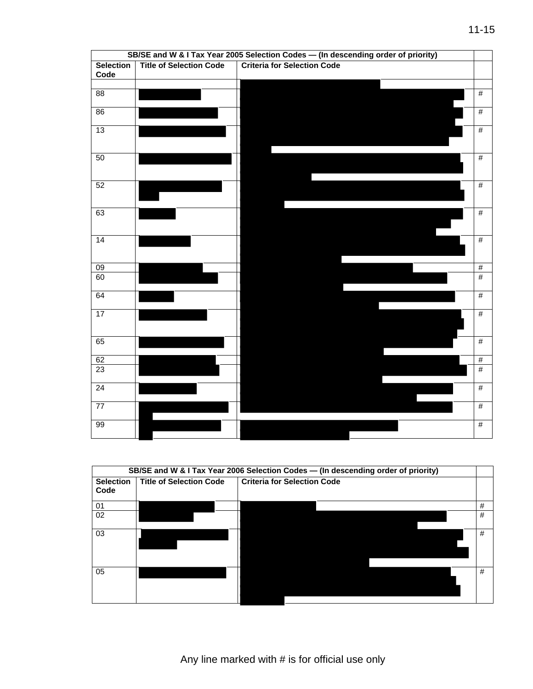|                          |                                | SB/SE and W & I Tax Year 2005 Selection Codes - (In descending order of priority) |      |
|--------------------------|--------------------------------|-----------------------------------------------------------------------------------|------|
| <b>Selection</b><br>Code | <b>Title of Selection Code</b> | <b>Criteria for Selection Code</b>                                                |      |
|                          |                                |                                                                                   |      |
| 88                       |                                |                                                                                   | #    |
| 86                       |                                |                                                                                   | #    |
| 13                       |                                |                                                                                   | $\#$ |
| 50                       |                                |                                                                                   | #    |
| 52                       |                                |                                                                                   | $\#$ |
| 63                       |                                |                                                                                   | #    |
| 14                       |                                |                                                                                   | #    |
| 09                       |                                |                                                                                   | #    |
| 60                       |                                |                                                                                   | #    |
| 64                       |                                |                                                                                   | #    |
| $\overline{17}$          |                                |                                                                                   | #    |
| 65                       |                                |                                                                                   | #    |
| 62                       |                                |                                                                                   | $\#$ |
| 23                       |                                |                                                                                   | #    |
| $\overline{24}$          |                                |                                                                                   | #    |
| $\overline{77}$          |                                |                                                                                   | #    |
| 99                       |                                |                                                                                   | #    |

|                          |                                | SB/SE and W & I Tax Year 2006 Selection Codes - (In descending order of priority) |   |
|--------------------------|--------------------------------|-----------------------------------------------------------------------------------|---|
| <b>Selection</b><br>Code | <b>Title of Selection Code</b> | <b>Criteria for Selection Code</b>                                                |   |
| 01                       |                                |                                                                                   | # |
| 02                       |                                |                                                                                   | # |
| 03                       |                                |                                                                                   | # |
| 05                       |                                |                                                                                   | # |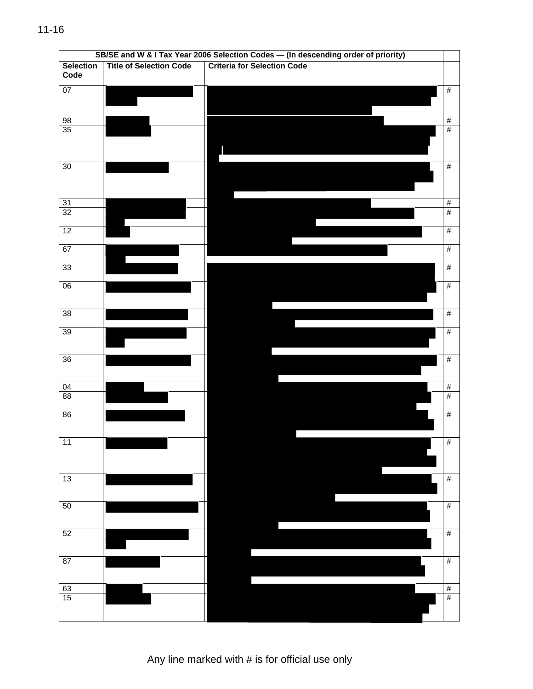|                  |                                | SB/SE and W & I Tax Year 2006 Selection Codes - (In descending order of priority) |                 |
|------------------|--------------------------------|-----------------------------------------------------------------------------------|-----------------|
| <b>Selection</b> | <b>Title of Selection Code</b> | <b>Criteria for Selection Code</b>                                                |                 |
| Code             |                                |                                                                                   |                 |
| 07               |                                |                                                                                   | $\frac{1}{2}$   |
|                  |                                |                                                                                   |                 |
|                  |                                |                                                                                   |                 |
| 98               |                                |                                                                                   | $\frac{1}{2}$   |
| 35               |                                |                                                                                   | $\overline{\#}$ |
|                  |                                |                                                                                   |                 |
|                  |                                |                                                                                   |                 |
|                  |                                |                                                                                   |                 |
| 30               |                                |                                                                                   | #               |
|                  |                                |                                                                                   |                 |
|                  |                                |                                                                                   |                 |
| 31               |                                |                                                                                   | $\frac{1}{2}$   |
| 32               |                                |                                                                                   | #               |
|                  |                                |                                                                                   |                 |
| 12               |                                |                                                                                   | $\frac{1}{2}$   |
|                  |                                |                                                                                   |                 |
| 67               |                                |                                                                                   | $\frac{1}{2}$   |
| 33               |                                |                                                                                   | $\#$            |
|                  |                                |                                                                                   |                 |
| 06               |                                |                                                                                   | $\frac{1}{2}$   |
|                  |                                |                                                                                   |                 |
|                  |                                |                                                                                   |                 |
| $\overline{38}$  |                                |                                                                                   | $\frac{1}{2}$   |
|                  |                                |                                                                                   |                 |
| 39               |                                |                                                                                   | $\#$            |
|                  |                                |                                                                                   |                 |
| $\overline{36}$  |                                |                                                                                   | $\#$            |
|                  |                                |                                                                                   |                 |
|                  |                                |                                                                                   |                 |
| $\overline{04}$  |                                |                                                                                   | #               |
| 88               |                                |                                                                                   | #               |
|                  |                                |                                                                                   |                 |
| 86               |                                |                                                                                   | $\#$            |
|                  |                                |                                                                                   |                 |
| 11               |                                |                                                                                   | $\overline{\#}$ |
|                  |                                |                                                                                   |                 |
|                  |                                |                                                                                   |                 |
|                  |                                |                                                                                   |                 |
| 13               |                                |                                                                                   | $\frac{1}{2}$   |
|                  |                                |                                                                                   |                 |
| 50               |                                |                                                                                   | $\frac{1}{2}$   |
|                  |                                |                                                                                   |                 |
|                  |                                |                                                                                   |                 |
| 52               |                                |                                                                                   | $\frac{1}{2}$   |
|                  |                                |                                                                                   |                 |
|                  |                                |                                                                                   |                 |
| $\overline{87}$  |                                |                                                                                   | $\frac{1}{2}$   |
|                  |                                |                                                                                   |                 |
|                  |                                |                                                                                   | $\frac{1}{2}$   |
| $\frac{63}{15}$  |                                |                                                                                   | $\overline{\#}$ |
|                  |                                |                                                                                   |                 |
|                  |                                |                                                                                   |                 |

Any line marked with # is for official use only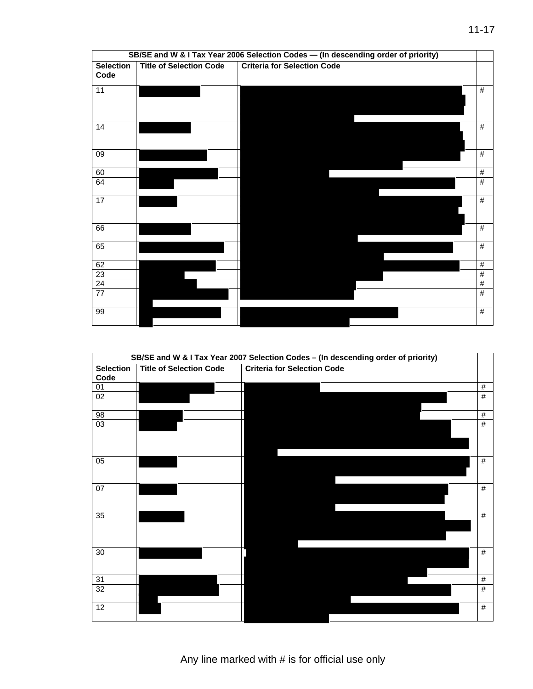|                          |                                | SB/SE and W & I Tax Year 2006 Selection Codes - (In descending order of priority) |      |
|--------------------------|--------------------------------|-----------------------------------------------------------------------------------|------|
| <b>Selection</b><br>Code | <b>Title of Selection Code</b> | <b>Criteria for Selection Code</b>                                                |      |
| 11                       |                                |                                                                                   | #    |
| 14                       |                                |                                                                                   | $\#$ |
| 09                       |                                |                                                                                   | #    |
| 60                       |                                |                                                                                   | #    |
| 64                       |                                |                                                                                   | $\#$ |
| 17                       |                                |                                                                                   | #    |
| 66                       |                                |                                                                                   | #    |
| 65                       |                                |                                                                                   | #    |
| 62                       |                                |                                                                                   | #    |
| $\overline{23}$          |                                |                                                                                   | $\#$ |
| $\frac{24}{77}$          |                                |                                                                                   | $\#$ |
|                          |                                |                                                                                   | #    |
| 99                       |                                |                                                                                   | #    |

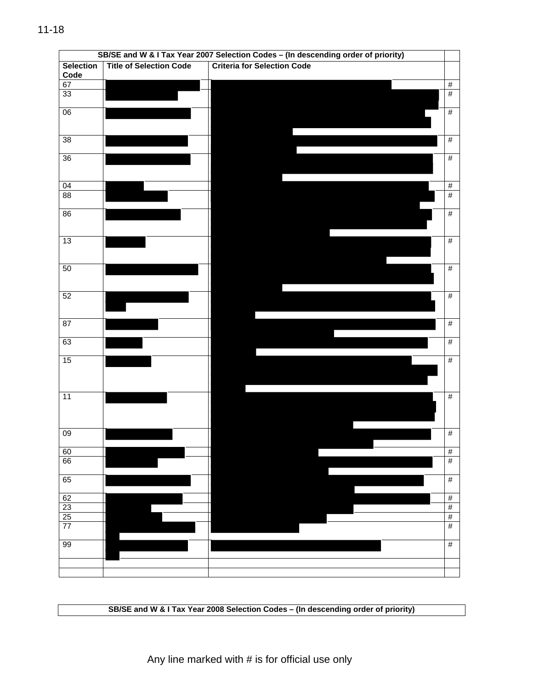|                  |                                | SB/SE and W & I Tax Year 2007 Selection Codes - (In descending order of priority) |                 |
|------------------|--------------------------------|-----------------------------------------------------------------------------------|-----------------|
| <b>Selection</b> | <b>Title of Selection Code</b> | <b>Criteria for Selection Code</b>                                                |                 |
| Code             |                                |                                                                                   |                 |
| 67               |                                |                                                                                   | $\frac{1}{2}$   |
| 33               |                                |                                                                                   | #               |
| $\overline{06}$  |                                |                                                                                   | #               |
|                  |                                |                                                                                   |                 |
|                  |                                |                                                                                   |                 |
| $\overline{38}$  |                                |                                                                                   | $\frac{1}{2}$   |
| 36               |                                |                                                                                   | $\#$            |
|                  |                                |                                                                                   |                 |
|                  |                                |                                                                                   |                 |
| $\overline{04}$  |                                |                                                                                   | $\frac{1}{2}$   |
| 88               |                                |                                                                                   | #               |
| 86               |                                |                                                                                   | $\#$            |
|                  |                                |                                                                                   |                 |
|                  |                                |                                                                                   |                 |
| $\overline{13}$  |                                |                                                                                   | #               |
|                  |                                |                                                                                   |                 |
| 50               |                                |                                                                                   | $\#$            |
|                  |                                |                                                                                   |                 |
|                  |                                |                                                                                   |                 |
| 52               |                                |                                                                                   | $\frac{1}{2}$   |
|                  |                                |                                                                                   |                 |
| $\overline{87}$  |                                |                                                                                   | $\frac{1}{2}$   |
|                  |                                |                                                                                   |                 |
| 63               |                                |                                                                                   | $\#$            |
|                  |                                |                                                                                   |                 |
| 15               |                                |                                                                                   | #               |
|                  |                                |                                                                                   |                 |
|                  |                                |                                                                                   |                 |
| $\overline{11}$  |                                |                                                                                   | #               |
|                  |                                |                                                                                   |                 |
|                  |                                |                                                                                   |                 |
| 09               |                                |                                                                                   | $\#$            |
|                  |                                |                                                                                   |                 |
| 60               |                                |                                                                                   | $\frac{1}{2}$   |
| 66               |                                |                                                                                   | $\overline{\#}$ |
| 65               |                                |                                                                                   | $\overline{\#}$ |
|                  |                                |                                                                                   |                 |
| 62               |                                |                                                                                   | $\#$            |
| $\frac{23}{25}$  |                                |                                                                                   | $\overline{\#}$ |
|                  |                                |                                                                                   | $\#$            |
| 77               |                                |                                                                                   | #               |
| 99               |                                |                                                                                   | $\#$            |
|                  |                                |                                                                                   |                 |
|                  |                                |                                                                                   |                 |
|                  |                                |                                                                                   |                 |

**SB/SE and W & I Tax Year 2008 Selection Codes – (In descending order of priority)**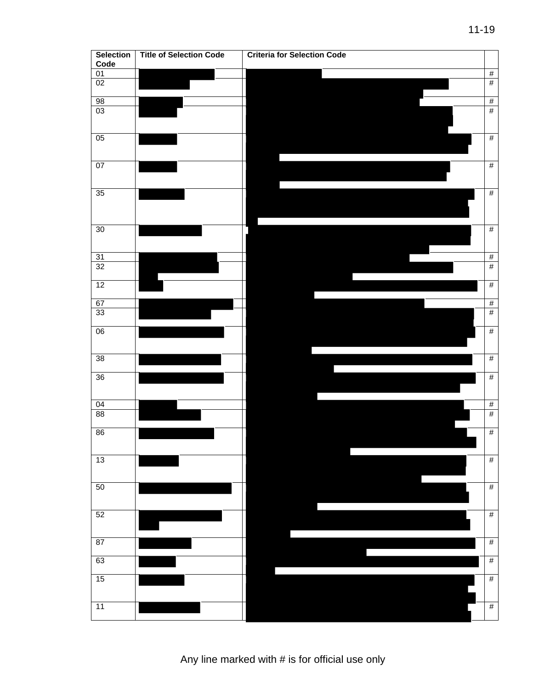| <b>Selection</b><br>Code | <b>Title of Selection Code</b> | <b>Criteria for Selection Code</b> |
|--------------------------|--------------------------------|------------------------------------|
| 01                       |                                | $\#$                               |
| 02                       |                                | $\#$                               |
| 98                       |                                |                                    |
| 03                       |                                | $\frac{\#}{\#}$                    |
| 05                       |                                | $\#$                               |
| 07                       |                                | $\#$                               |
| 35                       |                                | $\#$                               |
| 30                       |                                | $\#$                               |
| $\overline{31}$          |                                | $\#$                               |
| 32                       |                                | $\#$                               |
| 12                       |                                | $\#$                               |
| 67                       |                                | $\#$                               |
| 33                       |                                | $\#$                               |
| 06                       |                                | $\#$                               |
| 38                       |                                | $\#$                               |
| $36\,$                   |                                | #                                  |
| 04                       |                                | $\frac{\#}{\#}$                    |
| 88                       |                                |                                    |
| 86                       |                                | $\overline{\#}$                    |
| 13                       |                                | $\#$                               |
| 50                       |                                | $\#$                               |
| 52                       |                                | $\#$                               |
| 87                       |                                | $\#$                               |
| 63                       |                                | $\#$                               |
| 15                       |                                | $\#$                               |
| 11                       |                                | $\#$                               |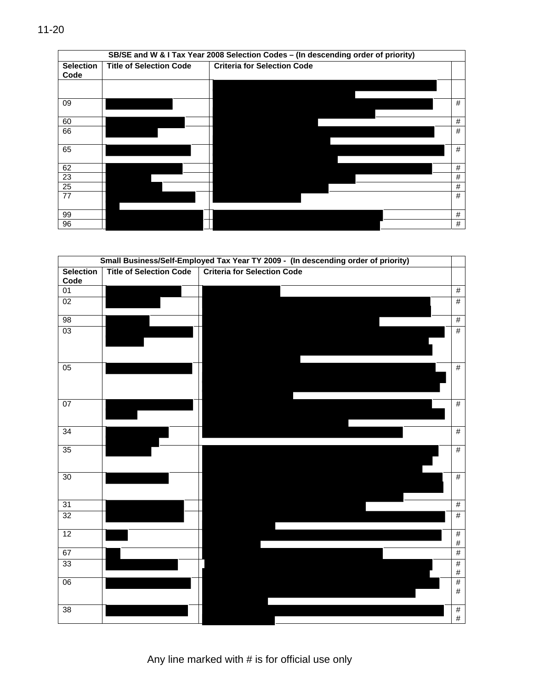|  | × |
|--|---|

|                          |                                | SB/SE and W & I Tax Year 2008 Selection Codes - (In descending order of priority) |   |
|--------------------------|--------------------------------|-----------------------------------------------------------------------------------|---|
| <b>Selection</b><br>Code | <b>Title of Selection Code</b> | <b>Criteria for Selection Code</b>                                                |   |
|                          |                                |                                                                                   |   |
| 09                       |                                |                                                                                   | # |
| 60                       |                                |                                                                                   | # |
| 66                       |                                |                                                                                   | # |
| 65                       |                                |                                                                                   | # |
| 62                       |                                |                                                                                   | # |
| 23                       |                                |                                                                                   | # |
| 25                       |                                |                                                                                   | # |
| 77                       |                                |                                                                                   | # |
| 99                       |                                |                                                                                   | # |
| 96                       |                                |                                                                                   | # |

|                          |                                | Small Business/Self-Employed Tax Year TY 2009 - (In descending order of priority) |                       |
|--------------------------|--------------------------------|-----------------------------------------------------------------------------------|-----------------------|
| <b>Selection</b><br>Code | <b>Title of Selection Code</b> | <b>Criteria for Selection Code</b>                                                |                       |
| $\overline{01}$          |                                |                                                                                   | $\frac{1}{2}$         |
| 02                       |                                |                                                                                   | #                     |
| 98                       |                                |                                                                                   | #                     |
| 03                       |                                |                                                                                   | #                     |
| 05                       |                                |                                                                                   | $\#$                  |
| 07                       |                                |                                                                                   | #                     |
| $\overline{34}$          |                                |                                                                                   | #                     |
| 35                       |                                |                                                                                   | $\#$                  |
| 30                       |                                |                                                                                   | #                     |
| 31                       |                                |                                                                                   | $\frac{1}{2}$         |
| 32                       |                                |                                                                                   | #                     |
| 12                       |                                |                                                                                   | #<br>$\#$             |
| 67                       |                                |                                                                                   | #                     |
| 33                       |                                |                                                                                   | #<br>$\#$             |
| 06                       |                                |                                                                                   | $\frac{1}{2}$<br>$\#$ |
| 38                       |                                |                                                                                   | $\#$<br>$\#$          |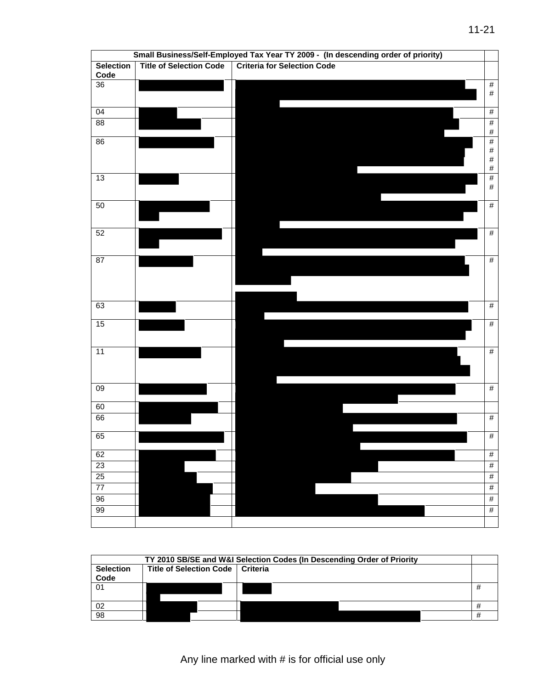|                 |                                | Small Business/Self-Employed Tax Year TY 2009 - (In descending order of priority) |                 |
|-----------------|--------------------------------|-----------------------------------------------------------------------------------|-----------------|
| Selection       | <b>Title of Selection Code</b> | <b>Criteria for Selection Code</b>                                                |                 |
| Code            |                                |                                                                                   |                 |
| $\overline{36}$ |                                |                                                                                   | $\frac{1}{2}$   |
|                 |                                |                                                                                   | $\#$            |
| $\overline{04}$ |                                |                                                                                   | $\#$            |
|                 |                                |                                                                                   |                 |
| $\overline{88}$ |                                |                                                                                   | $\#$<br>$\#$    |
| 86              |                                |                                                                                   | $\overline{\#}$ |
|                 |                                |                                                                                   | $\#$            |
|                 |                                |                                                                                   | $\#$            |
|                 |                                |                                                                                   | $\#$            |
| 13              |                                |                                                                                   | $\#$<br>$\#$    |
|                 |                                |                                                                                   |                 |
| 50              |                                |                                                                                   | $\#$            |
|                 |                                |                                                                                   |                 |
|                 |                                |                                                                                   |                 |
| 52              |                                |                                                                                   | #               |
|                 |                                |                                                                                   |                 |
| 87              |                                |                                                                                   | #               |
|                 |                                |                                                                                   |                 |
|                 |                                |                                                                                   |                 |
|                 |                                |                                                                                   |                 |
| 63              |                                |                                                                                   | #               |
|                 |                                |                                                                                   |                 |
| 15              |                                |                                                                                   | #               |
|                 |                                |                                                                                   |                 |
| 11              |                                |                                                                                   | #               |
|                 |                                |                                                                                   |                 |
|                 |                                |                                                                                   |                 |
|                 |                                |                                                                                   |                 |
| 09              |                                |                                                                                   | #               |
| 60              |                                |                                                                                   |                 |
| 66              |                                |                                                                                   | #               |
|                 |                                |                                                                                   |                 |
| 65              |                                |                                                                                   | #               |
|                 |                                |                                                                                   |                 |
| 62              |                                |                                                                                   | $\overline{\#}$ |
| 23              |                                |                                                                                   | $\overline{\#}$ |
| 25              |                                |                                                                                   | #               |
| 77              |                                |                                                                                   | $\overline{\#}$ |
| 96              |                                |                                                                                   | #               |
| 99              |                                |                                                                                   | #               |
|                 |                                |                                                                                   |                 |

|                          |                                    | TY 2010 SB/SE and W&I Selection Codes (In Descending Order of Priority |  |
|--------------------------|------------------------------------|------------------------------------------------------------------------|--|
| <b>Selection</b><br>Code | Title of Selection Code   Criteria |                                                                        |  |
| 01                       |                                    |                                                                        |  |
| 02                       |                                    |                                                                        |  |
| 98                       |                                    |                                                                        |  |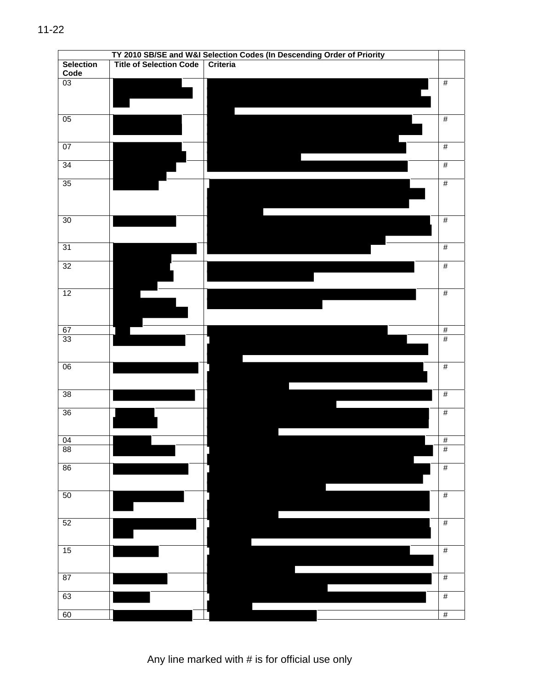|                          |                                |          | TY 2010 SB/SE and W&I Selection Codes (In Descending Order of Priority |                 |
|--------------------------|--------------------------------|----------|------------------------------------------------------------------------|-----------------|
| <b>Selection</b><br>Code | <b>Title of Selection Code</b> | Criteria |                                                                        |                 |
| 03                       |                                |          |                                                                        | $\overline{\#}$ |
| 05                       |                                |          |                                                                        | $\#$            |
| 07                       |                                |          |                                                                        | $\#$            |
| 34                       |                                |          |                                                                        | $\#$            |
| 35                       |                                |          |                                                                        | $\#$            |
| 30                       |                                |          |                                                                        | $\#$            |
| 31                       |                                |          |                                                                        | $\#$            |
| 32                       |                                |          |                                                                        | $\overline{\#}$ |
| 12                       |                                |          |                                                                        | #               |
| 67                       |                                |          |                                                                        | $\frac{\#}{\#}$ |
| 33 <sup>2</sup>          |                                |          |                                                                        |                 |
| 06                       |                                |          |                                                                        | #               |
| 38                       |                                |          |                                                                        | $\overline{\#}$ |
| 36                       |                                |          |                                                                        | $\overline{\#}$ |
| 04                       |                                |          |                                                                        | $\#$            |
| 88                       |                                |          |                                                                        | $\#$            |
| 86                       |                                |          |                                                                        | $\overline{\#}$ |
| 50                       |                                |          |                                                                        | $\#$            |
| 52                       |                                |          |                                                                        | $\#$            |
| 15                       |                                |          |                                                                        | $\frac{1}{2}$   |
| 87                       |                                |          |                                                                        | $\#$            |
| 63                       |                                |          |                                                                        | #               |
| 60                       |                                |          |                                                                        | $\overline{\#}$ |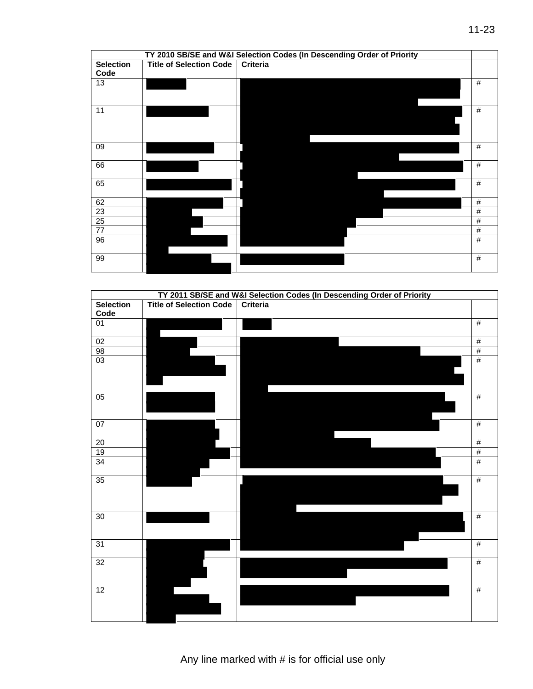| TY 2010 SB/SE and W&I Selection Codes (In Descending Order of Priority |                                |                 |      |  |  |
|------------------------------------------------------------------------|--------------------------------|-----------------|------|--|--|
| <b>Selection</b>                                                       | <b>Title of Selection Code</b> | <b>Criteria</b> |      |  |  |
| Code                                                                   |                                |                 |      |  |  |
| 13                                                                     |                                |                 | $\#$ |  |  |
|                                                                        |                                |                 |      |  |  |
|                                                                        |                                |                 |      |  |  |
| 11                                                                     |                                |                 | #    |  |  |
|                                                                        |                                |                 |      |  |  |
|                                                                        |                                |                 |      |  |  |
| 09                                                                     |                                |                 | $\#$ |  |  |
|                                                                        |                                |                 |      |  |  |
| 66                                                                     |                                |                 | $\#$ |  |  |
|                                                                        |                                |                 |      |  |  |
| 65                                                                     |                                |                 | #    |  |  |
|                                                                        |                                |                 |      |  |  |
| 62                                                                     |                                |                 | $\#$ |  |  |
| $\overline{23}$                                                        |                                |                 | #    |  |  |
| 25                                                                     |                                |                 | $\#$ |  |  |
| $\overline{77}$                                                        |                                |                 | #    |  |  |
| 96                                                                     |                                |                 | #    |  |  |
|                                                                        |                                |                 |      |  |  |
| 99                                                                     |                                |                 | #    |  |  |
|                                                                        |                                |                 |      |  |  |

|                  | TY 2011 SB/SE and W&I Selection Codes (In Descending Order of Priority |          |                 |  |  |
|------------------|------------------------------------------------------------------------|----------|-----------------|--|--|
| <b>Selection</b> | <b>Title of Selection Code</b>                                         | Criteria |                 |  |  |
| Code             |                                                                        |          |                 |  |  |
| $\overline{01}$  |                                                                        |          | #               |  |  |
| 02               |                                                                        |          | #               |  |  |
| $\frac{98}{03}$  |                                                                        |          | $\overline{\#}$ |  |  |
|                  |                                                                        |          | #               |  |  |
| 05               |                                                                        |          | $\#$            |  |  |
| 07               |                                                                        |          | $\overline{\#}$ |  |  |
| 20               |                                                                        |          | #               |  |  |
| 19               |                                                                        |          | #               |  |  |
| 34               |                                                                        |          | $\#$            |  |  |
| 35               |                                                                        |          | #               |  |  |
| $\overline{30}$  |                                                                        |          | #               |  |  |
| 31               |                                                                        |          | #               |  |  |
| 32               |                                                                        |          | #               |  |  |
| 12               |                                                                        |          | #               |  |  |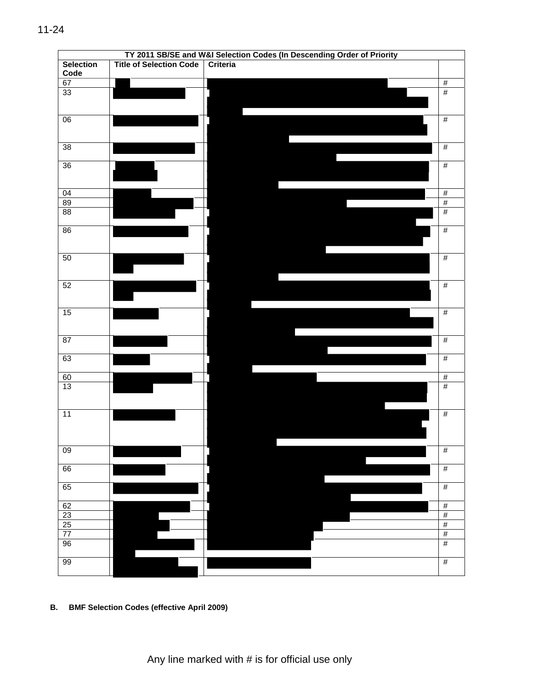|                          | TY 2011 SB/SE and W&I Selection Codes (In Descending Order of Priority |          |  |  |                 |
|--------------------------|------------------------------------------------------------------------|----------|--|--|-----------------|
| <b>Selection</b><br>Code | <b>Title of Selection Code</b>                                         | Criteria |  |  |                 |
| 67                       |                                                                        |          |  |  | $\overline{\#}$ |
| 33                       |                                                                        |          |  |  | $\#$            |
|                          |                                                                        |          |  |  |                 |
| $\overline{06}$          |                                                                        |          |  |  | $\#$            |
| 38                       |                                                                        |          |  |  | $\frac{1}{2}$   |
| 36                       |                                                                        |          |  |  | $\overline{\#}$ |
| 04                       |                                                                        |          |  |  | $\overline{\#}$ |
| 89                       |                                                                        |          |  |  | $\#$            |
| 88                       |                                                                        |          |  |  | $\overline{\#}$ |
| 86                       |                                                                        |          |  |  | $\#$            |
| 50                       |                                                                        |          |  |  | $\#$            |
| 52                       |                                                                        |          |  |  | $\#$            |
| 15                       |                                                                        |          |  |  | #               |
| 87                       |                                                                        |          |  |  | $\#$            |
| 63                       |                                                                        |          |  |  | $\overline{\#}$ |
|                          |                                                                        |          |  |  |                 |
| $\frac{60}{13}$          |                                                                        |          |  |  | $\frac{\#}{\#}$ |
| 11                       |                                                                        |          |  |  | $\overline{\#}$ |
| $\overline{09}$          |                                                                        |          |  |  | $\#$            |
| 66                       |                                                                        |          |  |  | $\overline{\#}$ |
| 65                       |                                                                        |          |  |  | $\frac{1}{2}$   |
| 62                       |                                                                        |          |  |  | $\overline{\#}$ |
| 23                       |                                                                        |          |  |  | #               |
| 25                       |                                                                        |          |  |  | $\overline{\#}$ |
| $\overline{77}$          |                                                                        |          |  |  | $\#$            |
| 96                       |                                                                        |          |  |  | $\#$            |
| 99                       |                                                                        |          |  |  | $\#$            |

**B. BMF Selection Codes (effective April 2009)**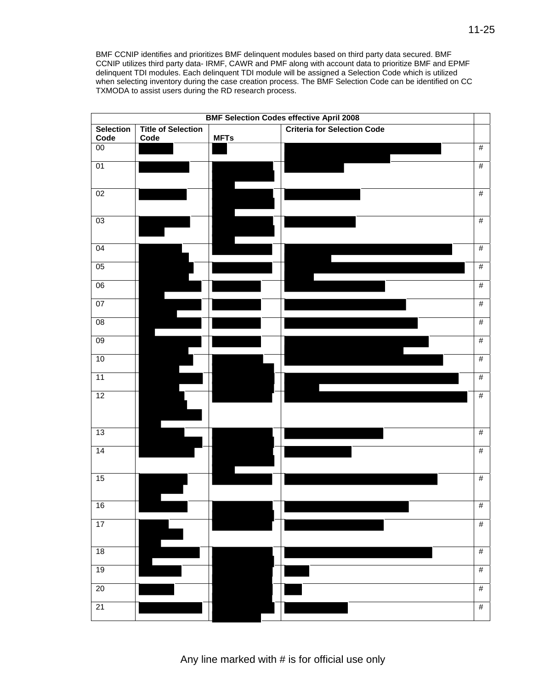BMF CCNIP identifies and prioritizes BMF delinquent modules based on third party data secured. BMF CCNIP utilizes third party data- IRMF, CAWR and PMF along with account data to prioritize BMF and EPMF delinquent TDI modules. Each delinquent TDI module will be assigned a Selection Code which is utilized when selecting inventory during the case creation process. The BMF Selection Code can be identified on CC TXMODA to assist users during the RD research process.

| <b>BMF Selection Codes effective April 2008</b> |                           |             |                                    |                 |  |
|-------------------------------------------------|---------------------------|-------------|------------------------------------|-----------------|--|
| <b>Selection</b>                                | <b>Title of Selection</b> |             | <b>Criteria for Selection Code</b> |                 |  |
| Code                                            | Code                      | <b>MFTs</b> |                                    |                 |  |
| 00                                              |                           |             |                                    | $\#$            |  |
| 01                                              |                           |             |                                    | $\#$            |  |
| 02                                              |                           |             |                                    | #               |  |
| $\overline{03}$                                 |                           |             |                                    | $\frac{1}{2}$   |  |
| $\overline{04}$                                 |                           |             |                                    | #               |  |
| 05                                              |                           |             |                                    | $\#$            |  |
| 06                                              |                           |             |                                    | #               |  |
| 07                                              |                           |             |                                    | #               |  |
| 08                                              |                           |             |                                    | $\frac{1}{2}$   |  |
| 09                                              |                           |             |                                    | #               |  |
| 10                                              |                           |             |                                    | $\overline{\#}$ |  |
| 11                                              |                           |             |                                    | $\#$            |  |
| 12                                              |                           |             |                                    | $\frac{1}{2}$   |  |
| 13                                              |                           |             |                                    | $\overline{\#}$ |  |
| $\overline{14}$                                 |                           |             |                                    | #               |  |
| 15                                              |                           |             |                                    | #               |  |
| 16                                              |                           |             |                                    | #               |  |
| 17                                              |                           |             |                                    | $\#$            |  |
| $\overline{18}$                                 |                           |             |                                    | $\frac{1}{2}$   |  |
| 19                                              |                           |             |                                    | $\frac{1}{2}$   |  |
| $\overline{20}$                                 |                           |             |                                    | $\overline{\#}$ |  |
| $\overline{21}$                                 |                           |             |                                    | $\overline{\#}$ |  |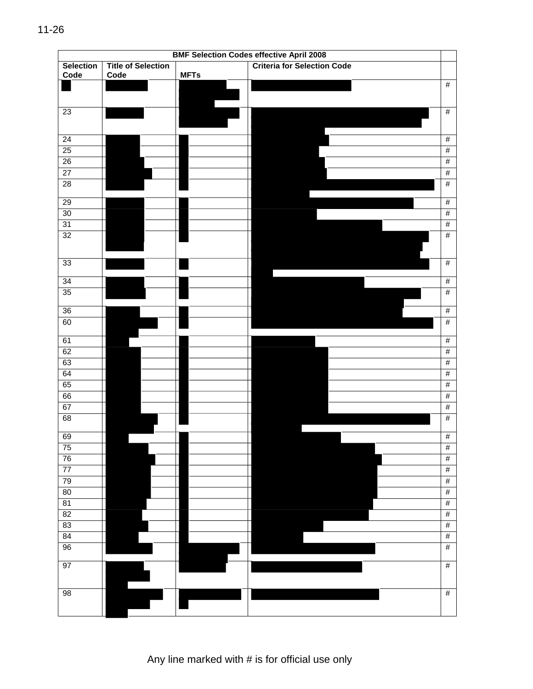|                          |                                   |             | <b>BMF Selection Codes effective April 2008</b> |                 |
|--------------------------|-----------------------------------|-------------|-------------------------------------------------|-----------------|
| <b>Selection</b><br>Code | <b>Title of Selection</b><br>Code | <b>MFTs</b> | <b>Criteria for Selection Code</b>              |                 |
|                          |                                   |             |                                                 | #               |
| $\overline{23}$          |                                   |             |                                                 | $\frac{1}{2}$   |
|                          |                                   |             |                                                 |                 |
| $\overline{24}$          |                                   |             |                                                 | $\frac{1}{2}$   |
| 25                       |                                   |             |                                                 | $\overline{\#}$ |
| 26                       |                                   |             |                                                 | #               |
| $\overline{27}$          |                                   |             |                                                 | $\overline{\#}$ |
| $\overline{28}$          |                                   |             |                                                 | $\frac{1}{2}$   |
| 29                       |                                   |             |                                                 | #               |
| 30                       |                                   |             |                                                 | $\overline{\#}$ |
| 31                       |                                   |             |                                                 | #               |
| 32                       |                                   |             |                                                 | $\overline{\#}$ |
| 33                       |                                   |             |                                                 | $\frac{1}{2}$   |
| $\overline{34}$          |                                   |             |                                                 | $\frac{1}{2}$   |
| 35                       |                                   |             |                                                 | $\frac{1}{2}$   |
| $\overline{36}$          |                                   |             |                                                 | #               |
| 60                       |                                   |             |                                                 | #               |
| 61                       |                                   |             |                                                 | #               |
| 62                       |                                   |             |                                                 | $\overline{\#}$ |
| 63                       |                                   |             |                                                 | #               |
| 64                       |                                   |             |                                                 | $\overline{\#}$ |
| 65                       |                                   |             |                                                 | $\frac{1}{2}$   |
| 66                       |                                   |             |                                                 | $\overline{\#}$ |
| 67                       |                                   |             |                                                 | $\frac{1}{2}$   |
| 68                       |                                   |             |                                                 | #               |
| 69                       |                                   |             |                                                 | #               |
| 75                       |                                   |             |                                                 | $\frac{1}{2}$   |
| 76                       |                                   |             |                                                 | $\overline{\#}$ |
| $\overline{77}$          |                                   |             |                                                 | $\frac{1}{2}$   |
| 79                       |                                   |             |                                                 | $\#$            |
| 80                       |                                   |             |                                                 | $\#$            |
| 81                       |                                   |             |                                                 | $\overline{\#}$ |
| $\overline{82}$          |                                   |             |                                                 | $\#$            |
| 83                       |                                   |             |                                                 | $\overline{\#}$ |
| 84                       |                                   |             |                                                 | $\#$            |
| 96                       |                                   |             |                                                 | $\overline{\#}$ |
| 97                       |                                   |             |                                                 | $\#$            |
| 98                       |                                   |             |                                                 | $\overline{\#}$ |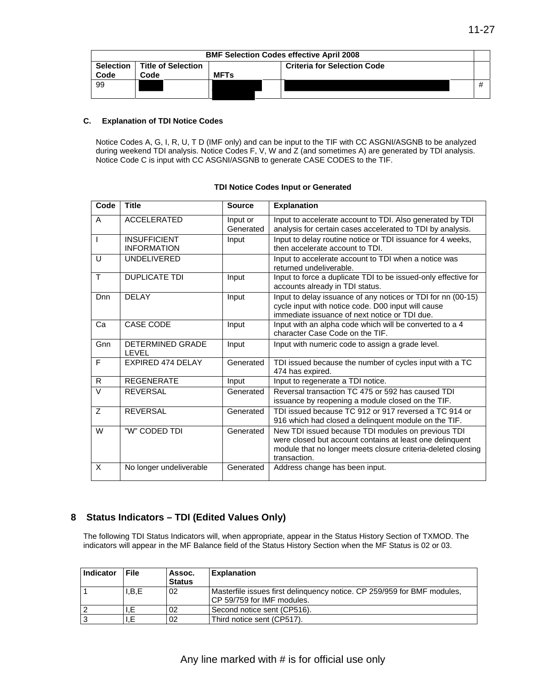|                   | <b>BMF Selection Codes effective April 2008</b> |             |                                    |   |  |  |  |
|-------------------|-------------------------------------------------|-------------|------------------------------------|---|--|--|--|
| Selection<br>Code | Title of Selection<br>Code                      | <b>MFTs</b> | <b>Criteria for Selection Code</b> |   |  |  |  |
| 99                |                                                 |             |                                    | # |  |  |  |

#### **C. Explanation of TDI Notice Codes**

Notice Codes A, G, I, R, U, T D (IMF only) and can be input to the TIF with CC ASGNI/ASGNB to be analyzed during weekend TDI analysis. Notice Codes F, V, W and Z (and sometimes A) are generated by TDI analysis. Notice Code C is input with CC ASGNI/ASGNB to generate CASE CODES to the TIF.

| Code           | <b>Title</b>                              | <b>Source</b>         | <b>Explanation</b>                                                                                                                                                                             |
|----------------|-------------------------------------------|-----------------------|------------------------------------------------------------------------------------------------------------------------------------------------------------------------------------------------|
| A              | <b>ACCELERATED</b>                        | Input or<br>Generated | Input to accelerate account to TDI. Also generated by TDI<br>analysis for certain cases accelerated to TDI by analysis.                                                                        |
| $\mathsf{l}$   | <b>INSUFFICIENT</b><br><b>INFORMATION</b> | Input                 | Input to delay routine notice or TDI issuance for 4 weeks,<br>then accelerate account to TDI.                                                                                                  |
| U              | <b>UNDELIVERED</b>                        |                       | Input to accelerate account to TDI when a notice was<br>returned undeliverable.                                                                                                                |
| T              | <b>DUPLICATE TDI</b>                      | Input                 | Input to force a duplicate TDI to be issued-only effective for<br>accounts already in TDI status.                                                                                              |
| Dnn            | DELAY                                     | Input                 | Input to delay issuance of any notices or TDI for nn (00-15)<br>cycle input with notice code. D00 input will cause<br>immediate issuance of next notice or TDI due.                            |
| Ca             | <b>CASE CODE</b>                          | Input                 | Input with an alpha code which will be converted to a 4<br>character Case Code on the TIF.                                                                                                     |
| Gnn            | DETERMINED GRADE<br>LEVEL                 | Input                 | Input with numeric code to assign a grade level.                                                                                                                                               |
| F              | <b>EXPIRED 474 DELAY</b>                  | Generated             | TDI issued because the number of cycles input with a TC<br>474 has expired.                                                                                                                    |
| R              | <b>REGENERATE</b>                         | Input                 | Input to regenerate a TDI notice.                                                                                                                                                              |
| $\vee$         | <b>REVERSAL</b>                           | Generated             | Reversal transaction TC 475 or 592 has caused TDI<br>issuance by reopening a module closed on the TIF.                                                                                         |
| $\overline{z}$ | <b>REVERSAL</b>                           | Generated             | TDI issued because TC 912 or 917 reversed a TC 914 or<br>916 which had closed a delinquent module on the TIF.                                                                                  |
| W              | "W" CODED TDI                             | Generated             | New TDI issued because TDI modules on previous TDI<br>were closed but account contains at least one delinquent<br>module that no longer meets closure criteria-deleted closing<br>transaction. |
| X              | No longer undeliverable                   | Generated             | Address change has been input.                                                                                                                                                                 |

#### **TDI Notice Codes Input or Generated**

### **8 Status Indicators – TDI (Edited Values Only)**

The following TDI Status Indicators will, when appropriate, appear in the Status History Section of TXMOD. The indicators will appear in the MF Balance field of the Status History Section when the MF Status is 02 or 03.

| Indicator | File  | Assoc.<br><b>Status</b> | <b>Explanation</b>                                                                                    |
|-----------|-------|-------------------------|-------------------------------------------------------------------------------------------------------|
|           | I,B,E | 02                      | Masterfile issues first delinguency notice. CP 259/959 for BMF modules.<br>CP 59/759 for IMF modules. |
|           |       | 02                      | Second notice sent (CP516).                                                                           |
|           |       | 02                      | Third notice sent (CP517).                                                                            |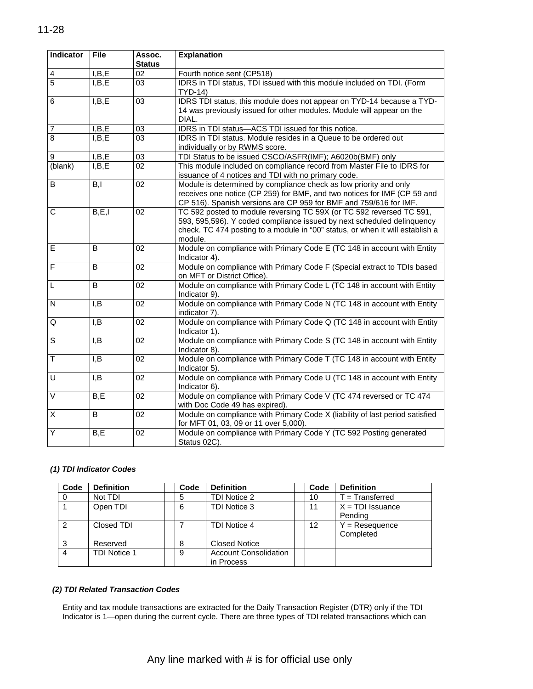| Indicator               | <b>File</b>      | Assoc.<br><b>Status</b> | <b>Explanation</b>                                                                                                                                                                                                                         |
|-------------------------|------------------|-------------------------|--------------------------------------------------------------------------------------------------------------------------------------------------------------------------------------------------------------------------------------------|
| $\overline{\mathbf{4}}$ | I, B, E          | 02                      | Fourth notice sent (CP518)                                                                                                                                                                                                                 |
| $\overline{5}$          | I, B, E          | 03                      | IDRS in TDI status, TDI issued with this module included on TDI. (Form<br>TYD-14)                                                                                                                                                          |
| 6                       | I, B, E          | 03                      | IDRS TDI status, this module does not appear on TYD-14 because a TYD-<br>14 was previously issued for other modules. Module will appear on the<br>DIAL.                                                                                    |
| $\overline{7}$          | I, B, E          | 03                      | IDRS in TDI status-ACS TDI issued for this notice.                                                                                                                                                                                         |
| $\overline{8}$          | I, B, E          | 03                      | IDRS in TDI status. Module resides in a Queue to be ordered out<br>individually or by RWMS score.                                                                                                                                          |
| $\boldsymbol{9}$        | I, B, E          | 03                      | TDI Status to be issued CSCO/ASFR(IMF); A6020b(BMF) only                                                                                                                                                                                   |
| (blank)                 | I, B, E          | 02 <sub>2</sub>         | This module included on compliance record from Master File to IDRS for<br>issuance of 4 notices and TDI with no primary code.                                                                                                              |
| $\overline{B}$          | $\overline{B,I}$ | $\overline{02}$         | Module is determined by compliance check as low priority and only<br>receives one notice (CP 259) for BMF, and two notices for IMF (CP 59 and<br>CP 516). Spanish versions are CP 959 for BMF and 759/616 for IMF.                         |
| С                       | B, E, I          | 02                      | TC 592 posted to module reversing TC 59X (or TC 592 reversed TC 591,<br>593, 595,596). Y coded compliance issued by next scheduled delinguency<br>check. TC 474 posting to a module in "00" status, or when it will establish a<br>module. |
| E                       | B                | 02                      | Module on compliance with Primary Code E (TC 148 in account with Entity<br>Indicator 4).                                                                                                                                                   |
| $\overline{F}$          | B                | 02                      | Module on compliance with Primary Code F (Special extract to TDIs based<br>on MFT or District Office).                                                                                                                                     |
| L                       | B                | 02                      | Module on compliance with Primary Code L (TC 148 in account with Entity<br>Indicator 9).                                                                                                                                                   |
| $\mathsf{N}$            | I, B             | 02 <sub>2</sub>         | Module on compliance with Primary Code N (TC 148 in account with Entity<br>indicator 7).                                                                                                                                                   |
| Q                       | I, B             | 02                      | Module on compliance with Primary Code Q (TC 148 in account with Entity<br>Indicator 1).                                                                                                                                                   |
| S                       | I, B             | 02                      | Module on compliance with Primary Code S (TC 148 in account with Entity<br>Indicator 8).                                                                                                                                                   |
| $\mathsf T$             | I, B             | 02                      | Module on compliance with Primary Code T (TC 148 in account with Entity<br>Indicator 5).                                                                                                                                                   |
| $\overline{\mathsf{U}}$ | I, B             | 02                      | Module on compliance with Primary Code U (TC 148 in account with Entity<br>Indicator 6).                                                                                                                                                   |
| $\overline{\vee}$       | B, E             | 02                      | Module on compliance with Primary Code V (TC 474 reversed or TC 474<br>with Doc Code 49 has expired).                                                                                                                                      |
| $\overline{\mathsf{X}}$ | B                | 02                      | Module on compliance with Primary Code X (liability of last period satisfied<br>for MFT 01, 03, 09 or 11 over 5,000).                                                                                                                      |
| Υ                       | B, E             | 02                      | Module on compliance with Primary Code Y (TC 592 Posting generated<br>Status 02C).                                                                                                                                                         |

### *(1) TDI Indicator Codes*

| Code           | <b>Definition</b> | Code | <b>Definition</b>            | Code | <b>Definition</b>  |
|----------------|-------------------|------|------------------------------|------|--------------------|
|                | Not TDI           |      | TDI Notice 2                 | 10   | $T =$ Transferred  |
|                | Open TDI          | 6    | TDI Notice 3                 | 11   | $X = TDI$ Issuance |
|                |                   |      |                              |      | Pending            |
| $\mathfrak{p}$ | Closed TDI        |      | TDI Notice 4                 | 12   | $Y =$ Resequence   |
|                |                   |      |                              |      | Completed          |
| 3              | Reserved          | 8    | <b>Closed Notice</b>         |      |                    |
| 4              | TDI Notice 1      | 9    | <b>Account Consolidation</b> |      |                    |
|                |                   |      | in Process                   |      |                    |

### *(2) TDI Related Transaction Codes*

Entity and tax module transactions are extracted for the Daily Transaction Register (DTR) only if the TDI Indicator is 1—open during the current cycle. There are three types of TDI related transactions which can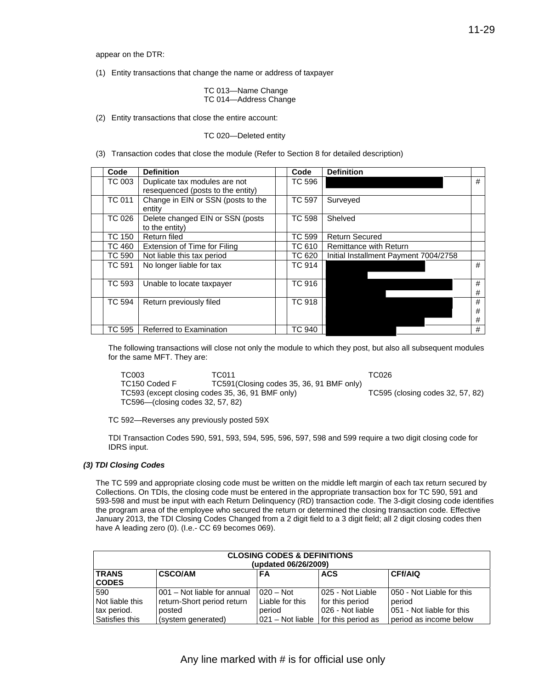appear on the DTR:

(1) Entity transactions that change the name or address of taxpayer

TC 013—Name Change TC 014—Address Change

(2) Entity transactions that close the entire account:

TC 020—Deleted entity

(3) Transaction codes that close the module (Refer to Section 8 for detailed description)

| Code          | <b>Definition</b>                                                  | Code          | <b>Definition</b>                     |             |
|---------------|--------------------------------------------------------------------|---------------|---------------------------------------|-------------|
| TC 003        | Duplicate tax modules are not<br>resequenced (posts to the entity) | TC 596        |                                       | #           |
| <b>TC 011</b> | Change in EIN or SSN (posts to the<br>entity                       | <b>TC 597</b> | Surveyed                              |             |
| TC 026        | Delete changed EIN or SSN (posts<br>to the entity)                 | <b>TC 598</b> | Shelved                               |             |
| <b>TC 150</b> | Return filed                                                       | <b>TC 599</b> | <b>Return Secured</b>                 |             |
| <b>TC 460</b> | Extension of Time for Filing                                       | TC 610        | <b>Remittance with Return</b>         |             |
| <b>TC 590</b> | Not liable this tax period                                         | <b>TC 620</b> | Initial Installment Payment 7004/2758 |             |
| <b>TC 591</b> | No longer liable for tax                                           | <b>TC 914</b> |                                       | #           |
| TC 593        | Unable to locate taxpayer                                          | TC 916        |                                       | #<br>#      |
| TC 594        | Return previously filed                                            | <b>TC 918</b> |                                       | #<br>#<br># |
| TC 595        | Referred to Examination                                            | TC 940        |                                       | #           |

The following transactions will close not only the module to which they post, but also all subsequent modules for the same MFT. They are:

 TC593 (except closing codes 35, 36, 91 BMF only) TC595 (closing codes 32, 57, 82) TC003 TC011 TC026 TC150 Coded F TC591(Closing codes 35, 36, 91 BMF only) TC596—(closing codes 32, 57, 82)

TC 592—Reverses any previously posted 59X

TDI Transaction Codes 590, 591, 593, 594, 595, 596, 597, 598 and 599 require a two digit closing code for IDRS input.

#### *(3) TDI Closing Codes*

The TC 599 and appropriate closing code must be written on the middle left margin of each tax return secured by Collections. On TDIs, the closing code must be entered in the appropriate transaction box for TC 590, 591 and 593-598 and must be input with each Return Delinquency (RD) transaction code. The 3-digit closing code identifies the program area of the employee who secured the return or determined the closing transaction code. Effective January 2013, the TDI Closing Codes Changed from a 2 digit field to a 3 digit field; all 2 digit closing codes then have A leading zero (0). (I.e.- CC 69 becomes 069).

| <b>CLOSING CODES &amp; DEFINITIONS</b><br>(updated 06/26/2009) |                                               |                    |                   |                           |  |  |  |
|----------------------------------------------------------------|-----------------------------------------------|--------------------|-------------------|---------------------------|--|--|--|
| <b>TRANS</b><br><b>CODES</b>                                   | <b>CSCO/AM</b><br>CFf/AIQ<br><b>ACS</b><br>FA |                    |                   |                           |  |  |  |
| 590                                                            | 001 - Not liable for annual                   | $020 - Not$        | 025 - Not Liable  | 050 - Not Liable for this |  |  |  |
| Not liable this                                                | return-Short period return                    | Liable for this    | for this period   | period                    |  |  |  |
| tax period.                                                    | posted                                        | period             | 026 - Not liable  | 051 - Not liable for this |  |  |  |
| Satisfies this                                                 | (system generated)                            | $021 - Not$ liable | of this period as | period as income below    |  |  |  |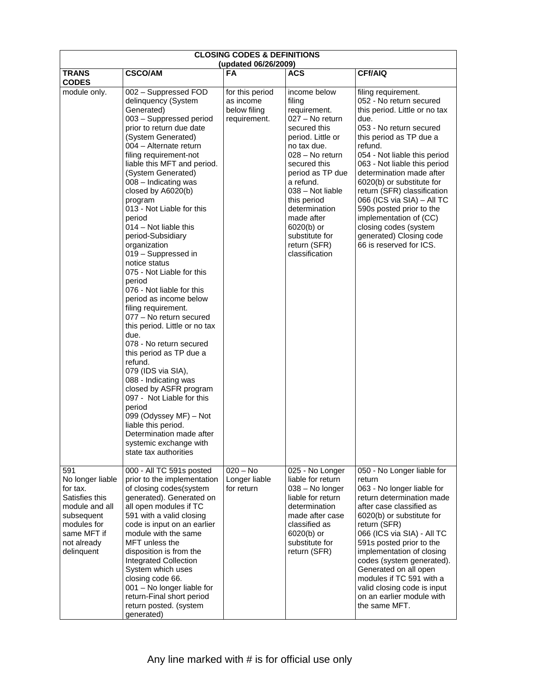| <b>CLOSING CODES &amp; DEFINITIONS</b><br>(updated 06/26/2009)                                                                                   |                                                                                                                                                                                                                                                                                                                                                                                                                                                                                                                                                                                                                                                                                                                                                                                                                                                                                                                                                                  |                                                              |                                                                                                                                                                                                                                                                                                                       |                                                                                                                                                                                                                                                                                                                                                                                                                                                                                     |  |  |  |  |  |
|--------------------------------------------------------------------------------------------------------------------------------------------------|------------------------------------------------------------------------------------------------------------------------------------------------------------------------------------------------------------------------------------------------------------------------------------------------------------------------------------------------------------------------------------------------------------------------------------------------------------------------------------------------------------------------------------------------------------------------------------------------------------------------------------------------------------------------------------------------------------------------------------------------------------------------------------------------------------------------------------------------------------------------------------------------------------------------------------------------------------------|--------------------------------------------------------------|-----------------------------------------------------------------------------------------------------------------------------------------------------------------------------------------------------------------------------------------------------------------------------------------------------------------------|-------------------------------------------------------------------------------------------------------------------------------------------------------------------------------------------------------------------------------------------------------------------------------------------------------------------------------------------------------------------------------------------------------------------------------------------------------------------------------------|--|--|--|--|--|
| <b>TRANS</b><br><b>CODES</b>                                                                                                                     | <b>CSCO/AM</b>                                                                                                                                                                                                                                                                                                                                                                                                                                                                                                                                                                                                                                                                                                                                                                                                                                                                                                                                                   | <b>FA</b>                                                    | ACS                                                                                                                                                                                                                                                                                                                   | <b>CFf/AIQ</b>                                                                                                                                                                                                                                                                                                                                                                                                                                                                      |  |  |  |  |  |
| module only.                                                                                                                                     | 002 - Suppressed FOD<br>delinquency (System<br>Generated)<br>003 - Suppressed period<br>prior to return due date<br>(System Generated)<br>004 - Alternate return<br>filing requirement-not<br>liable this MFT and period.<br>(System Generated)<br>008 - Indicating was<br>closed by A6020(b)<br>program<br>013 - Not Liable for this<br>period<br>$014 - Not$ liable this<br>period-Subsidiary<br>organization<br>019 - Suppressed in<br>notice status<br>075 - Not Liable for this<br>period<br>076 - Not liable for this<br>period as income below<br>filing requirement.<br>077 - No return secured<br>this period. Little or no tax<br>due.<br>078 - No return secured<br>this period as TP due a<br>refund.<br>079 (IDS via SIA),<br>088 - Indicating was<br>closed by ASFR program<br>097 - Not Liable for this<br>period<br>099 (Odyssey MF) - Not<br>liable this period.<br>Determination made after<br>systemic exchange with<br>state tax authorities | for this period<br>as income<br>below filing<br>requirement. | income below<br>filing<br>requirement.<br>027 - No return<br>secured this<br>period. Little or<br>no tax due.<br>028 - No return<br>secured this<br>period as TP due<br>a refund.<br>038 - Not liable<br>this period<br>determination<br>made after<br>6020(b) or<br>substitute for<br>return (SFR)<br>classification | filing requirement.<br>052 - No return secured<br>this period. Little or no tax<br>due.<br>053 - No return secured<br>this period as TP due a<br>refund.<br>054 - Not liable this period<br>063 - Not liable this period<br>determination made after<br>6020(b) or substitute for<br>return (SFR) classification<br>066 (ICS via SIA) - All TC<br>590s posted prior to the<br>implementation of (CC)<br>closing codes (system<br>generated) Closing code<br>66 is reserved for ICS. |  |  |  |  |  |
| 591<br>No longer liable<br>for tax.<br>Satisfies this<br>module and all<br>subsequent<br>modules for<br>same MFT if<br>not already<br>delinquent | 000 - All TC 591s posted<br>prior to the implementation<br>of closing codes(system<br>generated). Generated on<br>all open modules if TC<br>591 with a valid closing<br>code is input on an earlier<br>module with the same<br>MFT unless the<br>disposition is from the<br>Integrated Collection<br>System which uses<br>closing code 66.<br>001 - No longer liable for<br>return-Final short period<br>return posted. (system<br>generated)                                                                                                                                                                                                                                                                                                                                                                                                                                                                                                                    | $020 - No$<br>Longer liable<br>for return                    | 025 - No Longer<br>liable for return<br>038 - No longer<br>liable for return<br>determination<br>made after case<br>classified as<br>6020(b) or<br>substitute for<br>return (SFR)                                                                                                                                     | 050 - No Longer liable for<br>return<br>063 - No longer liable for<br>return determination made<br>after case classified as<br>6020(b) or substitute for<br>return (SFR)<br>066 (ICS via SIA) - All TC<br>591s posted prior to the<br>implementation of closing<br>codes (system generated).<br>Generated on all open<br>modules if TC 591 with a<br>valid closing code is input<br>on an earlier module with<br>the same MFT.                                                      |  |  |  |  |  |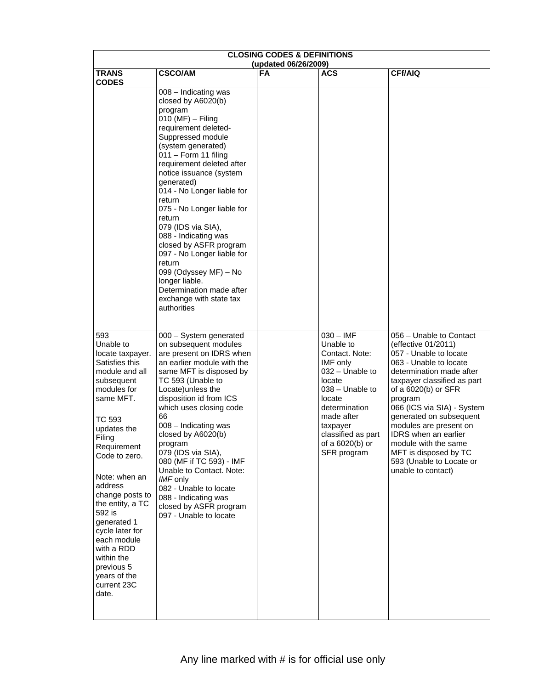|                                                                                                                                                                                                                                                                                                                                                                                                       | <b>CLOSING CODES &amp; DEFINITIONS</b><br>(updated 06/26/2009)                                                                                                                                                                                                                                                                                                                                                                                                                                                                                                   |           |                                                                                                                                                                                                                       |                                                                                                                                                                                                                                                                                                                                                                                                                      |  |  |  |  |  |  |
|-------------------------------------------------------------------------------------------------------------------------------------------------------------------------------------------------------------------------------------------------------------------------------------------------------------------------------------------------------------------------------------------------------|------------------------------------------------------------------------------------------------------------------------------------------------------------------------------------------------------------------------------------------------------------------------------------------------------------------------------------------------------------------------------------------------------------------------------------------------------------------------------------------------------------------------------------------------------------------|-----------|-----------------------------------------------------------------------------------------------------------------------------------------------------------------------------------------------------------------------|----------------------------------------------------------------------------------------------------------------------------------------------------------------------------------------------------------------------------------------------------------------------------------------------------------------------------------------------------------------------------------------------------------------------|--|--|--|--|--|--|
| <b>TRANS</b><br><b>CODES</b>                                                                                                                                                                                                                                                                                                                                                                          | <b>CSCO/AM</b>                                                                                                                                                                                                                                                                                                                                                                                                                                                                                                                                                   | <b>FA</b> | ACS                                                                                                                                                                                                                   | <b>CFf/AIQ</b>                                                                                                                                                                                                                                                                                                                                                                                                       |  |  |  |  |  |  |
|                                                                                                                                                                                                                                                                                                                                                                                                       | 008 - Indicating was<br>closed by A6020(b)<br>program<br>$010$ (MF) - Filing<br>requirement deleted-<br>Suppressed module<br>(system generated)<br>$011 -$ Form 11 filing<br>requirement deleted after<br>notice issuance (system<br>generated)<br>014 - No Longer liable for<br>return<br>075 - No Longer liable for<br>return<br>079 (IDS via SIA),<br>088 - Indicating was<br>closed by ASFR program<br>097 - No Longer liable for<br>return<br>099 (Odyssey MF) - No<br>longer liable.<br>Determination made after<br>exchange with state tax<br>authorities |           |                                                                                                                                                                                                                       |                                                                                                                                                                                                                                                                                                                                                                                                                      |  |  |  |  |  |  |
| 593<br>Unable to<br>locate taxpayer.<br>Satisfies this<br>module and all<br>subsequent<br>modules for<br>same MFT.<br>TC 593<br>updates the<br>Filing<br>Requirement<br>Code to zero.<br>Note: when an<br>address<br>change posts to<br>the entity, a TC<br>592 is<br>generated 1<br>cycle later for<br>each module<br>with a RDD<br>within the<br>previous 5<br>years of the<br>current 23C<br>date. | 000 - System generated<br>on subsequent modules<br>are present on IDRS when<br>an earlier module with the<br>same MFT is disposed by<br>TC 593 (Unable to<br>Locate) unless the<br>disposition id from ICS<br>which uses closing code<br>66<br>008 - Indicating was<br>closed by A6020(b)<br>program<br>079 (IDS via SIA),<br>080 (MF if TC 593) - IMF<br>Unable to Contact. Note:<br>IMF only<br>082 - Unable to locate<br>088 - Indicating was<br>closed by ASFR program<br>097 - Unable to locate                                                             |           | $030 - IMF$<br>Unable to<br>Contact. Note:<br>IMF only<br>032 - Unable to<br>locate<br>$038 -$ Unable to<br>locate<br>determination<br>made after<br>taxpayer<br>classified as part<br>of a 6020(b) or<br>SFR program | 056 - Unable to Contact<br>(effective 01/2011)<br>057 - Unable to locate<br>063 - Unable to locate<br>determination made after<br>taxpayer classified as part<br>of a 6020(b) or SFR<br>program<br>066 (ICS via SIA) - System<br>generated on subsequent<br>modules are present on<br><b>IDRS</b> when an earlier<br>module with the same<br>MFT is disposed by TC<br>593 (Unable to Locate or<br>unable to contact) |  |  |  |  |  |  |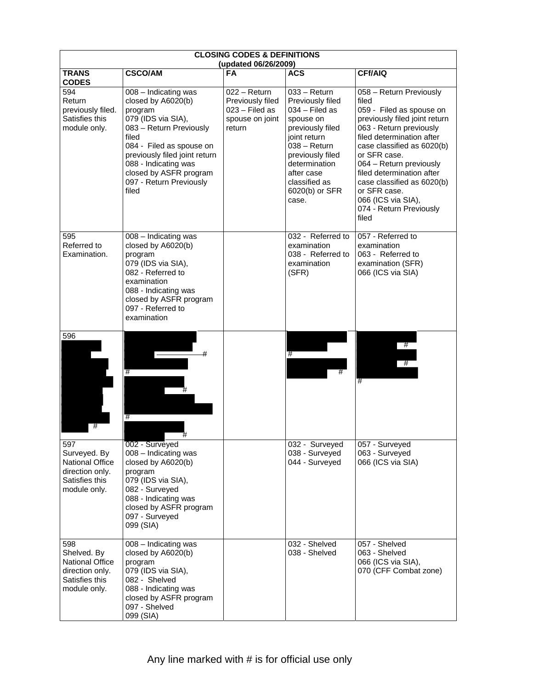|                                                                                                    | <b>CLOSING CODES &amp; DEFINITIONS</b><br>(updated 06/26/2009)                                                                                                                                                                                                     |                                                                                   |                                                                                                                                                                                                                        |                                                                                                                                                                                                                                                                                                                                                                     |  |  |  |  |  |  |
|----------------------------------------------------------------------------------------------------|--------------------------------------------------------------------------------------------------------------------------------------------------------------------------------------------------------------------------------------------------------------------|-----------------------------------------------------------------------------------|------------------------------------------------------------------------------------------------------------------------------------------------------------------------------------------------------------------------|---------------------------------------------------------------------------------------------------------------------------------------------------------------------------------------------------------------------------------------------------------------------------------------------------------------------------------------------------------------------|--|--|--|--|--|--|
| <b>TRANS</b><br><b>CODES</b>                                                                       | <b>CSCO/AM</b>                                                                                                                                                                                                                                                     | <b>FA</b>                                                                         | <b>ACS</b>                                                                                                                                                                                                             | CFf/AIQ                                                                                                                                                                                                                                                                                                                                                             |  |  |  |  |  |  |
| 594<br>Return<br>previously filed.<br>Satisfies this<br>module only.                               | 008 - Indicating was<br>closed by A6020(b)<br>program<br>079 (IDS via SIA),<br>083 - Return Previously<br>filed<br>084 - Filed as spouse on<br>previously filed joint return<br>088 - Indicating was<br>closed by ASFR program<br>097 - Return Previously<br>filed | 022 - Return<br>Previously filed<br>$023 -$ Filed as<br>spouse on joint<br>return | $033 - Return$<br>Previously filed<br>$034$ – Filed as<br>spouse on<br>previously filed<br>joint return<br>038 - Return<br>previously filed<br>determination<br>after case<br>classified as<br>6020(b) or SFR<br>case. | 058 - Return Previously<br>filed<br>059 - Filed as spouse on<br>previously filed joint return<br>063 - Return previously<br>filed determination after<br>case classified as 6020(b)<br>or SFR case.<br>064 - Return previously<br>filed determination after<br>case classified as 6020(b)<br>or SFR case.<br>066 (ICS via SIA),<br>074 - Return Previously<br>filed |  |  |  |  |  |  |
| 595<br>Referred to<br>Examination.                                                                 | 008 - Indicating was<br>closed by A6020(b)<br>program<br>079 (IDS via SIA),<br>082 - Referred to<br>examination<br>088 - Indicating was<br>closed by ASFR program<br>097 - Referred to<br>examination                                                              |                                                                                   | 032 - Referred to<br>examination<br>038 - Referred to<br>examination<br>(SFR)                                                                                                                                          | 057 - Referred to<br>examination<br>063 - Referred to<br>examination (SFR)<br>066 (ICS via SIA)                                                                                                                                                                                                                                                                     |  |  |  |  |  |  |
| 596<br>#                                                                                           |                                                                                                                                                                                                                                                                    |                                                                                   | #                                                                                                                                                                                                                      | #<br>-#<br>#                                                                                                                                                                                                                                                                                                                                                        |  |  |  |  |  |  |
| 597<br>Surveyed. By<br><b>National Office</b><br>direction only.<br>Satisfies this<br>module only. | 002 - Surveyed<br>008 - Indicating was<br>closed by A6020(b)<br>program<br>079 (IDS via SIA),<br>082 - Surveyed<br>088 - Indicating was<br>closed by ASFR program<br>097 - Surveyed<br>099 (SIA)                                                                   |                                                                                   | 032 - Surveyed<br>038 - Surveyed<br>044 - Surveyed                                                                                                                                                                     | 057 - Surveyed<br>063 - Surveyed<br>066 (ICS via SIA)                                                                                                                                                                                                                                                                                                               |  |  |  |  |  |  |
| 598<br>Shelved. By<br><b>National Office</b><br>direction only.<br>Satisfies this<br>module only.  | 008 - Indicating was<br>closed by A6020(b)<br>program<br>079 (IDS via SIA),<br>082 - Shelved<br>088 - Indicating was<br>closed by ASFR program<br>097 - Shelved<br>099 (SIA)                                                                                       |                                                                                   | 032 - Shelved<br>038 - Shelved                                                                                                                                                                                         | 057 - Shelved<br>063 - Shelved<br>066 (ICS via SIA),<br>070 (CFF Combat zone)                                                                                                                                                                                                                                                                                       |  |  |  |  |  |  |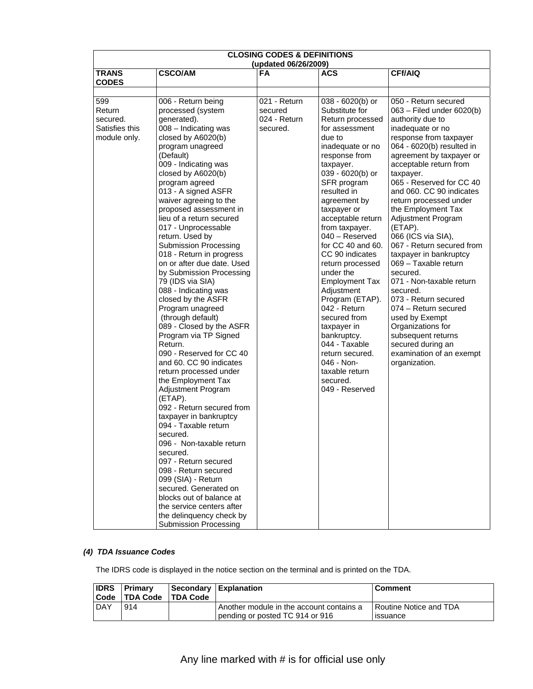| <b>CLOSING CODES &amp; DEFINITIONS</b><br>(updated 06/26/2009) |                                                                                                                                                                                                                                                                                                                                                                                                                                                                                                                                                                                                                                                                                                                                                                                                                                                                                                                                                                                                                                                                                                                                                        |                                                     |                                                                                                                                                                                                                                                                                                                                                                                                                                                                                                                                                                                     |                                                                                                                                                                                                                                                                                                                                                                                                                                                                                                                                                                                                                                                                                                      |  |  |  |  |  |
|----------------------------------------------------------------|--------------------------------------------------------------------------------------------------------------------------------------------------------------------------------------------------------------------------------------------------------------------------------------------------------------------------------------------------------------------------------------------------------------------------------------------------------------------------------------------------------------------------------------------------------------------------------------------------------------------------------------------------------------------------------------------------------------------------------------------------------------------------------------------------------------------------------------------------------------------------------------------------------------------------------------------------------------------------------------------------------------------------------------------------------------------------------------------------------------------------------------------------------|-----------------------------------------------------|-------------------------------------------------------------------------------------------------------------------------------------------------------------------------------------------------------------------------------------------------------------------------------------------------------------------------------------------------------------------------------------------------------------------------------------------------------------------------------------------------------------------------------------------------------------------------------------|------------------------------------------------------------------------------------------------------------------------------------------------------------------------------------------------------------------------------------------------------------------------------------------------------------------------------------------------------------------------------------------------------------------------------------------------------------------------------------------------------------------------------------------------------------------------------------------------------------------------------------------------------------------------------------------------------|--|--|--|--|--|
| <b>TRANS</b>                                                   | <b>CSCO/AM</b>                                                                                                                                                                                                                                                                                                                                                                                                                                                                                                                                                                                                                                                                                                                                                                                                                                                                                                                                                                                                                                                                                                                                         | FA                                                  | <b>ACS</b>                                                                                                                                                                                                                                                                                                                                                                                                                                                                                                                                                                          | <b>CFf/AIQ</b>                                                                                                                                                                                                                                                                                                                                                                                                                                                                                                                                                                                                                                                                                       |  |  |  |  |  |
| <b>CODES</b>                                                   |                                                                                                                                                                                                                                                                                                                                                                                                                                                                                                                                                                                                                                                                                                                                                                                                                                                                                                                                                                                                                                                                                                                                                        |                                                     |                                                                                                                                                                                                                                                                                                                                                                                                                                                                                                                                                                                     |                                                                                                                                                                                                                                                                                                                                                                                                                                                                                                                                                                                                                                                                                                      |  |  |  |  |  |
| 599<br>Return<br>secured.<br>Satisfies this<br>module only.    | 006 - Return being<br>processed (system<br>generated).<br>008 - Indicating was<br>closed by A6020(b)<br>program unagreed<br>(Default)<br>009 - Indicating was<br>closed by A6020(b)<br>program agreed<br>013 - A signed ASFR<br>waiver agreeing to the<br>proposed assessment in<br>lieu of a return secured<br>017 - Unprocessable<br>return. Used by<br><b>Submission Processing</b><br>018 - Return in progress<br>on or after due date. Used<br>by Submission Processing<br>79 (IDS via SIA)<br>088 - Indicating was<br>closed by the ASFR<br>Program unagreed<br>(through default)<br>089 - Closed by the ASFR<br>Program via TP Signed<br>Return.<br>090 - Reserved for CC 40<br>and 60. CC 90 indicates<br>return processed under<br>the Employment Tax<br>Adjustment Program<br>(ETAP).<br>092 - Return secured from<br>taxpayer in bankruptcy<br>094 - Taxable return<br>secured.<br>096 - Non-taxable return<br>secured.<br>097 - Return secured<br>098 - Return secured<br>099 (SIA) - Return<br>secured. Generated on<br>blocks out of balance at<br>the service centers after<br>the delinquency check by<br><b>Submission Processing</b> | 021 - Return<br>secured<br>024 - Return<br>secured. | 038 - 6020(b) or<br>Substitute for<br>Return processed<br>for assessment<br>due to<br>inadequate or no<br>response from<br>taxpayer.<br>039 - 6020(b) or<br>SFR program<br>resulted in<br>agreement by<br>taxpayer or<br>acceptable return<br>from taxpayer.<br>$040 -$ Reserved<br>for CC 40 and 60.<br>CC 90 indicates<br>return processed<br>under the<br><b>Employment Tax</b><br>Adjustment<br>Program (ETAP).<br>042 - Return<br>secured from<br>taxpayer in<br>bankruptcy.<br>044 - Taxable<br>return secured.<br>046 - Non-<br>taxable return<br>secured.<br>049 - Reserved | 050 - Return secured<br>063 - Filed under 6020(b)<br>authority due to<br>inadequate or no<br>response from taxpayer<br>064 - 6020(b) resulted in<br>agreement by taxpayer or<br>acceptable return from<br>taxpayer.<br>065 - Reserved for CC 40<br>and 060. CC 90 indicates<br>return processed under<br>the Employment Tax<br>Adjustment Program<br>(ETAP).<br>066 (ICS via SIA),<br>067 - Return secured from<br>taxpayer in bankruptcy<br>069 - Taxable return<br>secured.<br>071 - Non-taxable return<br>secured.<br>073 - Return secured<br>074 - Return secured<br>used by Exempt<br>Organizations for<br>subsequent returns<br>secured during an<br>examination of an exempt<br>organization. |  |  |  |  |  |

### *(4) TDA Issuance Codes*

The IDRS code is displayed in the notice section on the terminal and is printed on the TDA.

| l Code     | <b>IDRS</b> Primary<br><b>TDA Code TDA Code</b> | Secondary   Explanation                                                     | <b>Comment</b>                              |
|------------|-------------------------------------------------|-----------------------------------------------------------------------------|---------------------------------------------|
| <b>DAY</b> | 914                                             | Another module in the account contains a<br>pending or posted TC 914 or 916 | l Routine Notice and TDA<br><b>ISSUANCE</b> |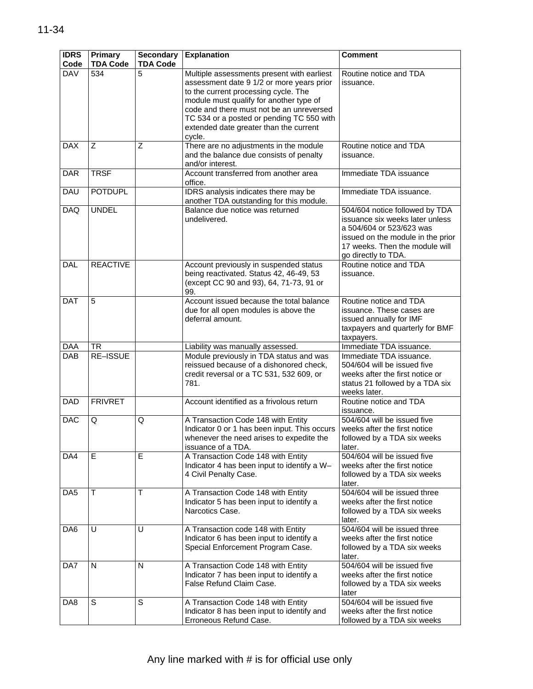| <b>IDRS</b><br>Code | Primary<br><b>TDA Code</b> | <b>Secondary</b><br><b>TDA Code</b> | <b>Explanation</b>                                                                                                                                                                                                                                                                                                      | <b>Comment</b>                                                                                                                                                                              |
|---------------------|----------------------------|-------------------------------------|-------------------------------------------------------------------------------------------------------------------------------------------------------------------------------------------------------------------------------------------------------------------------------------------------------------------------|---------------------------------------------------------------------------------------------------------------------------------------------------------------------------------------------|
| <b>DAV</b>          | 534                        | 5                                   | Multiple assessments present with earliest<br>assessment date 9 1/2 or more years prior<br>to the current processing cycle. The<br>module must qualify for another type of<br>code and there must not be an unreversed<br>TC 534 or a posted or pending TC 550 with<br>extended date greater than the current<br>cycle. | Routine notice and TDA<br>issuance.                                                                                                                                                         |
| <b>DAX</b>          | Z                          | Ζ                                   | There are no adjustments in the module<br>and the balance due consists of penalty<br>and/or interest.                                                                                                                                                                                                                   | Routine notice and TDA<br>issuance.                                                                                                                                                         |
| <b>DAR</b>          | <b>TRSF</b>                |                                     | Account transferred from another area<br>office.                                                                                                                                                                                                                                                                        | Immediate TDA issuance                                                                                                                                                                      |
| <b>DAU</b>          | <b>POTDUPL</b>             |                                     | IDRS analysis indicates there may be<br>another TDA outstanding for this module.                                                                                                                                                                                                                                        | Immediate TDA issuance.                                                                                                                                                                     |
| DAQ                 | <b>UNDEL</b>               |                                     | Balance due notice was returned<br>undelivered.                                                                                                                                                                                                                                                                         | 504/604 notice followed by TDA<br>issuance six weeks later unless<br>a 504/604 or 523/623 was<br>issued on the module in the prior<br>17 weeks. Then the module will<br>go directly to TDA. |
| <b>DAL</b>          | <b>REACTIVE</b>            |                                     | Account previously in suspended status<br>being reactivated. Status 42, 46-49, 53<br>(except CC 90 and 93), 64, 71-73, 91 or<br>99.                                                                                                                                                                                     | Routine notice and TDA<br>issuance.                                                                                                                                                         |
| <b>DAT</b>          | 5                          |                                     | Account issued because the total balance<br>due for all open modules is above the<br>deferral amount.                                                                                                                                                                                                                   | Routine notice and TDA<br>issuance. These cases are<br>issued annually for IMF<br>taxpayers and quarterly for BMF<br>taxpayers.                                                             |
| DAA                 | TR.                        |                                     | Liability was manually assessed.                                                                                                                                                                                                                                                                                        | Immediate TDA issuance.                                                                                                                                                                     |
| <b>DAB</b>          | <b>RE-ISSUE</b>            |                                     | Module previously in TDA status and was<br>reissued because of a dishonored check,<br>credit reversal or a TC 531, 532 609, or<br>781.                                                                                                                                                                                  | Immediate TDA issuance.<br>504/604 will be issued five<br>weeks after the first notice or<br>status 21 followed by a TDA six<br>weeks later.                                                |
| <b>DAD</b>          | <b>FRIVRET</b>             |                                     | Account identified as a frivolous return                                                                                                                                                                                                                                                                                | Routine notice and TDA<br>issuance.                                                                                                                                                         |
| <b>DAC</b>          | Q                          | Q                                   | A Transaction Code 148 with Entity<br>Indicator 0 or 1 has been input. This occurs<br>whenever the need arises to expedite the<br>issuance of a TDA.                                                                                                                                                                    | 504/604 will be issued five<br>weeks after the first notice<br>followed by a TDA six weeks<br>later.                                                                                        |
| DA4                 | E                          | E                                   | A Transaction Code 148 with Entity<br>Indicator 4 has been input to identify a W-<br>4 Civil Penalty Case.                                                                                                                                                                                                              | 504/604 will be issued five<br>weeks after the first notice<br>followed by a TDA six weeks<br>later.                                                                                        |
| DA <sub>5</sub>     | т                          | Τ                                   | A Transaction Code 148 with Entity<br>Indicator 5 has been input to identify a<br>Narcotics Case.                                                                                                                                                                                                                       | 504/604 will be issued three<br>weeks after the first notice<br>followed by a TDA six weeks<br>later.                                                                                       |
| DA <sub>6</sub>     | U                          | U                                   | A Transaction code 148 with Entity<br>Indicator 6 has been input to identify a<br>Special Enforcement Program Case.                                                                                                                                                                                                     | 504/604 will be issued three<br>weeks after the first notice<br>followed by a TDA six weeks<br>later.                                                                                       |
| DA7                 | N                          | N                                   | A Transaction Code 148 with Entity<br>Indicator 7 has been input to identify a<br>False Refund Claim Case.                                                                                                                                                                                                              | 504/604 will be issued five<br>weeks after the first notice<br>followed by a TDA six weeks<br>later                                                                                         |
| DA8                 | S                          | S                                   | A Transaction Code 148 with Entity<br>Indicator 8 has been input to identify and<br>Erroneous Refund Case.                                                                                                                                                                                                              | 504/604 will be issued five<br>weeks after the first notice<br>followed by a TDA six weeks                                                                                                  |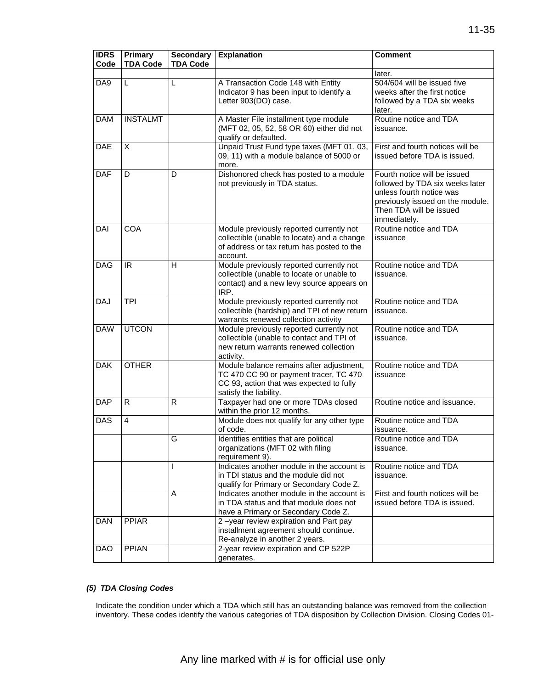| <b>IDRS</b><br>Code | Primary<br><b>TDA Code</b> | <b>Secondary</b><br><b>TDA Code</b> | <b>Explanation</b>                                                                                                                                       | <b>Comment</b>                                                                                                                                                             |
|---------------------|----------------------------|-------------------------------------|----------------------------------------------------------------------------------------------------------------------------------------------------------|----------------------------------------------------------------------------------------------------------------------------------------------------------------------------|
|                     |                            |                                     |                                                                                                                                                          | later.                                                                                                                                                                     |
| DA9                 | L                          | L                                   | A Transaction Code 148 with Entity<br>Indicator 9 has been input to identify a<br>Letter 903(DO) case.                                                   | 504/604 will be issued five<br>weeks after the first notice<br>followed by a TDA six weeks<br>later.                                                                       |
| <b>DAM</b>          | <b>INSTALMT</b>            |                                     | A Master File installment type module<br>(MFT 02, 05, 52, 58 OR 60) either did not<br>qualify or defaulted.                                              | Routine notice and TDA<br>issuance.                                                                                                                                        |
| DAE                 | $\overline{\mathsf{x}}$    |                                     | Unpaid Trust Fund type taxes (MFT 01, 03,<br>09, 11) with a module balance of 5000 or<br>more.                                                           | First and fourth notices will be<br>issued before TDA is issued.                                                                                                           |
| <b>DAF</b>          | D                          | D                                   | Dishonored check has posted to a module<br>not previously in TDA status.                                                                                 | Fourth notice will be issued<br>followed by TDA six weeks later<br>unless fourth notice was<br>previously issued on the module.<br>Then TDA will be issued<br>immediately. |
| DAI                 | <b>COA</b>                 |                                     | Module previously reported currently not<br>collectible (unable to locate) and a change<br>of address or tax return has posted to the<br>account.        | Routine notice and TDA<br>issuance                                                                                                                                         |
| <b>DAG</b>          | IR.                        | H                                   | Module previously reported currently not<br>collectible (unable to locate or unable to<br>contact) and a new levy source appears on<br>IRP.              | Routine notice and TDA<br>issuance.                                                                                                                                        |
| <b>DAJ</b>          | <b>TPI</b>                 |                                     | Module previously reported currently not<br>collectible (hardship) and TPI of new return<br>warrants renewed collection activity                         | Routine notice and TDA<br>issuance.                                                                                                                                        |
| <b>DAW</b>          | <b>UTCON</b>               |                                     | Module previously reported currently not<br>collectible (unable to contact and TPI of<br>new return warrants renewed collection<br>activity.             | Routine notice and TDA<br>issuance.                                                                                                                                        |
| <b>DAK</b>          | <b>OTHER</b>               |                                     | Module balance remains after adjustment,<br>TC 470 CC 90 or payment tracer, TC 470<br>CC 93, action that was expected to fully<br>satisfy the liability. | Routine notice and TDA<br>issuance                                                                                                                                         |
| <b>DAP</b>          | R                          | R                                   | Taxpayer had one or more TDAs closed<br>within the prior 12 months.                                                                                      | Routine notice and issuance.                                                                                                                                               |
| DAS                 | $\overline{4}$             |                                     | Module does not qualify for any other type<br>of code.                                                                                                   | Routine notice and TDA<br>issuance.                                                                                                                                        |
|                     |                            | G                                   | Identifies entities that are political<br>organizations (MFT 02 with filing<br>requirement 9).                                                           | Routine notice and TDA<br>issuance.                                                                                                                                        |
|                     |                            |                                     | Indicates another module in the account is<br>in TDI status and the module did not<br>qualify for Primary or Secondary Code Z.                           | Routine notice and TDA<br>issuance.                                                                                                                                        |
|                     |                            | A                                   | Indicates another module in the account is<br>in TDA status and that module does not<br>have a Primary or Secondary Code Z.                              | First and fourth notices will be<br>issued before TDA is issued.                                                                                                           |
| <b>DAN</b>          | <b>PPIAR</b>               |                                     | 2-year review expiration and Part pay<br>installment agreement should continue.<br>Re-analyze in another 2 years.                                        |                                                                                                                                                                            |
| <b>DAO</b>          | <b>PPIAN</b>               |                                     | 2-year review expiration and CP 522P<br>generates.                                                                                                       |                                                                                                                                                                            |

### *(5) TDA Closing Codes*

Indicate the condition under which a TDA which still has an outstanding balance was removed from the collection inventory. These codes identify the various categories of TDA disposition by Collection Division. Closing Codes 01-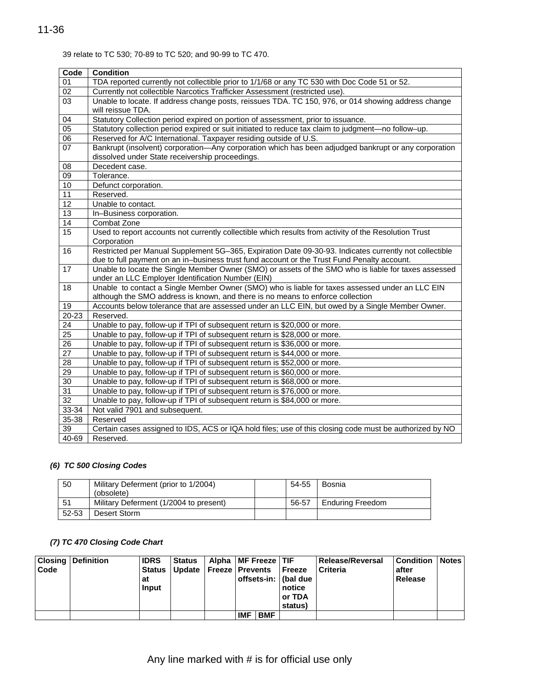### 39 relate to TC 530; 70-89 to TC 520; and 90-99 to TC 470.

| Code            | <b>Condition</b>                                                                                        |
|-----------------|---------------------------------------------------------------------------------------------------------|
| 01              | TDA reported currently not collectible prior to 1/1/68 or any TC 530 with Doc Code 51 or 52.            |
| 02              | Currently not collectible Narcotics Trafficker Assessment (restricted use).                             |
| 03              | Unable to locate. If address change posts, reissues TDA. TC 150, 976, or 014 showing address change     |
|                 | will reissue TDA.                                                                                       |
| 04              | Statutory Collection period expired on portion of assessment, prior to issuance.                        |
| 05              | Statutory collection period expired or suit initiated to reduce tax claim to judgment-no follow-up.     |
| $\overline{06}$ | Reserved for A/C International. Taxpayer residing outside of U.S.                                       |
| 07              | Bankrupt (insolvent) corporation—Any corporation which has been adjudged bankrupt or any corporation    |
|                 | dissolved under State receivership proceedings.                                                         |
| $\overline{08}$ | Decedent case.                                                                                          |
| 09              | Tolerance.                                                                                              |
| 10              | Defunct corporation.                                                                                    |
| 11              | Reserved.                                                                                               |
| 12              | Unable to contact.                                                                                      |
| $\overline{13}$ | In-Business corporation.                                                                                |
| 14              | Combat Zone                                                                                             |
| 15              | Used to report accounts not currently collectible which results from activity of the Resolution Trust   |
|                 | Corporation                                                                                             |
| 16              | Restricted per Manual Supplement 5G-365, Expiration Date 09-30-93. Indicates currently not collectible  |
|                 | due to full payment on an in-business trust fund account or the Trust Fund Penalty account.             |
| 17              | Unable to locate the Single Member Owner (SMO) or assets of the SMO who is liable for taxes assessed    |
|                 | under an LLC Employer Identification Number (EIN)                                                       |
| 18              | Unable to contact a Single Member Owner (SMO) who is liable for taxes assessed under an LLC EIN         |
|                 | although the SMO address is known, and there is no means to enforce collection                          |
| 19              | Accounts below tolerance that are assessed under an LLC EIN, but owed by a Single Member Owner.         |
| 20-23           | Reserved.                                                                                               |
| 24              | Unable to pay, follow-up if TPI of subsequent return is \$20,000 or more.                               |
| $\overline{25}$ | Unable to pay, follow-up if TPI of subsequent return is \$28,000 or more.                               |
| 26              | Unable to pay, follow-up if TPI of subsequent return is \$36,000 or more.                               |
| 27              | Unable to pay, follow-up if TPI of subsequent return is \$44,000 or more.                               |
| 28              | Unable to pay, follow-up if TPI of subsequent return is \$52,000 or more.                               |
| 29              | Unable to pay, follow-up if TPI of subsequent return is \$60,000 or more.                               |
| $\overline{30}$ | Unable to pay, follow-up if TPI of subsequent return is \$68,000 or more.                               |
| $\overline{31}$ | Unable to pay, follow-up if TPI of subsequent return is \$76,000 or more.                               |
| $\overline{32}$ | Unable to pay, follow-up if TPI of subsequent return is \$84,000 or more.                               |
| $33 - 34$       | Not valid 7901 and subsequent.                                                                          |
| 35-38           | Reserved                                                                                                |
| 39              | Certain cases assigned to IDS, ACS or IQA hold files; use of this closing code must be authorized by NO |
| 40-69           | Reserved.                                                                                               |

# *(6) TC 500 Closing Codes*

| 50    | Military Deferment (prior to 1/2004)<br>(obsolete) | 54-55 | Bosnia           |
|-------|----------------------------------------------------|-------|------------------|
| -51   | Military Deferment (1/2004 to present)             | 56-57 | Enduring Freedom |
| 52-53 | Desert Storm                                       |       |                  |

# *(7) TC 470 Closing Code Chart*

| <b>Closing</b> | <b>Definition</b> | <b>IDRS</b>   | <b>Status</b>                       | Alpha   MF Freeze   TIF |            |            |                        | Release/Reversal | <b>Condition</b> | <b>Notes</b> |
|----------------|-------------------|---------------|-------------------------------------|-------------------------|------------|------------|------------------------|------------------|------------------|--------------|
| Code           |                   | <b>Status</b> | Update   Freeze   Prevents   Freeze |                         |            |            |                        | <b>Criteria</b>  | after            |              |
|                |                   | at            |                                     |                         |            |            | offsets-in:   (bal due |                  | Release          |              |
|                |                   | Input         |                                     |                         |            |            | notice                 |                  |                  |              |
|                |                   |               |                                     |                         |            |            | or TDA                 |                  |                  |              |
|                |                   |               |                                     |                         |            |            | status)                |                  |                  |              |
|                |                   |               |                                     |                         | <b>IMF</b> | <b>BMF</b> |                        |                  |                  |              |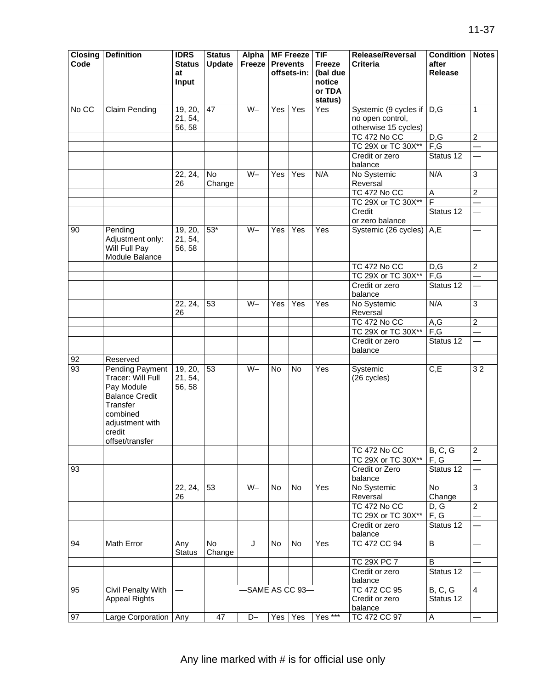| <b>Closing</b><br>Code | <b>Definition</b>                                                                                                                                   | <b>IDRS</b><br><b>Status</b><br>at<br>Input | <b>Status</b><br><b>Update</b> | Alpha<br>Freeze |           | <b>MF Freeze</b><br><b>Prevents</b><br>offsets-in: | TIF<br><b>Freeze</b><br>(bal due<br>notice<br>or TDA<br>status) | <b>Release/Reversal</b><br><b>Criteria</b> | <b>Condition</b><br>after<br><b>Release</b> | <b>Notes</b>   |
|------------------------|-----------------------------------------------------------------------------------------------------------------------------------------------------|---------------------------------------------|--------------------------------|-----------------|-----------|----------------------------------------------------|-----------------------------------------------------------------|--------------------------------------------|---------------------------------------------|----------------|
| No CC                  | <b>Claim Pending</b>                                                                                                                                | 19, 20,<br>21, 54,<br>56, 58                | 47                             | $W -$           | Yes       | Yes                                                | Yes                                                             | Systemic (9 cycles if<br>no open control,  | D,G                                         | $\mathbf{1}$   |
|                        |                                                                                                                                                     |                                             |                                |                 |           |                                                    |                                                                 | otherwise 15 cycles)<br>TC 472 No CC       | D,G                                         | $\overline{2}$ |
|                        |                                                                                                                                                     |                                             |                                |                 |           |                                                    |                                                                 | TC 29X or TC 30X**                         | F,G                                         |                |
|                        |                                                                                                                                                     |                                             |                                |                 |           |                                                    |                                                                 | Credit or zero<br>balance                  | Status 12                                   |                |
|                        |                                                                                                                                                     | 22, 24,<br>26                               | No<br>Change                   | $W -$           | Yes       | Yes                                                | N/A                                                             | No Systemic<br>Reversal                    | N/A                                         | 3              |
|                        |                                                                                                                                                     |                                             |                                |                 |           |                                                    |                                                                 | TC 472 No CC                               | $\overline{A}$                              | $\overline{2}$ |
|                        |                                                                                                                                                     |                                             |                                |                 |           |                                                    |                                                                 | TC 29X or TC 30X**                         | $\overline{F}$                              |                |
|                        |                                                                                                                                                     |                                             |                                |                 |           |                                                    |                                                                 | Credit<br>or zero balance                  | Status 12                                   |                |
| 90                     | Pending<br>Adjustment only:<br>Will Full Pay<br>Module Balance                                                                                      | 19, 20,<br>21, 54,<br>56, 58                | $53*$                          | $W -$           | Yes       | Yes                                                | Yes                                                             | Systemic (26 cycles)                       | A, E                                        |                |
|                        |                                                                                                                                                     |                                             |                                |                 |           |                                                    |                                                                 | TC 472 No CC                               | D, G                                        | $\overline{2}$ |
|                        |                                                                                                                                                     |                                             |                                |                 |           |                                                    |                                                                 | TC 29X or TC 30X**                         | F,G                                         |                |
|                        |                                                                                                                                                     |                                             |                                |                 |           |                                                    |                                                                 | Credit or zero<br>balance                  | Status 12                                   |                |
|                        |                                                                                                                                                     | 22, 24,<br>26                               | 53                             | $W -$           | Yes       | $\overline{Yes}$                                   | $\overline{Yes}$                                                | No Systemic<br>Reversal                    | N/A                                         | 3              |
|                        |                                                                                                                                                     |                                             |                                |                 |           |                                                    |                                                                 | TC 472 No CC                               | A,G                                         | $\overline{2}$ |
|                        |                                                                                                                                                     |                                             |                                |                 |           |                                                    |                                                                 | TC 29X or TC 30X**                         | F,G                                         |                |
|                        |                                                                                                                                                     |                                             |                                |                 |           |                                                    |                                                                 | Credit or zero<br>balance                  | Status 12                                   |                |
| 92                     | Reserved                                                                                                                                            |                                             |                                |                 |           |                                                    |                                                                 |                                            |                                             |                |
| 93                     | Pending Payment<br>Tracer: Will Full<br>Pay Module<br><b>Balance Credit</b><br>Transfer<br>combined<br>adjustment with<br>credit<br>offset/transfer | 19, 20,<br>21, 54,<br>56, 58                | 53                             | $W -$           | No        | No                                                 | Yes                                                             | Systemic<br>(26 cycles)                    | C, E                                        | 32             |
|                        |                                                                                                                                                     |                                             |                                |                 |           |                                                    |                                                                 | <b>TC 472 No CC</b>                        | B, C, G                                     | $\overline{2}$ |
| 93                     |                                                                                                                                                     |                                             |                                |                 |           |                                                    |                                                                 | TC 29X or TC 30X**<br>Credit or Zero       | F, G<br>Status 12                           |                |
|                        |                                                                                                                                                     |                                             |                                |                 |           |                                                    |                                                                 | balance                                    |                                             |                |
|                        |                                                                                                                                                     | 22, 24,<br>26                               | 53                             | $W -$           | <b>No</b> | No                                                 | Yes                                                             | No Systemic<br>Reversal                    | No<br>Change                                | 3              |
|                        |                                                                                                                                                     |                                             |                                |                 |           |                                                    |                                                                 | TC 472 No CC                               | D, G                                        | $\overline{2}$ |
|                        |                                                                                                                                                     |                                             |                                |                 |           |                                                    |                                                                 | TC 29X or TC 30X**                         | F, G                                        |                |
|                        |                                                                                                                                                     |                                             |                                |                 |           |                                                    |                                                                 | Credit or zero<br>balance                  | Status 12                                   |                |
| 94                     | Math Error                                                                                                                                          | Any<br><b>Status</b>                        | No<br>Change                   | J               | <b>No</b> | No                                                 | Yes                                                             | TC 472 CC 94                               | $\overline{B}$                              |                |
|                        |                                                                                                                                                     |                                             |                                |                 |           |                                                    |                                                                 | TC 29X PC 7                                | B                                           |                |
|                        |                                                                                                                                                     |                                             |                                |                 |           |                                                    |                                                                 | Credit or zero<br>balance                  | Status 12                                   |                |
| 95                     | <b>Civil Penalty With</b><br><b>Appeal Rights</b>                                                                                                   |                                             |                                |                 |           | -SAME AS CC 93-                                    |                                                                 | TC 472 CC 95<br>Credit or zero<br>balance  | B, C, G<br>Status 12                        | $\overline{4}$ |
| 97                     | Large Corporation   Any                                                                                                                             |                                             | 47                             | D-              |           | Yes Yes                                            | Yes ***                                                         | TC 472 CC 97                               | $\overline{A}$                              |                |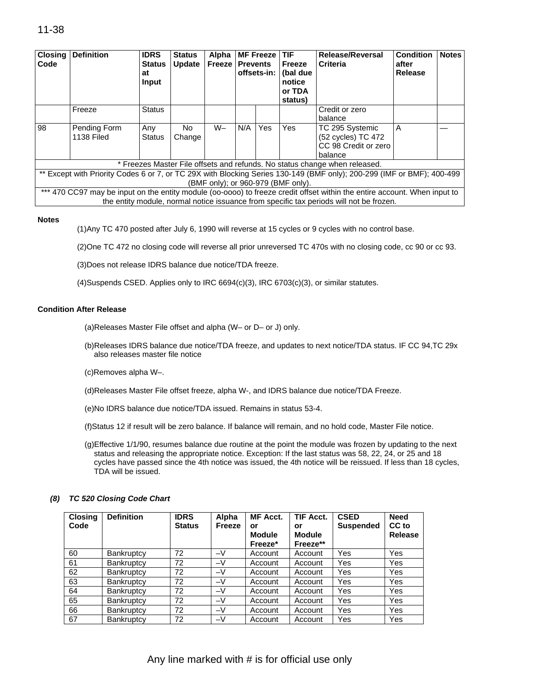# 11-38

| <b>Closing</b><br>Code | <b>Definition</b>                 | <b>IDRS</b><br><b>Status</b><br>at<br>Input | <b>Status</b><br><b>Update</b> | Alpha<br><b>Freeze</b> | <b>Prevents</b> | <b>MF Freeze</b><br>offsets-in: | <b>TIF</b><br>Freeze<br>(bal due<br>notice<br>or TDA<br>status) | <b>Release/Reversal</b><br><b>Criteria</b>                                                                                                                                                                           | <b>Condition</b><br>after<br><b>Release</b> | <b>Notes</b> |
|------------------------|-----------------------------------|---------------------------------------------|--------------------------------|------------------------|-----------------|---------------------------------|-----------------------------------------------------------------|----------------------------------------------------------------------------------------------------------------------------------------------------------------------------------------------------------------------|---------------------------------------------|--------------|
|                        | Freeze                            | <b>Status</b>                               |                                |                        |                 |                                 |                                                                 | Credit or zero<br>balance                                                                                                                                                                                            |                                             |              |
| 98                     | Pending Form<br><b>1138 Filed</b> | Any<br><b>Status</b>                        | No<br>Change                   | $W -$                  | N/A             | Yes                             | Yes                                                             | TC 295 Systemic<br>(52 cycles) TC 472<br>CC 98 Credit or zero<br>balance                                                                                                                                             | A                                           |              |
|                        |                                   |                                             |                                |                        |                 |                                 |                                                                 | * Freezes Master File offsets and refunds. No status change when released.                                                                                                                                           |                                             |              |
|                        |                                   |                                             |                                |                        |                 |                                 | (BMF only); or 960-979 (BMF only).                              | ** Except with Priority Codes 6 or 7, or TC 29X with Blocking Series 130-149 (BMF only); 200-299 (IMF or BMF); 400-499                                                                                               |                                             |              |
|                        |                                   |                                             |                                |                        |                 |                                 |                                                                 | *** 470 CC97 may be input on the entity module (00-0000) to freeze credit offset within the entire account. When input to<br>the entity module, normal notice issuance from specific tax periods will not be frozen. |                                             |              |

#### **Notes**

(1)Any TC 470 posted after July 6, 1990 will reverse at 15 cycles or 9 cycles with no control base.

(2)One TC 472 no closing code will reverse all prior unreversed TC 470s with no closing code, cc 90 or cc 93.

(3)Does not release IDRS balance due notice/TDA freeze.

(4)Suspends CSED. Applies only to IRC 6694(c)(3), IRC 6703(c)(3), or similar statutes.

#### **Condition After Release**

(a)Releases Master File offset and alpha (W– or D– or J) only.

- (b)Releases IDRS balance due notice/TDA freeze, and updates to next notice/TDA status. IF CC 94,TC 29x also releases master file notice
- (c)Removes alpha W–.
- (d)Releases Master File offset freeze, alpha W-, and IDRS balance due notice/TDA Freeze.
- (e)No IDRS balance due notice/TDA issued. Remains in status 53-4.
- (f)Status 12 if result will be zero balance. If balance will remain, and no hold code, Master File notice.
- (g)Effective 1/1/90, resumes balance due routine at the point the module was frozen by updating to the next status and releasing the appropriate notice. Exception: If the last status was 58, 22, 24, or 25 and 18 cycles have passed since the 4th notice was issued, the 4th notice will be reissued. If less than 18 cycles, TDA will be issued.

#### *(8) TC 520 Closing Code Chart*

| <b>Closing</b><br>Code | <b>Definition</b> | <b>IDRS</b><br><b>Status</b> | Alpha<br>Freeze | <b>MF Acct.</b><br>or<br><b>Module</b><br>Freeze* | <b>TIF Acct.</b><br>or<br><b>Module</b><br>Freeze** | <b>CSED</b><br><b>Suspended</b> | <b>Need</b><br>CC to<br><b>Release</b> |
|------------------------|-------------------|------------------------------|-----------------|---------------------------------------------------|-----------------------------------------------------|---------------------------------|----------------------------------------|
| 60                     | Bankruptcy        | 72                           | $-V$            | Account                                           | Account                                             | <b>Yes</b>                      | Yes                                    |
| 61                     | Bankruptcy        | 72                           | $-V$            | Account                                           | Account                                             | Yes                             | Yes                                    |
| 62                     | <b>Bankruptcy</b> | 72                           | $-V$            | Account                                           | Account                                             | Yes                             | Yes                                    |
| 63                     | Bankruptcy        | 72                           | $-V$            | Account                                           | Account                                             | Yes                             | Yes                                    |
| 64                     | <b>Bankruptcy</b> | 72                           | $-V$            | Account                                           | Account                                             | Yes                             | Yes                                    |
| 65                     | Bankruptcy        | 72                           | $-V$            | Account                                           | Account                                             | Yes                             | Yes                                    |
| 66                     | Bankruptcy        | 72                           | $-V$            | Account                                           | Account                                             | Yes                             | Yes                                    |
| 67                     | Bankruptcy        | 72                           | $-V$            | Account                                           | Account                                             | Yes                             | Yes                                    |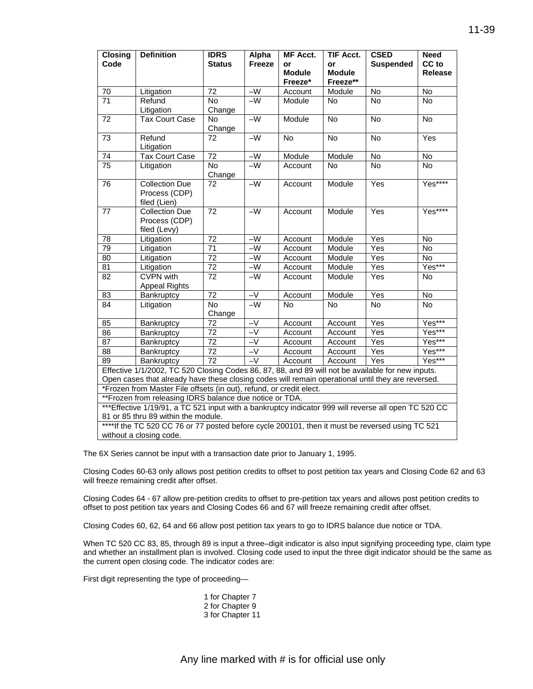| <b>Closing</b><br>Code                                                                                                                 | <b>Definition</b>                                                                                     | <b>IDRS</b><br><b>Status</b> | Alpha<br><b>Freeze</b> | <b>MF Acct.</b><br>or    | <b>TIF Acct.</b><br>or    | <b>CSED</b><br><b>Suspended</b> | <b>Need</b><br>CC to |
|----------------------------------------------------------------------------------------------------------------------------------------|-------------------------------------------------------------------------------------------------------|------------------------------|------------------------|--------------------------|---------------------------|---------------------------------|----------------------|
|                                                                                                                                        |                                                                                                       |                              |                        | <b>Module</b><br>Freeze* | <b>Module</b><br>Freeze** |                                 | <b>Release</b>       |
| 70                                                                                                                                     | Litigation                                                                                            | 72                           | $-W$                   | Account                  | Module                    | No                              | No                   |
| $\overline{71}$                                                                                                                        | Refund<br>Litigation                                                                                  | No<br>Change                 | $-W$                   | Module                   | <b>No</b>                 | $\overline{N}$                  | No                   |
| $\overline{72}$                                                                                                                        | <b>Tax Court Case</b>                                                                                 | No<br>Change                 | $-W$                   | Module                   | $\overline{N}$            | $\overline{N}$                  | $\overline{N}$       |
| 73                                                                                                                                     | Refund<br>Litigation                                                                                  | 72                           | $-W$                   | No                       | No                        | No                              | Yes                  |
| 74                                                                                                                                     | <b>Tax Court Case</b>                                                                                 | $\overline{72}$              | $-W$                   | Module                   | Module                    | No                              | No                   |
| $\overline{75}$                                                                                                                        | Litigation                                                                                            | $\overline{N}$<br>Change     | $-W$                   | Account                  | No                        | $\overline{N}$                  | $\overline{N}$       |
| 76                                                                                                                                     | <b>Collection Due</b><br>Process (CDP)<br>filed (Lien)                                                | 72                           | $-W$                   | Account                  | Module                    | Yes                             | Yes****              |
| 77                                                                                                                                     | <b>Collection Due</b><br>Process (CDP)<br>filed (Levy)                                                | 72                           | $-W$                   | Account                  | Module                    | Yes                             | $Yes***$             |
| 78                                                                                                                                     | Litigation                                                                                            | $\overline{72}$              | $-W$                   | Account                  | Module                    | Yes                             | No                   |
| 79                                                                                                                                     | Litigation                                                                                            | 71                           | $-W$                   | Account                  | Module                    | Yes                             | No                   |
| $\overline{80}$                                                                                                                        | Litigation                                                                                            | $\overline{72}$              | $-W$                   | Account                  | Module                    | Yes                             | No                   |
| $\overline{81}$                                                                                                                        | Litigation                                                                                            | $\overline{72}$              | $\overline{-w}$        | Account                  | Module                    | Yes                             | Yes***               |
| $\overline{82}$                                                                                                                        | <b>CVPN</b> with<br><b>Appeal Rights</b>                                                              | $\overline{72}$              | $-W$                   | Account                  | Module                    | Yes                             | No                   |
| $\overline{83}$                                                                                                                        | Bankruptcy                                                                                            | $\overline{72}$              | $-\sqrt{}$             | Account                  | Module                    | Yes                             | $\overline{N}$       |
| $\overline{84}$                                                                                                                        | Litigation                                                                                            | $\overline{N}$<br>Change     | $-W$                   | N <sub>o</sub>           | <b>No</b>                 | <b>No</b>                       | $\overline{N}$       |
| 85                                                                                                                                     | Bankruptcy                                                                                            | $\overline{72}$              | $-V$                   | Account                  | Account                   | Yes                             | Yes***               |
| $\overline{86}$                                                                                                                        | Bankruptcy                                                                                            | $\overline{72}$              | $-V$                   | Account                  | Account                   | Yes                             | Yes***               |
| $\overline{87}$                                                                                                                        | Bankruptcy                                                                                            | $\overline{72}$              | $-V$                   | Account                  | Account                   | Yes                             | Yes***               |
| $\overline{88}$                                                                                                                        | Bankruptcy                                                                                            | $\overline{72}$              | $-V$                   | Account                  | Account                   | Yes                             | Yes***               |
| $\overline{89}$                                                                                                                        | Bankruptcy                                                                                            | $\overline{72}$              | $\overline{-V}$        | Account                  | Account                   | Yes                             | Yes***               |
|                                                                                                                                        | Effective 1/1/2002, TC 520 Closing Codes 86, 87, 88, and 89 will not be available for new inputs.     |                              |                        |                          |                           |                                 |                      |
|                                                                                                                                        | Open cases that already have these closing codes will remain operational until they are reversed.     |                              |                        |                          |                           |                                 |                      |
| *Frozen from Master File offsets (in out), refund, or credit elect.                                                                    |                                                                                                       |                              |                        |                          |                           |                                 |                      |
|                                                                                                                                        | **Frozen from releasing IDRS balance due notice or TDA.                                               |                              |                        |                          |                           |                                 |                      |
|                                                                                                                                        | *** Effective 1/19/91, a TC 521 input with a bankruptcy indicator 999 will reverse all open TC 520 CC |                              |                        |                          |                           |                                 |                      |
| 81 or 85 thru 89 within the module.<br>****If the TC 520 CC 76 or 77 posted before cycle 200101, then it must be reversed using TC 521 |                                                                                                       |                              |                        |                          |                           |                                 |                      |
|                                                                                                                                        |                                                                                                       |                              |                        |                          |                           |                                 |                      |
|                                                                                                                                        | without a closing code.                                                                               |                              |                        |                          |                           |                                 |                      |

The 6X Series cannot be input with a transaction date prior to January 1, 1995.

Closing Codes 60-63 only allows post petition credits to offset to post petition tax years and Closing Code 62 and 63 will freeze remaining credit after offset.

Closing Codes 64 - 67 allow pre-petition credits to offset to pre-petition tax years and allows post petition credits to offset to post petition tax years and Closing Codes 66 and 67 will freeze remaining credit after offset.

Closing Codes 60, 62, 64 and 66 allow post petition tax years to go to IDRS balance due notice or TDA.

When TC 520 CC 83, 85, through 89 is input a three–digit indicator is also input signifying proceeding type, claim type and whether an installment plan is involved. Closing code used to input the three digit indicator should be the same as the current open closing code. The indicator codes are:

First digit representing the type of proceeding—

1 for Chapter 7 2 for Chapter 9 3 for Chapter 11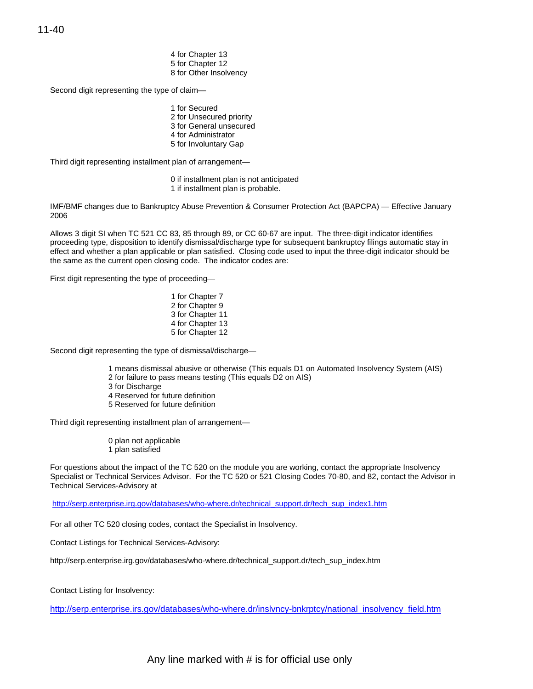11-40

4 for Chapter 13 5 for Chapter 12 8 for Other Insolvency

Second digit representing the type of claim—

1 for Secured 2 for Unsecured priority 3 for General unsecured 4 for Administrator 5 for Involuntary Gap

Third digit representing installment plan of arrangement—

- 0 if installment plan is not anticipated
- 1 if installment plan is probable.

IMF/BMF changes due to Bankruptcy Abuse Prevention & Consumer Protection Act (BAPCPA) — Effective January 2006

Allows 3 digit SI when TC 521 CC 83, 85 through 89, or CC 60-67 are input. The three-digit indicator identifies proceeding type, disposition to identify dismissal/discharge type for subsequent bankruptcy filings automatic stay in effect and whether a plan applicable or plan satisfied. Closing code used to input the three-digit indicator should be the same as the current open closing code. The indicator codes are:

First digit representing the type of proceeding—

1 for Chapter 7 2 for Chapter 9 3 for Chapter 11 4 for Chapter 13 5 for Chapter 12

Second digit representing the type of dismissal/discharge—

- 1 means dismissal abusive or otherwise (This equals D1 on Automated Insolvency System (AIS)
- 2 for failure to pass means testing (This equals D2 on AIS)
- 3 for Discharge
- 4 Reserved for future definition
- 5 Reserved for future definition

Third digit representing installment plan of arrangement—

- 0 plan not applicable
- 1 plan satisfied

For questions about the impact of the TC 520 on the module you are working, contact the appropriate Insolvency Specialist or Technical Services Advisor. For the TC 520 or 521 Closing Codes 70-80, and 82, contact the Advisor in Technical Services-Advisory at

[http://serp.enterprise.irg.gov/databases/who-where.dr/technical\\_support.dr/tech\\_sup\\_index1.htm](http://serp.enterprise.irg.gov/databases/who-where.dr/technical_support.dr/tech_sup_index1.htm) 

For all other TC 520 closing codes, contact the Specialist in Insolvency.

Contact Listings for Technical Services-Advisory:

[http://serp.enterprise.irg.gov/databases/who-where.dr/technical\\_support.dr/tech\\_sup\\_index.htm](http://serp.enterprise.irg.gov/databases/who-where.dr/technical_support.dr/tech_sup_index.htm) 

Contact Listing for Insolvency:

[http://serp.enterprise.irs.gov/databases/who-where.dr/inslvncy-bnkrptcy/national\\_insolvency\\_field.htm](http://serp.enterprise.irs.gov/databases/who-where.dr/inslvncy-bnkrptcy/national_insolvency_field.htm)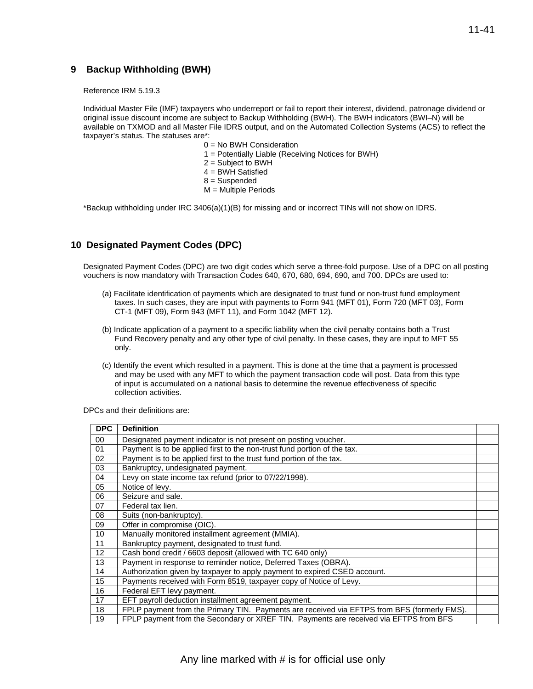### **9 Backup Withholding (BWH)**

Reference IRM 5.19.3

Individual Master File (IMF) taxpayers who underreport or fail to report their interest, dividend, patronage dividend or original issue discount income are subject to Backup Withholding (BWH). The BWH indicators (BWI–N) will be available on TXMOD and all Master File IDRS output, and on the Automated Collection Systems (ACS) to reflect the taxpayer's status. The statuses are\*:

- 0 = No BWH Consideration
- 1 = Potentially Liable (Receiving Notices for BWH)
- 2 = Subject to BWH
- 4 = BWH Satisfied
- 8 = Suspended
- M = Multiple Periods

\*Backup withholding under IRC 3406(a)(1)(B) for missing and or incorrect TINs will not show on IDRS.

### **10 Designated Payment Codes (DPC)**

 vouchers is now mandatory with Transaction Codes 640, 670, 680, 694, 690, and 700. DPCs are used to: Designated Payment Codes (DPC) are two digit codes which serve a three-fold purpose. Use of a DPC on all posting

- (a) Facilitate identification of payments which are designated to trust fund or non-trust fund employment taxes. In such cases, they are input with payments to Form 941 (MFT 01), Form 720 (MFT 03), Form CT-1 (MFT 09), Form 943 (MFT 11), and Form 1042 (MFT 12).
- (b) Indicate application of a payment to a specific liability when the civil penalty contains both a Trust Fund Recovery penalty and any other type of civil penalty. In these cases, they are input to MFT 55 only.
- (c) Identify the event which resulted in a payment. This is done at the time that a payment is processed and may be used with any MFT to which the payment transaction code will post. Data from this type of input is accumulated on a national basis to determine the revenue effectiveness of specific collection activities.

DPCs and their definitions are:

| <b>DPC</b>      | <b>Definition</b>                                                                           |  |
|-----------------|---------------------------------------------------------------------------------------------|--|
| 00              | Designated payment indicator is not present on posting voucher.                             |  |
| 01              | Payment is to be applied first to the non-trust fund portion of the tax.                    |  |
| 02              | Payment is to be applied first to the trust fund portion of the tax.                        |  |
| 03              | Bankruptcy, undesignated payment.                                                           |  |
| 04              | Levy on state income tax refund (prior to 07/22/1998).                                      |  |
| 05              | Notice of levy.                                                                             |  |
| 06              | Seizure and sale.                                                                           |  |
| 07              | Federal tax lien.                                                                           |  |
| 08              | Suits (non-bankruptcy).                                                                     |  |
| 09              | Offer in compromise (OIC).                                                                  |  |
| 10              | Manually monitored installment agreement (MMIA).                                            |  |
| 11              | Bankruptcy payment, designated to trust fund.                                               |  |
| 12 <sup>2</sup> | Cash bond credit / 6603 deposit (allowed with TC 640 only)                                  |  |
| 13              | Payment in response to reminder notice, Deferred Taxes (OBRA).                              |  |
| 14              | Authorization given by taxpayer to apply payment to expired CSED account.                   |  |
| 15              | Payments received with Form 8519, taxpayer copy of Notice of Levy.                          |  |
| 16              | Federal EFT levy payment.                                                                   |  |
| 17              | EFT payroll deduction installment agreement payment.                                        |  |
| 18              | FPLP payment from the Primary TIN. Payments are received via EFTPS from BFS (formerly FMS). |  |
| 19              | FPLP payment from the Secondary or XREF TIN. Payments are received via EFTPS from BFS       |  |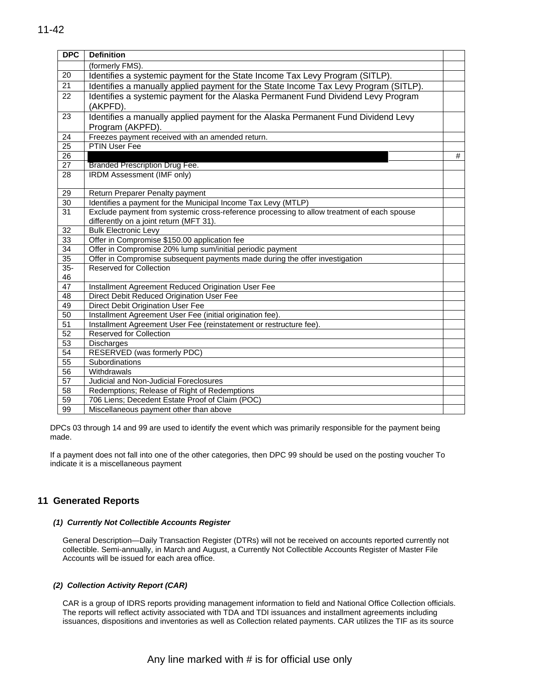| <b>DPC</b>      | <b>Definition</b>                                                                                     |   |
|-----------------|-------------------------------------------------------------------------------------------------------|---|
|                 | (formerly FMS).                                                                                       |   |
| 20              | Identifies a systemic payment for the State Income Tax Levy Program (SITLP).                          |   |
| 21              | Identifies a manually applied payment for the State Income Tax Levy Program (SITLP).                  |   |
| 22              | Identifies a systemic payment for the Alaska Permanent Fund Dividend Levy Program<br>(AKPFD).         |   |
| 23              | Identifies a manually applied payment for the Alaska Permanent Fund Dividend Levy<br>Program (AKPFD). |   |
| 24              | Freezes payment received with an amended return.                                                      |   |
| $\overline{25}$ | PTIN User Fee                                                                                         |   |
| $\overline{26}$ |                                                                                                       | # |
| 27              | Branded Prescription Drug Fee.                                                                        |   |
| 28              | IRDM Assessment (IMF only)                                                                            |   |
| 29              | Return Preparer Penalty payment                                                                       |   |
| 30              | Identifies a payment for the Municipal Income Tax Levy (MTLP)                                         |   |
| 31              | Exclude payment from systemic cross-reference processing to allow treatment of each spouse            |   |
| $\overline{32}$ | differently on a joint return (MFT 31).<br><b>Bulk Electronic Levy</b>                                |   |
| $\overline{33}$ | Offer in Compromise \$150.00 application fee                                                          |   |
| $\overline{34}$ | Offer in Compromise 20% lump sum/initial periodic payment                                             |   |
| $\overline{35}$ | Offer in Compromise subsequent payments made during the offer investigation                           |   |
| $35-$           | <b>Reserved for Collection</b>                                                                        |   |
| 46              |                                                                                                       |   |
| $\overline{47}$ | Installment Agreement Reduced Origination User Fee                                                    |   |
| 48              | Direct Debit Reduced Origination User Fee                                                             |   |
| 49              | Direct Debit Origination User Fee                                                                     |   |
| $\overline{50}$ | Installment Agreement User Fee (initial origination fee).                                             |   |
| 51              | Installment Agreement User Fee (reinstatement or restructure fee).                                    |   |
| $\overline{52}$ | Reserved for Collection                                                                               |   |
| 53              | Discharges                                                                                            |   |
| $\overline{54}$ | RESERVED (was formerly PDC)                                                                           |   |
| 55              | Subordinations                                                                                        |   |
| $\overline{56}$ | Withdrawals                                                                                           |   |
| 57              | Judicial and Non-Judicial Foreclosures                                                                |   |
| $\overline{58}$ | Redemptions; Release of Right of Redemptions                                                          |   |
| $\overline{59}$ | 706 Liens; Decedent Estate Proof of Claim (POC)                                                       |   |
| 99              | Miscellaneous payment other than above                                                                |   |

DPCs 03 through 14 and 99 are used to identify the event which was primarily responsible for the payment being made.

If a payment does not fall into one of the other categories, then DPC 99 should be used on the posting voucher To indicate it is a miscellaneous payment

### **11 Generated Reports**

#### *(1) Currently Not Collectible Accounts Register*

General Description—Daily Transaction Register (DTRs) will not be received on accounts reported currently not collectible. Semi-annually, in March and August, a Currently Not Collectible Accounts Register of Master File Accounts will be issued for each area office.

### *(2) Collection Activity Report (CAR)*

CAR is a group of IDRS reports providing management information to field and National Office Collection officials. The reports will reflect activity associated with TDA and TDI issuances and installment agreements including issuances, dispositions and inventories as well as Collection related payments. CAR utilizes the TIF as its source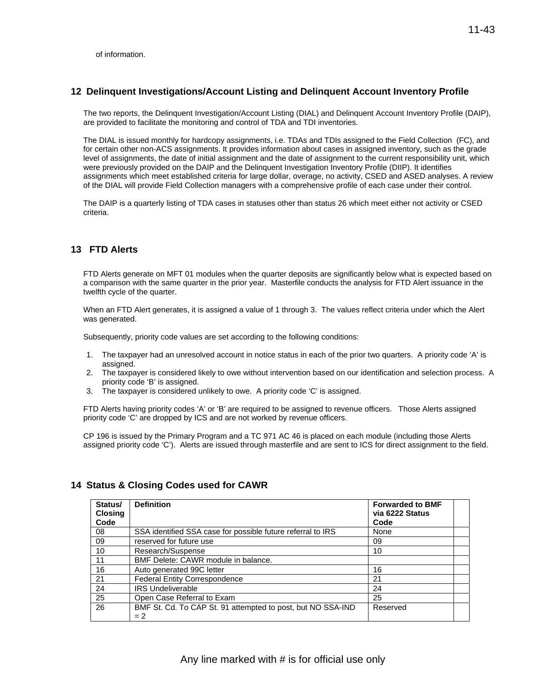### **12 Delinquent Investigations/Account Listing and Delinquent Account Inventory Profile**

The two reports, the Delinquent Investigation/Account Listing (DIAL) and Delinquent Account Inventory Profile (DAIP), are provided to facilitate the monitoring and control of TDA and TDI inventories.

The DIAL is issued monthly for hardcopy assignments, i.e. TDAs and TDIs assigned to the Field Collection (FC), and for certain other non-ACS assignments. It provides information about cases in assigned inventory, such as the grade level of assignments, the date of initial assignment and the date of assignment to the current responsibility unit, which were previously provided on the DAIP and the Delinquent Investigation Inventory Profile (DIIP). It identifies assignments which meet established criteria for large dollar, overage, no activity, CSED and ASED analyses. A review of the DIAL will provide Field Collection managers with a comprehensive profile of each case under their control.

The DAIP is a quarterly listing of TDA cases in statuses other than status 26 which meet either not activity or CSED criteria.

### **13 FTD Alerts**

FTD Alerts generate on MFT 01 modules when the quarter deposits are significantly below what is expected based on a comparison with the same quarter in the prior year. Masterfile conducts the analysis for FTD Alert issuance in the twelfth cycle of the quarter.

When an FTD Alert generates, it is assigned a value of 1 through 3. The values reflect criteria under which the Alert was generated.

Subsequently, priority code values are set according to the following conditions:

- 1. The taxpayer had an unresolved account in notice status in each of the prior two quarters. A priority code 'A' is assigned.
- 2. The taxpayer is considered likely to owe without intervention based on our identification and selection process. A priority code 'B' is assigned.
- 3. The taxpayer is considered unlikely to owe. A priority code 'C' is assigned.

FTD Alerts having priority codes 'A' or 'B' are required to be assigned to revenue officers. Those Alerts assigned priority code 'C' are dropped by ICS and are not worked by revenue officers.

CP 196 is issued by the Primary Program and a TC 971 AC 46 is placed on each module (including those Alerts assigned priority code 'C'). Alerts are issued through masterfile and are sent to ICS for direct assignment to the field.

# **14 Status & Closing Codes used for CAWR**

| Status/<br><b>Closing</b><br>Code | <b>Definition</b>                                                    | <b>Forwarded to BMF</b><br>via 6222 Status<br>Code |  |
|-----------------------------------|----------------------------------------------------------------------|----------------------------------------------------|--|
| 08                                | SSA identified SSA case for possible future referral to IRS          | None                                               |  |
| 09                                | reserved for future use                                              | 09                                                 |  |
| 10                                | Research/Suspense                                                    | 10                                                 |  |
| 11                                | BMF Delete: CAWR module in balance.                                  |                                                    |  |
| 16                                | Auto generated 99C letter                                            | 16                                                 |  |
| 21                                | <b>Federal Entity Correspondence</b>                                 | 21                                                 |  |
| 24                                | <b>IRS Undeliverable</b>                                             | 24                                                 |  |
| 25                                | Open Case Referral to Exam                                           | 25                                                 |  |
| 26                                | BMF St. Cd. To CAP St. 91 attempted to post, but NO SSA-IND<br>$= 2$ | Reserved                                           |  |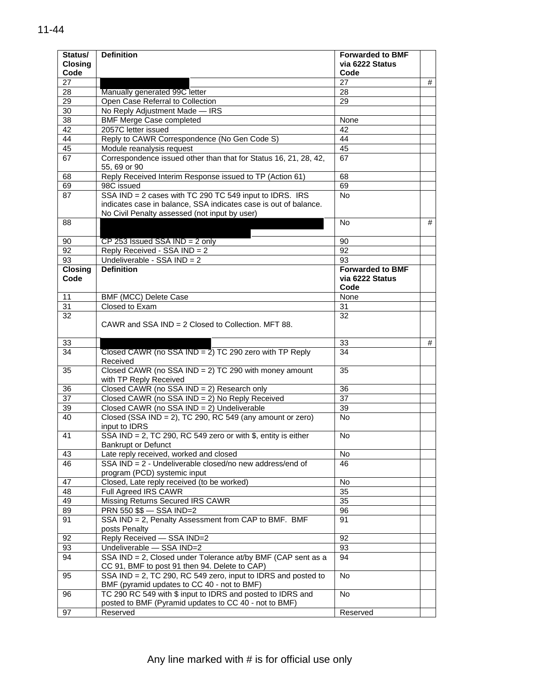| Status/<br><b>Closing</b><br>Code | <b>Definition</b>                                                                                                                                                            | <b>Forwarded to BMF</b><br>via 6222 Status<br>Code |   |
|-----------------------------------|------------------------------------------------------------------------------------------------------------------------------------------------------------------------------|----------------------------------------------------|---|
| 27                                |                                                                                                                                                                              | 27                                                 | # |
| 28                                | Manually generated 99C letter                                                                                                                                                | 28                                                 |   |
| 29                                | Open Case Referral to Collection                                                                                                                                             | 29                                                 |   |
| 30                                | No Reply Adjustment Made - IRS                                                                                                                                               |                                                    |   |
| 38                                | <b>BMF Merge Case completed</b>                                                                                                                                              | None                                               |   |
| 42                                | 2057C letter issued                                                                                                                                                          | 42                                                 |   |
| 44                                | Reply to CAWR Correspondence (No Gen Code S)                                                                                                                                 | 44                                                 |   |
| 45                                | Module reanalysis request                                                                                                                                                    | 45                                                 |   |
| 67                                | Correspondence issued other than that for Status 16, 21, 28, 42,                                                                                                             | 67                                                 |   |
|                                   | 55, 69 or 90                                                                                                                                                                 |                                                    |   |
| 68                                | Reply Received Interim Response issued to TP (Action 61)                                                                                                                     | 68                                                 |   |
| 69                                | 98C issued                                                                                                                                                                   | 69                                                 |   |
| 87                                | SSA IND = 2 cases with TC 290 TC 549 input to IDRS. IRS<br>indicates case in balance, SSA indicates case is out of balance.<br>No Civil Penalty assessed (not input by user) | No.                                                |   |
| 88                                |                                                                                                                                                                              | No.                                                | # |
| 90                                | $CP$ 253 Issued SSA IND = 2 only                                                                                                                                             | 90                                                 |   |
| 92                                | Reply Received - SSA IND = 2                                                                                                                                                 | 92                                                 |   |
| 93                                | Undeliverable - SSA $IND = 2$                                                                                                                                                | 93                                                 |   |
| <b>Closing</b><br>Code            | <b>Definition</b>                                                                                                                                                            | <b>Forwarded to BMF</b><br>via 6222 Status<br>Code |   |
| 11                                | BMF (MCC) Delete Case                                                                                                                                                        | None                                               |   |
| 31                                | Closed to Exam                                                                                                                                                               | 31                                                 |   |
| 32                                | CAWR and SSA IND = $2$ Closed to Collection. MFT 88.                                                                                                                         | 32                                                 |   |
| 33                                |                                                                                                                                                                              | 33                                                 | # |
| 34                                | Closed CAWR (no SSA $IND = 2$ ) TC 290 zero with TP Reply<br>Received                                                                                                        | 34                                                 |   |
| 35                                | Closed CAWR (no SSA IND = 2) TC 290 with money amount<br>with TP Reply Received                                                                                              | 35                                                 |   |
| 36                                | Closed CAWR (no SSA IND = 2) Research only                                                                                                                                   | 36                                                 |   |
| 37                                | Closed CAWR (no SSA IND = 2) No Reply Received                                                                                                                               | 37                                                 |   |
| 39                                | Closed CAWR (no SSA IND = 2) Undeliverable                                                                                                                                   | 39                                                 |   |
| 40                                | Closed (SSA IND = 2), TC 290, RC 549 (any amount or zero)<br>input to IDRS                                                                                                   | No.                                                |   |
| 41                                | SSA IND = 2, TC 290, RC 549 zero or with \$, entity is either<br><b>Bankrupt or Defunct</b>                                                                                  | <b>No</b>                                          |   |
| 43                                | Late reply received, worked and closed                                                                                                                                       | No                                                 |   |
| 46                                | SSA IND = 2 - Undeliverable closed/no new address/end of<br>program (PCD) systemic input                                                                                     | 46                                                 |   |
| 47                                | Closed, Late reply received (to be worked)                                                                                                                                   | No                                                 |   |
| 48                                | Full Agreed IRS CAWR                                                                                                                                                         | 35                                                 |   |
| 49                                | Missing Returns Secured IRS CAWR                                                                                                                                             | 35                                                 |   |
| 89                                | PRN 550 \$\$ - SSA IND=2                                                                                                                                                     | 96                                                 |   |
| 91                                | SSA IND = 2, Penalty Assessment from CAP to BMF. BMF<br>posts Penalty                                                                                                        | 91                                                 |   |
| 92                                | Reply Received - SSA IND=2                                                                                                                                                   | 92                                                 |   |
| 93                                | Undeliverable - SSA IND=2                                                                                                                                                    | 93                                                 |   |
| 94                                | SSA IND = 2, Closed under Tolerance at/by BMF (CAP sent as a<br>CC 91, BMF to post 91 then 94. Delete to CAP)                                                                | 94                                                 |   |
| 95                                | SSA IND = 2, TC 290, RC 549 zero, input to IDRS and posted to<br>BMF (pyramid updates to CC 40 - not to BMF)                                                                 | No                                                 |   |
| 96                                | TC 290 RC 549 with \$ input to IDRS and posted to IDRS and<br>posted to BMF (Pyramid updates to CC 40 - not to BMF)                                                          | No                                                 |   |
| 97                                | Reserved                                                                                                                                                                     | Reserved                                           |   |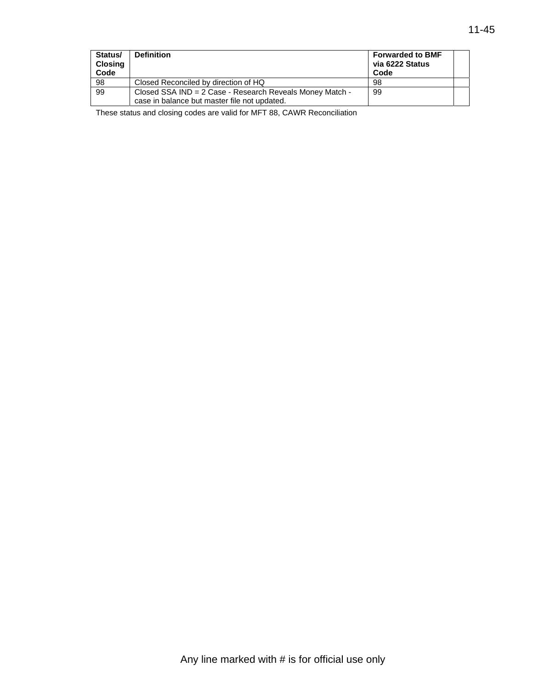| Status/<br><b>Closing</b><br>Code | <b>Definition</b>                                                                                        | <b>Forwarded to BMF</b><br>via 6222 Status<br>Code |  |
|-----------------------------------|----------------------------------------------------------------------------------------------------------|----------------------------------------------------|--|
| 98                                | Closed Reconciled by direction of HQ                                                                     | 98                                                 |  |
| 99                                | Closed SSA IND = 2 Case - Research Reveals Money Match -<br>case in balance but master file not updated. | -99                                                |  |

These status and closing codes are valid for MFT 88, CAWR Reconciliation